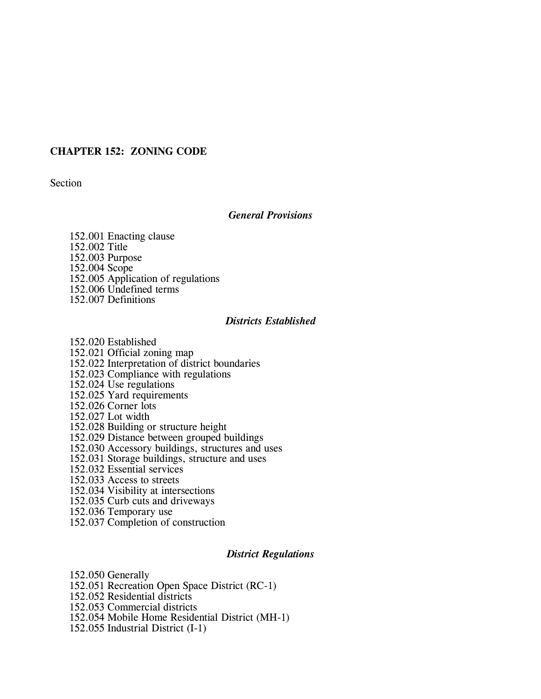# **CHAPTER 152: ZONING CODE**

Section

## *General Provisions*

152.001 Enacting clause 152.002 Title 152.003 Purpose 152.004 Scope 152.005 Application of regulations 152.006 Undefined terms 152.007 Definitions

### *Districts Established*

152.020 Established 152.021 Official zoning map 152.022 Interpretation of district boundaries 152.023 Compliance with regulations 152.024 Use regulations 152.025 Yard requirements 152.026 Corner lots 152.027 Lot width 152.028 Building or structure height 152.029 Distance between grouped buildings 152.030 Accessory buildings, structures and uses 152.031 Storage buildings, structure and uses 152.032 Essential services 152.033 Access to streets 152.034 Visibility at intersections 152.035 Curb cuts and driveways 152.036 Temporary use 152.037 Completion of construction

## *District Regulations*

152.050 Generally 152.051 Recreation Open Space District (RC-1) 152.052 Residential districts 152.053 Commercial districts 152.054 Mobile Home Residential District (MH-1) 152.055 Industrial District (I-1)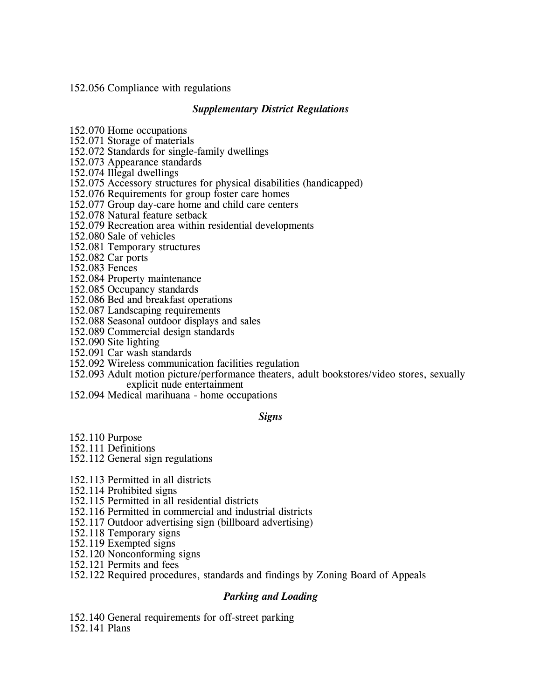152.056 Compliance with regulations

# *Supplementary District Regulations*

152.070 Home occupations

152.071 Storage of materials

152.072 Standards for single-family dwellings

152.073 Appearance standards

152.074 Illegal dwellings

152.075 Accessory structures for physical disabilities (handicapped)

152.076 Requirements for group foster care homes

152.077 Group day-care home and child care centers

152.078 Natural feature setback

152.079 Recreation area within residential developments

152.080 Sale of vehicles

152.081 Temporary structures

152.082 Car ports

152.083 Fences

152.084 Property maintenance

152.085 Occupancy standards

152.086 Bed and breakfast operations

152.087 Landscaping requirements

152.088 Seasonal outdoor displays and sales

152.089 Commercial design standards

152.090 Site lighting

152.091 Car wash standards

152.092 Wireless communication facilities regulation

152.093 Adult motion picture/performance theaters, adult bookstores/video stores, sexually explicit nude entertainment

152.094 Medical marihuana - home occupations

## *Signs*

152.110 Purpose

152.111 Definitions

152.112 General sign regulations

152.113 Permitted in all districts

152.114 Prohibited signs

152.115 Permitted in all residential districts

152.116 Permitted in commercial and industrial districts

152.117 Outdoor advertising sign (billboard advertising)

152.118 Temporary signs

152.119 Exempted signs

152.120 Nonconforming signs

152.121 Permits and fees

152.122 Required procedures, standards and findings by Zoning Board of Appeals

# *Parking and Loading*

152.140 General requirements for off-street parking

152.141 Plans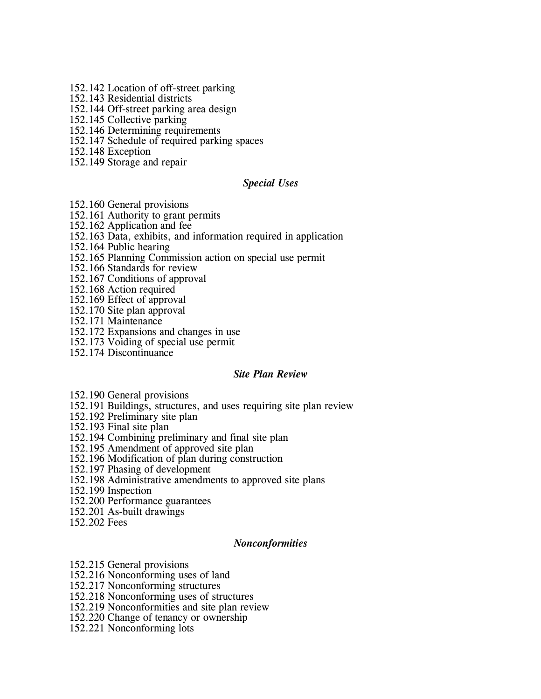- 152.142 Location of off-street parking
- 152.143 Residential districts
- 152.144 Off-street parking area design
- 152.145 Collective parking
- 152.146 Determining requirements
- 152.147 Schedule of required parking spaces
- 152.148 Exception
- 152.149 Storage and repair

## *Special Uses*

- 152.160 General provisions
- 152.161 Authority to grant permits
- 152.162 Application and fee
- 152.163 Data, exhibits, and information required in application
- 152.164 Public hearing
- 152.165 Planning Commission action on special use permit
- 152.166 Standards for review
- 152.167 Conditions of approval
- 152.168 Action required
- 152.169 Effect of approval
- 152.170 Site plan approval
- 152.171 Maintenance
- 152.172 Expansions and changes in use
- 152.173 Voiding of special use permit
- 152.174 Discontinuance

# *Site Plan Review*

- 152.190 General provisions
- 152.191 Buildings, structures, and uses requiring site plan review
- 152.192 Preliminary site plan
- 152.193 Final site plan
- 152.194 Combining preliminary and final site plan
- 152.195 Amendment of approved site plan
- 152.196 Modification of plan during construction
- 152.197 Phasing of development
- 152.198 Administrative amendments to approved site plans
- 152.199 Inspection
- 152.200 Performance guarantees
- 152.201 As-built drawings
- 152.202 Fees

## *Nonconformities*

- 152.215 General provisions
- 152.216 Nonconforming uses of land
- 152.217 Nonconforming structures
- 152.218 Nonconforming uses of structures
- 152.219 Nonconformities and site plan review
- 152.220 Change of tenancy or ownership
- 152.221 Nonconforming lots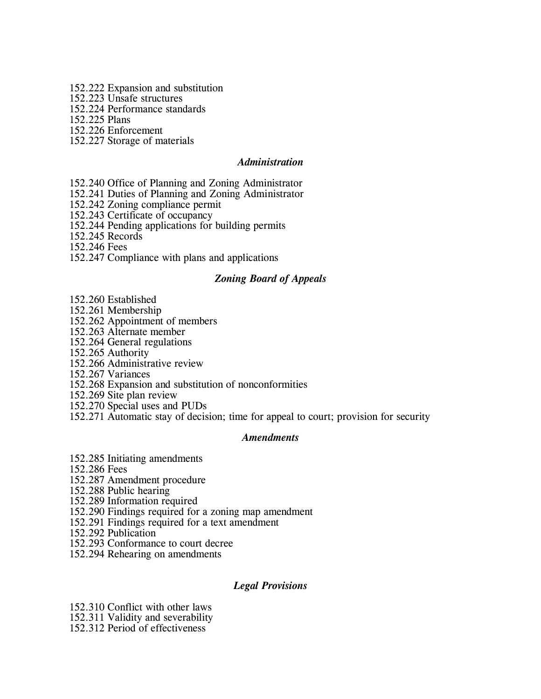- 152.222 Expansion and substitution
- 152.223 Unsafe structures
- 152.224 Performance standards

152.225 Plans

152.226 Enforcement

152.227 Storage of materials

# *Administration*

- 152.240 Office of Planning and Zoning Administrator
- 152.241 Duties of Planning and Zoning Administrator
- 152.242 Zoning compliance permit
- 152.243 Certificate of occupancy
- 152.244 Pending applications for building permits
- 152.245 Records

152.246 Fees

152.247 Compliance with plans and applications

## *Zoning Board of Appeals*

- 152.260 Established
- 152.261 Membership
- 152.262 Appointment of members
- 152.263 Alternate member
- 152.264 General regulations
- 152.265 Authority
- 152.266 Administrative review
- 152.267 Variances
- 152.268 Expansion and substitution of nonconformities
- 152.269 Site plan review
- 152.270 Special uses and PUDs
- 152.271 Automatic stay of decision; time for appeal to court; provision for security

## *Amendments*

- 152.285 Initiating amendments
- 152.286 Fees
- 152.287 Amendment procedure
- 152.288 Public hearing
- 152.289 Information required
- 152.290 Findings required for a zoning map amendment
- 152.291 Findings required for a text amendment
- 152.292 Publication
- 152.293 Conformance to court decree
- 152.294 Rehearing on amendments

## *Legal Provisions*

- 152.310 Conflict with other laws
- 152.311 Validity and severability
- 152.312 Period of effectiveness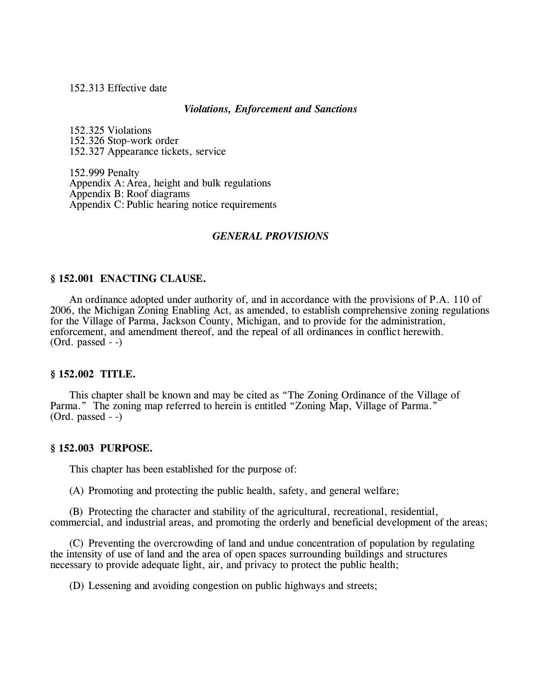152.313 Effective date

### *Violations, Enforcement and Sanctions*

152.325 Violations 152.326 Stop-work order 152.327 Appearance tickets, service

152.999 Penalty Appendix A:Area, height and bulk regulations Appendix B: Roof diagrams Appendix C: Public hearing notice requirements

## *GENERAL PROVISIONS*

### **§ 152.001 ENACTING CLAUSE.**

An ordinance adopted under authority of, and in accordance with the provisions of P.A. 110 of 2006, the Michigan Zoning Enabling Act, as amended, to establish comprehensive zoning regulations for the Village of Parma, Jackson County, Michigan, and to provide for the administration, enforcement, and amendment thereof, and the repeal of all ordinances in conflict herewith. (Ord. passed - -)

## **§ 152.002 TITLE.**

This chapter shall be known and may be cited as "The Zoning Ordinance of the Village of Parma." The zoning map referred to herein is entitled "Zoning Map, Village of Parma." (Ord. passed - -)

#### **§ 152.003 PURPOSE.**

This chapter has been established for the purpose of:

(A) Promoting and protecting the public health, safety, and general welfare;

(B) Protecting the character and stability of the agricultural, recreational, residential, commercial, and industrial areas, and promoting the orderly and beneficial development of the areas;

(C) Preventing the overcrowding of land and undue concentration of population by regulating the intensity of use of land and the area of open spaces surrounding buildings and structures necessary to provide adequate light, air, and privacy to protect the public health;

(D) Lessening and avoiding congestion on public highways and streets;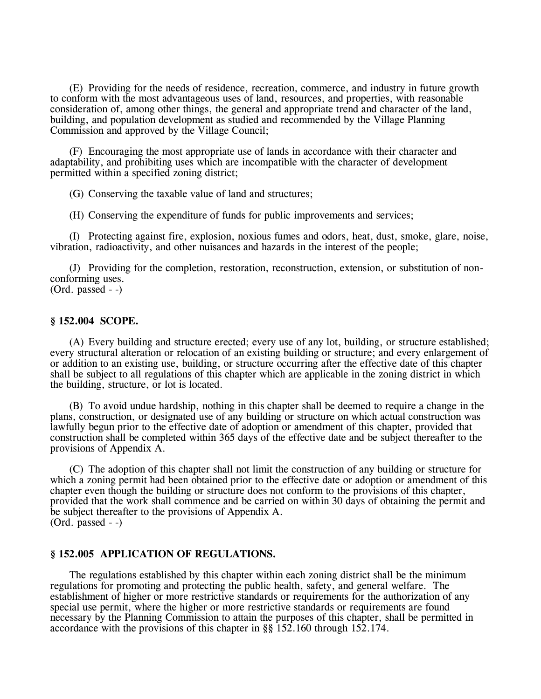(E) Providing for the needs of residence, recreation, commerce, and industry in future growth to conform with the most advantageous uses of land, resources, and properties, with reasonable consideration of, among other things, the general and appropriate trend and character of the land, building, and population development as studied and recommended by the Village Planning Commission and approved by the Village Council;

(F) Encouraging the most appropriate use of lands in accordance with their character and adaptability, and prohibiting uses which are incompatible with the character of development permitted within a specified zoning district;

(G) Conserving the taxable value of land and structures;

(H) Conserving the expenditure of funds for public improvements and services;

(I) Protecting against fire, explosion, noxious fumes and odors, heat, dust, smoke, glare, noise, vibration, radioactivity, and other nuisances and hazards in the interest of the people;

(J) Providing for the completion, restoration, reconstruction, extension, or substitution of nonconforming uses. (Ord. passed - -)

## **§ 152.004 SCOPE.**

(A) Every building and structure erected; every use of any lot, building, or structure established; every structural alteration or relocation of an existing building or structure; and every enlargement of or addition to an existing use, building, or structure occurring after the effective date of this chapter shall be subject to all regulations of this chapter which are applicable in the zoning district in which the building, structure, or lot is located.

(B) To avoid undue hardship, nothing in this chapter shall be deemed to require a change in the plans, construction, or designated use of any building or structure on which actual construction was lawfully begun prior to the effective date of adoption or amendment of this chapter, provided that construction shall be completed within 365 days of the effective date and be subject thereafter to the provisions of Appendix A.

(C) The adoption of this chapter shall not limit the construction of any building or structure for which a zoning permit had been obtained prior to the effective date or adoption or amendment of this chapter even though the building or structure does not conform to the provisions of this chapter, provided that the work shall commence and be carried on within 30 days of obtaining the permit and be subject thereafter to the provisions of Appendix A. (Ord. passed - -)

## **§ 152.005 APPLICATION OF REGULATIONS.**

The regulations established by this chapter within each zoning district shall be the minimum regulations for promoting and protecting the public health, safety, and general welfare. The establishment of higher or more restrictive standards or requirements for the authorization of any special use permit, where the higher or more restrictive standards or requirements are found necessary by the Planning Commission to attain the purposes of this chapter, shall be permitted in accordance with the provisions of this chapter in §§ 152.160 through 152.174.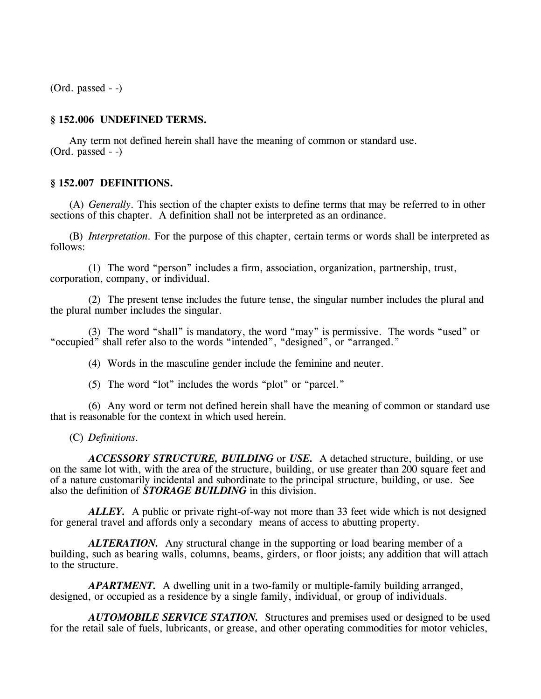(Ord. passed - -)

## **§ 152.006 UNDEFINED TERMS.**

Any term not defined herein shall have the meaning of common or standard use. (Ord. passed - -)

## **§ 152.007 DEFINITIONS.**

(A) *Generally.* This section of the chapter exists to define terms that may be referred to in other sections of this chapter. A definition shall not be interpreted as an ordinance.

(B) *Interpretation.* For the purpose of this chapter, certain terms or words shall be interpreted as follows:

(1) The word "person" includes a firm, association, organization, partnership, trust, corporation, company, or individual.

(2) The present tense includes the future tense, the singular number includes the plural and the plural number includes the singular.

(3) The word "shall" is mandatory, the word "may" is permissive. The words "used" or "occupied" shall refer also to the words "intended", "designed", or "arranged."

(4) Words in the masculine gender include the feminine and neuter.

(5) The word "lot" includes the words "plot" or "parcel."

(6) Any word or term not defined herein shall have the meaning of common or standard use that is reasonable for the context in which used herein.

(C) *Definitions.*

*ACCESSORY STRUCTURE, BUILDING* or *USE.* A detached structure, building, or use on the same lot with, with the area of the structure, building, or use greater than 200 square feet and of a nature customarily incidental and subordinate to the principal structure, building, or use. See also the definition of *STORAGE BUILDING* in this division.

*ALLEY.* A public or private right-of-way not more than 33 feet wide which is not designed for general travel and affords only a secondary means of access to abutting property.

*ALTERATION.* Any structural change in the supporting or load bearing member of a building, such as bearing walls, columns, beams, girders, or floor joists; any addition that will attach to the structure.

*APARTMENT.* A dwelling unit in a two-family or multiple-family building arranged, designed, or occupied as a residence by a single family, individual, or group of individuals.

*AUTOMOBILE SERVICE STATION.* Structures and premises used or designed to be used for the retail sale of fuels, lubricants, or grease, and other operating commodities for motor vehicles,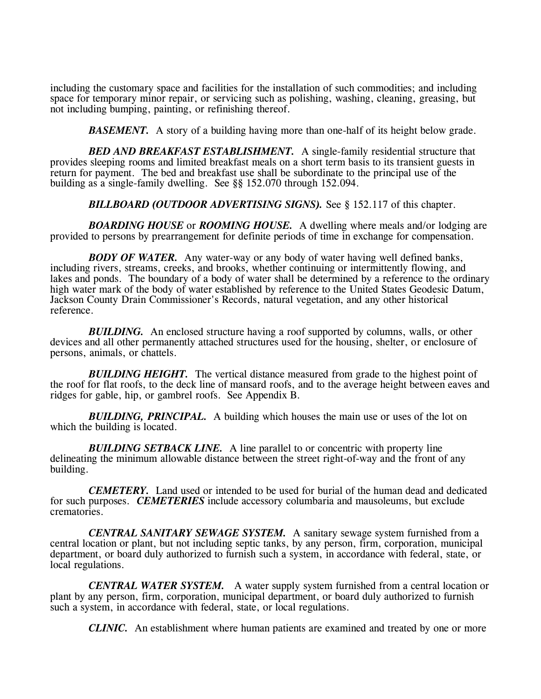including the customary space and facilities for the installation of such commodities; and including space for temporary minor repair, or servicing such as polishing, washing, cleaning, greasing, but not including bumping, painting, or refinishing thereof.

**BASEMENT.** A story of a building having more than one-half of its height below grade.

*BED AND BREAKFAST ESTABLISHMENT.* A single-family residential structure that provides sleeping rooms and limited breakfast meals on a short term basis to its transient guests in return for payment. The bed and breakfast use shall be subordinate to the principal use of the building as a single-family dwelling. See §§ 152.070 through 152.094.

*BILLBOARD (OUTDOOR ADVERTISING SIGNS).* See § 152.117 of this chapter.

*BOARDING HOUSE* or *ROOMING HOUSE.* A dwelling where meals and/or lodging are provided to persons by prearrangement for definite periods of time in exchange for compensation.

*BODY OF WATER.* Any water-way or any body of water having well defined banks, including rivers, streams, creeks, and brooks, whether continuing or intermittently flowing, and lakes and ponds. The boundary of a body of water shall be determined by a reference to the ordinary high water mark of the body of water established by reference to the United States Geodesic Datum, Jackson County Drain Commissioner's Records, natural vegetation, and any other historical reference.

*BUILDING.* An enclosed structure having a roof supported by columns, walls, or other devices and all other permanently attached structures used for the housing, shelter, or enclosure of persons, animals, or chattels.

**BUILDING HEIGHT.** The vertical distance measured from grade to the highest point of the roof for flat roofs, to the deck line of mansard roofs, and to the average height between eaves and ridges for gable, hip, or gambrel roofs. See Appendix B.

*BUILDING, PRINCIPAL.* A building which houses the main use or uses of the lot on which the building is located.

**BUILDING SETBACK LINE.** A line parallel to or concentric with property line delineating the minimum allowable distance between the street right-of-way and the front of any building.

*CEMETERY.* Land used or intended to be used for burial of the human dead and dedicated for such purposes. *CEMETERIES* include accessory columbaria and mausoleums, but exclude crematories.

*CENTRAL SANITARY SEWAGE SYSTEM.* A sanitary sewage system furnished from a central location or plant, but not including septic tanks, by any person, firm, corporation, municipal department, or board duly authorized to furnish such a system, in accordance with federal, state, or local regulations.

*CENTRAL WATER SYSTEM.* A water supply system furnished from a central location or plant by any person, firm, corporation, municipal department, or board duly authorized to furnish such a system, in accordance with federal, state, or local regulations.

*CLINIC.* An establishment where human patients are examined and treated by one or more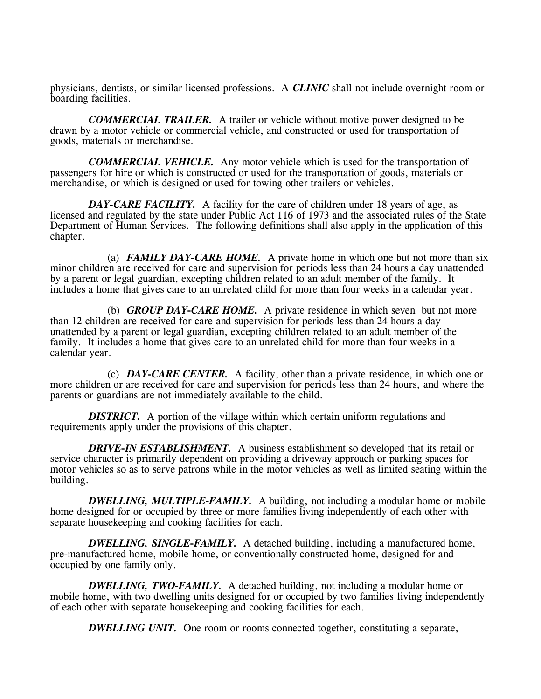physicians, dentists, or similar licensed professions. A *CLINIC* shall not include overnight room or boarding facilities.

*COMMERCIAL TRAILER.* A trailer or vehicle without motive power designed to be drawn by a motor vehicle or commercial vehicle, and constructed or used for transportation of goods, materials or merchandise.

*COMMERCIAL VEHICLE.* Any motor vehicle which is used for the transportation of passengers for hire or which is constructed or used for the transportation of goods, materials or merchandise, or which is designed or used for towing other trailers or vehicles.

*DAY-CARE FACILITY.* A facility for the care of children under 18 years of age, as licensed and regulated by the state under Public Act 116 of 1973 and the associated rules of the State Department of Human Services. The following definitions shall also apply in the application of this chapter.

(a) *FAMILY DAY-CARE HOME.* A private home in which one but not more than six minor children are received for care and supervision for periods less than 24 hours a day unattended by a parent or legal guardian, excepting children related to an adult member of the family. It includes a home that gives care to an unrelated child for more than four weeks in a calendar year.

(b) *GROUP DAY-CARE HOME.* A private residence in which seven but not more than 12 children are received for care and supervision for periods less than 24 hours a day unattended by a parent or legal guardian, excepting children related to an adult member of the family. It includes a home that gives care to an unrelated child for more than four weeks in a calendar year.

(c) *DAY-CARE CENTER.* A facility, other than a private residence, in which one or more children or are received for care and supervision for periods less than 24 hours, and where the parents or guardians are not immediately available to the child.

*DISTRICT.* A portion of the village within which certain uniform regulations and requirements apply under the provisions of this chapter.

*DRIVE-IN ESTABLISHMENT.* A business establishment so developed that its retail or service character is primarily dependent on providing a driveway approach or parking spaces for motor vehicles so as to serve patrons while in the motor vehicles as well as limited seating within the building.

*DWELLING, MULTIPLE-FAMILY.* A building, not including a modular home or mobile home designed for or occupied by three or more families living independently of each other with separate housekeeping and cooking facilities for each.

*DWELLING, SINGLE-FAMILY.* A detached building, including a manufactured home, pre-manufactured home, mobile home, or conventionally constructed home, designed for and occupied by one family only.

*DWELLING, TWO-FAMILY.* A detached building, not including a modular home or mobile home, with two dwelling units designed for or occupied by two families living independently of each other with separate housekeeping and cooking facilities for each.

*DWELLING UNIT.* One room or rooms connected together, constituting a separate,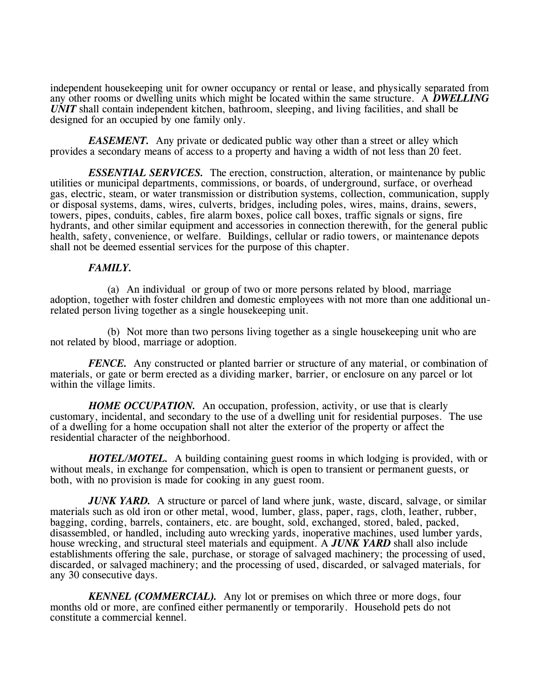independent housekeeping unit for owner occupancy or rental or lease, and physically separated from any other rooms or dwelling units which might be located within the same structure. A *DWELLING UNIT* shall contain independent kitchen, bathroom, sleeping, and living facilities, and shall be designed for an occupied by one family only.

*EASEMENT.* Any private or dedicated public way other than a street or alley which provides a secondary means of access to a property and having a width of not less than 20 feet.

*ESSENTIAL SERVICES.* The erection, construction, alteration, or maintenance by public utilities or municipal departments, commissions, or boards, of underground, surface, or overhead gas, electric, steam, or water transmission or distribution systems, collection, communication, supply or disposal systems, dams, wires, culverts, bridges, including poles, wires, mains, drains, sewers, towers, pipes, conduits, cables, fire alarm boxes, police call boxes, traffic signals or signs, fire hydrants, and other similar equipment and accessories in connection therewith, for the general public health, safety, convenience, or welfare. Buildings, cellular or radio towers, or maintenance depots shall not be deemed essential services for the purpose of this chapter.

### *FAMILY.*

(a) An individual or group of two or more persons related by blood, marriage adoption, together with foster children and domestic employees with not more than one additional unrelated person living together as a single housekeeping unit.

(b) Not more than two persons living together as a single housekeeping unit who are not related by blood, marriage or adoption.

*FENCE.* Any constructed or planted barrier or structure of any material, or combination of materials, or gate or berm erected as a dividing marker, barrier, or enclosure on any parcel or lot within the village limits.

*HOME OCCUPATION*. An occupation, profession, activity, or use that is clearly customary, incidental, and secondary to the use of a dwelling unit for residential purposes. The use of a dwelling for a home occupation shall not alter the exterior of the property or affect the residential character of the neighborhood.

*HOTEL/MOTEL.* A building containing guest rooms in which lodging is provided, with or without meals, in exchange for compensation, which is open to transient or permanent guests, or both, with no provision is made for cooking in any guest room.

*JUNK YARD.* A structure or parcel of land where junk, waste, discard, salvage, or similar materials such as old iron or other metal, wood, lumber, glass, paper, rags, cloth, leather, rubber, bagging, cording, barrels, containers, etc. are bought, sold, exchanged, stored, baled, packed, disassembled, or handled, including auto wrecking yards, inoperative machines, used lumber yards, house wrecking, and structural steel materials and equipment. A *JUNK YARD* shall also include establishments offering the sale, purchase, or storage of salvaged machinery; the processing of used, discarded, or salvaged machinery; and the processing of used, discarded, or salvaged materials, for any 30 consecutive days.

*KENNEL (COMMERCIAL).* Any lot or premises on which three or more dogs, four months old or more, are confined either permanently or temporarily. Household pets do not constitute a commercial kennel.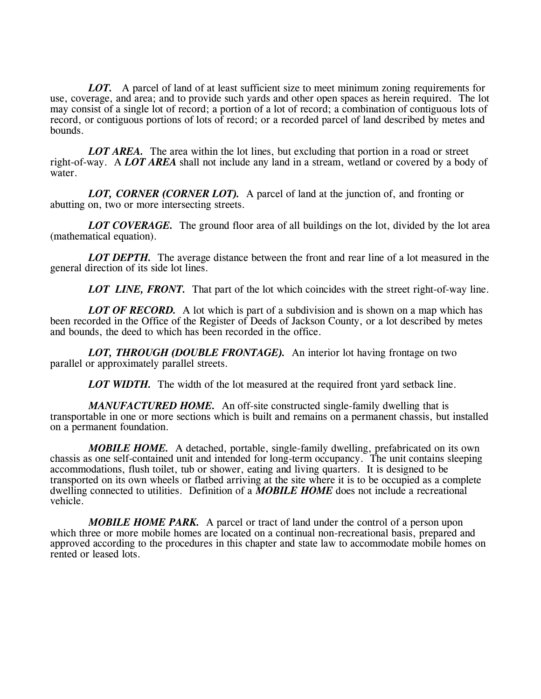*LOT.* A parcel of land of at least sufficient size to meet minimum zoning requirements for use, coverage, and area; and to provide such yards and other open spaces as herein required. The lot may consist of a single lot of record; a portion of a lot of record; a combination of contiguous lots of record, or contiguous portions of lots of record; or a recorded parcel of land described by metes and bounds.

*LOT AREA.* The area within the lot lines, but excluding that portion in a road or street right-of-way. A *LOT AREA* shall not include any land in a stream, wetland or covered by a body of water.

*LOT, CORNER (CORNER LOT).* A parcel of land at the junction of, and fronting or abutting on, two or more intersecting streets.

**LOT COVERAGE.** The ground floor area of all buildings on the lot, divided by the lot area (mathematical equation).

*LOT DEPTH.* The average distance between the front and rear line of a lot measured in the general direction of its side lot lines.

*LOT LINE, FRONT.* That part of the lot which coincides with the street right-of-way line.

*LOT OF RECORD.* A lot which is part of a subdivision and is shown on a map which has been recorded in the Office of the Register of Deeds of Jackson County, or a lot described by metes and bounds, the deed to which has been recorded in the office.

*LOT, THROUGH (DOUBLE FRONTAGE).* An interior lot having frontage on two parallel or approximately parallel streets.

*LOT WIDTH.* The width of the lot measured at the required front yard setback line.

*MANUFACTURED HOME.* An off-site constructed single-family dwelling that is transportable in one or more sections which is built and remains on a permanent chassis, but installed on a permanent foundation.

*MOBILE HOME.* A detached, portable, single-family dwelling, prefabricated on its own chassis as one self-contained unit and intended for long-term occupancy. The unit contains sleeping accommodations, flush toilet, tub or shower, eating and living quarters. It is designed to be transported on its own wheels or flatbed arriving at the site where it is to be occupied as a complete dwelling connected to utilities. Definition of a *MOBILE HOME* does not include a recreational vehicle.

*MOBILE HOME PARK.* A parcel or tract of land under the control of a person upon which three or more mobile homes are located on a continual non-recreational basis, prepared and approved according to the procedures in this chapter and state law to accommodate mobile homes on rented or leased lots.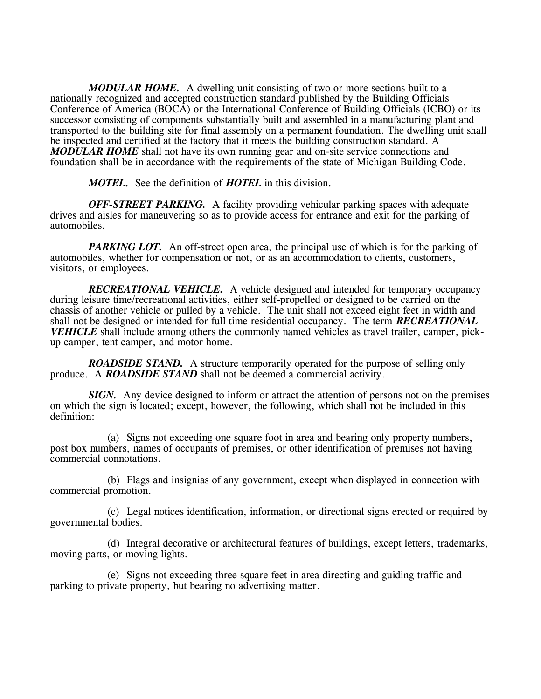*MODULAR HOME.* A dwelling unit consisting of two or more sections built to a nationally recognized and accepted construction standard published by the Building Officials Conference of America (BOCA) or the International Conference of Building Officials (ICBO) or its successor consisting of components substantially built and assembled in a manufacturing plant and transported to the building site for final assembly on a permanent foundation. The dwelling unit shall be inspected and certified at the factory that it meets the building construction standard. A *MODULAR HOME* shall not have its own running gear and on-site service connections and foundation shall be in accordance with the requirements of the state of Michigan Building Code.

*MOTEL.* See the definition of *HOTEL* in this division.

*OFF-STREET PARKING.* A facility providing vehicular parking spaces with adequate drives and aisles for maneuvering so as to provide access for entrance and exit for the parking of automobiles.

*PARKING LOT.* An off-street open area, the principal use of which is for the parking of automobiles, whether for compensation or not, or as an accommodation to clients, customers, visitors, or employees.

*RECREATIONAL VEHICLE.* A vehicle designed and intended for temporary occupancy during leisure time/recreational activities, either self-propelled or designed to be carried on the chassis of another vehicle or pulled by a vehicle. The unit shall not exceed eight feet in width and shall not be designed or intended for full time residential occupancy. The term *RECREATIONAL VEHICLE* shall include among others the commonly named vehicles as travel trailer, camper, pickup camper, tent camper, and motor home.

*ROADSIDE STAND.* A structure temporarily operated for the purpose of selling only produce. A *ROADSIDE STAND* shall not be deemed a commercial activity.

**SIGN.** Any device designed to inform or attract the attention of persons not on the premises on which the sign is located; except, however, the following, which shall not be included in this definition:

(a) Signs not exceeding one square foot in area and bearing only property numbers, post box numbers, names of occupants of premises, or other identification of premises not having commercial connotations.

(b) Flags and insignias of any government, except when displayed in connection with commercial promotion.

(c) Legal notices identification, information, or directional signs erected or required by governmental bodies.

(d) Integral decorative or architectural features of buildings, except letters, trademarks, moving parts, or moving lights.

(e) Signs not exceeding three square feet in area directing and guiding traffic and parking to private property, but bearing no advertising matter.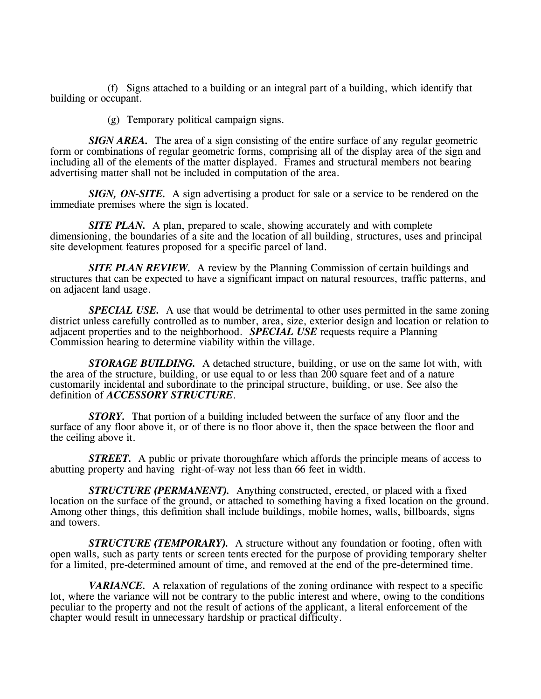(f) Signs attached to a building or an integral part of a building, which identify that building or occupant.

(g) Temporary political campaign signs.

*SIGN AREA.* The area of a sign consisting of the entire surface of any regular geometric form or combinations of regular geometric forms, comprising all of the display area of the sign and including all of the elements of the matter displayed. Frames and structural members not bearing advertising matter shall not be included in computation of the area.

*SIGN, ON-SITE.* A sign advertising a product for sale or a service to be rendered on the immediate premises where the sign is located.

*SITE PLAN.* A plan, prepared to scale, showing accurately and with complete dimensioning, the boundaries of a site and the location of all building, structures, uses and principal site development features proposed for a specific parcel of land.

**SITE PLAN REVIEW.** A review by the Planning Commission of certain buildings and structures that can be expected to have a significant impact on natural resources, traffic patterns, and on adjacent land usage.

*SPECIAL USE.* A use that would be detrimental to other uses permitted in the same zoning district unless carefully controlled as to number, area, size, exterior design and location or relation to adjacent properties and to the neighborhood. *SPECIAL USE* requests require a Planning Commission hearing to determine viability within the village.

*STORAGE BUILDING.* A detached structure, building, or use on the same lot with, with the area of the structure, building, or use equal to or less than 200 square feet and of a nature customarily incidental and subordinate to the principal structure, building, or use. See also the definition of *ACCESSORY STRUCTURE*.

*STORY.* That portion of a building included between the surface of any floor and the surface of any floor above it, or of there is no floor above it, then the space between the floor and the ceiling above it.

*STREET.* A public or private thoroughfare which affords the principle means of access to abutting property and having right-of-way not less than 66 feet in width.

*STRUCTURE (PERMANENT).* Anything constructed, erected, or placed with a fixed location on the surface of the ground, or attached to something having a fixed location on the ground. Among other things, this definition shall include buildings, mobile homes, walls, billboards, signs and towers.

*STRUCTURE (TEMPORARY).* A structure without any foundation or footing, often with open walls, such as party tents or screen tents erected for the purpose of providing temporary shelter for a limited, pre-determined amount of time, and removed at the end of the pre-determined time.

*VARIANCE.* A relaxation of regulations of the zoning ordinance with respect to a specific lot, where the variance will not be contrary to the public interest and where, owing to the conditions peculiar to the property and not the result of actions of the applicant, a literal enforcement of the chapter would result in unnecessary hardship or practical difficulty.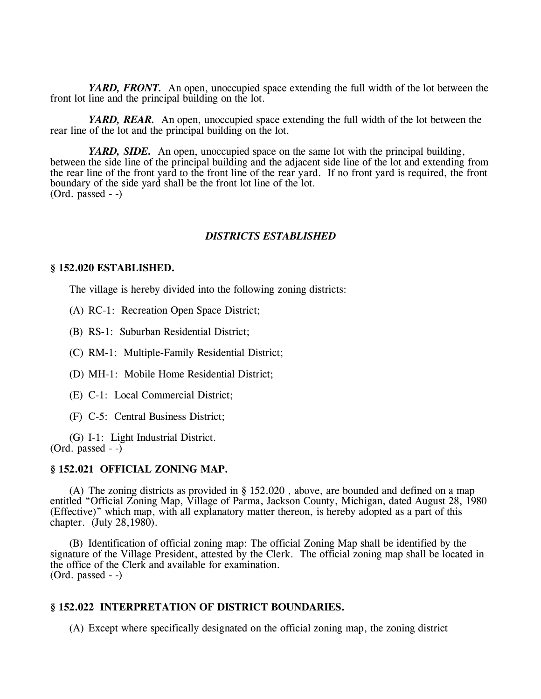*YARD, FRONT.* An open, unoccupied space extending the full width of the lot between the front lot line and the principal building on the lot.

*YARD, REAR.* An open, unoccupied space extending the full width of the lot between the rear line of the lot and the principal building on the lot.

*YARD, SIDE.* An open, unoccupied space on the same lot with the principal building, between the side line of the principal building and the adjacent side line of the lot and extending from the rear line of the front yard to the front line of the rear yard. If no front yard is required, the front boundary of the side yard shall be the front lot line of the lot. (Ord. passed - -)

### *DISTRICTS ESTABLISHED*

### **§ 152.020 ESTABLISHED.**

The village is hereby divided into the following zoning districts:

(A) RC-1: Recreation Open Space District;

(B) RS-1: Suburban Residential District;

(C) RM-1: Multiple-Family Residential District;

(D) MH-1: Mobile Home Residential District;

(E) C-1: Local Commercial District;

(F) C-5: Central Business District;

(G) I-1: Light Industrial District.  $(Ord. passed - )$ 

### **§ 152.021 OFFICIAL ZONING MAP.**

(A) The zoning districts as provided in § 152.020 , above, are bounded and defined on a map entitled "Official Zoning Map, Village of Parma, Jackson County, Michigan, dated August 28, 1980 (Effective)" which map, with all explanatory matter thereon, is hereby adopted as a part of this chapter. (July 28,1980).

(B) Identification of official zoning map: The official Zoning Map shall be identified by the signature of the Village President, attested by the Clerk. The official zoning map shall be located in the office of the Clerk and available for examination. (Ord. passed - -)

## **§ 152.022 INTERPRETATION OF DISTRICT BOUNDARIES.**

(A) Except where specifically designated on the official zoning map, the zoning district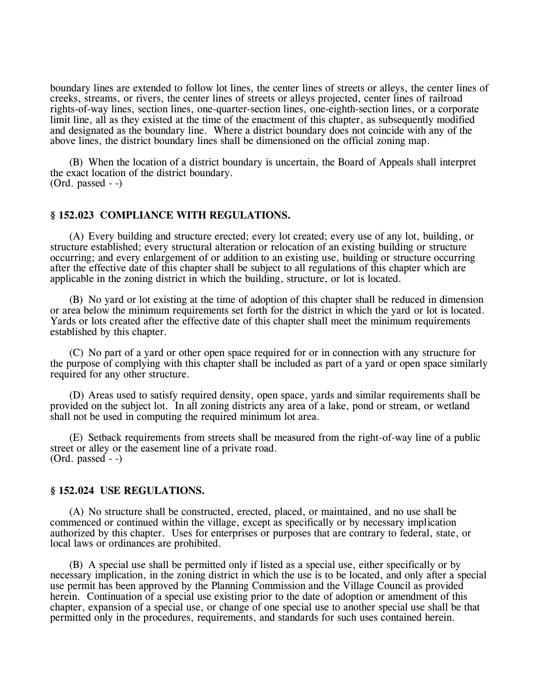boundary lines are extended to follow lot lines, the center lines of streets or alleys, the center lines of creeks, streams, or rivers, the center lines of streets or alleys projected, center lines of railroad rights-of-way lines, section lines, one-quarter-section lines, one-eighth-section lines, or a corporate limit line, all as they existed at the time of the enactment of this chapter, as subsequently modified and designated as the boundary line. Where a district boundary does not coincide with any of the above lines, the district boundary lines shall be dimensioned on the official zoning map.

(B) When the location of a district boundary is uncertain, the Board of Appeals shall interpret the exact location of the district boundary. (Ord. passed - -)

### **§ 152.023 COMPLIANCE WITH REGULATIONS.**

(A) Every building and structure erected; every lot created; every use of any lot, building, or structure established; every structural alteration or relocation of an existing building or structure occurring; and every enlargement of or addition to an existing use, building or structure occurring after the effective date of this chapter shall be subject to all regulations of this chapter which are applicable in the zoning district in which the building, structure, or lot is located.

(B) No yard or lot existing at the time of adoption of this chapter shall be reduced in dimension or area below the minimum requirements set forth for the district in which the yard or lot is located. Yards or lots created after the effective date of this chapter shall meet the minimum requirements established by this chapter.

(C) No part of a yard or other open space required for or in connection with any structure for the purpose of complying with this chapter shall be included as part of a yard or open space similarly required for any other structure.

(D) Areas used to satisfy required density, open space, yards and similar requirements shall be provided on the subject lot. In all zoning districts any area of a lake, pond or stream, or wetland shall not be used in computing the required minimum lot area.

(E) Setback requirements from streets shall be measured from the right-of-way line of a public street or alley or the easement line of a private road. (Ord. passed - -)

#### **§ 152.024 USE REGULATIONS.**

(A) No structure shall be constructed, erected, placed, or maintained, and no use shall be commenced or continued within the village, except as specifically or by necessary implication authorized by this chapter. Uses for enterprises or purposes that are contrary to federal, state, or local laws or ordinances are prohibited.

(B) A special use shall be permitted only if listed as a special use, either specifically or by necessary implication, in the zoning district in which the use is to be located, and only after a special use permit has been approved by the Planning Commission and the Village Council as provided herein. Continuation of a special use existing prior to the date of adoption or amendment of this chapter, expansion of a special use, or change of one special use to another special use shall be that permitted only in the procedures, requirements, and standards for such uses contained herein.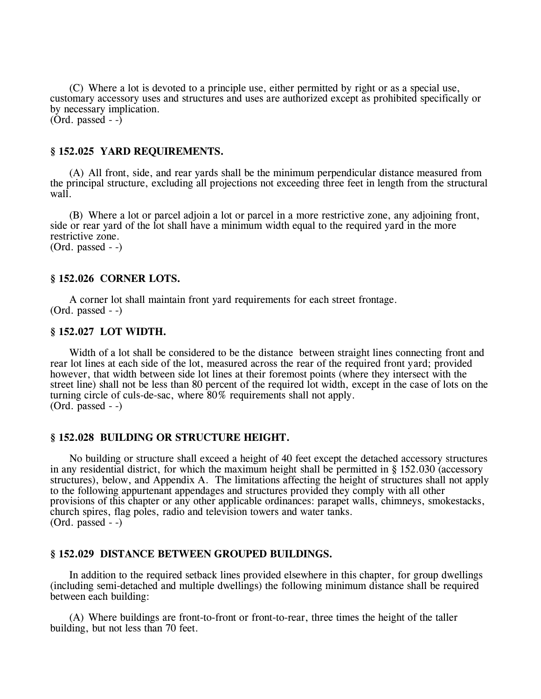(C) Where a lot is devoted to a principle use, either permitted by right or as a special use, customary accessory uses and structures and uses are authorized except as prohibited specifically or by necessary implication.  $(Ord. passed - )$ 

### **§ 152.025 YARD REQUIREMENTS.**

(A) All front, side, and rear yards shall be the minimum perpendicular distance measured from the principal structure, excluding all projections not exceeding three feet in length from the structural wall.

(B) Where a lot or parcel adjoin a lot or parcel in a more restrictive zone, any adjoining front, side or rear yard of the lot shall have a minimum width equal to the required yard in the more restrictive zone. (Ord. passed - -)

#### **§ 152.026 CORNER LOTS.**

A corner lot shall maintain front yard requirements for each street frontage. (Ord. passed - -)

#### **§ 152.027 LOT WIDTH.**

Width of a lot shall be considered to be the distance between straight lines connecting front and rear lot lines at each side of the lot, measured across the rear of the required front yard; provided however, that width between side lot lines at their foremost points (where they intersect with the street line) shall not be less than 80 percent of the required lot width, except in the case of lots on the turning circle of culs-de-sac, where 80% requirements shall not apply. (Ord. passed - -)

### **§ 152.028 BUILDING OR STRUCTURE HEIGHT.**

No building or structure shall exceed a height of 40 feet except the detached accessory structures in any residential district, for which the maximum height shall be permitted in § 152.030 (accessory structures), below, and Appendix A. The limitations affecting the height of structures shall not apply to the following appurtenant appendages and structures provided they comply with all other provisions of this chapter or any other applicable ordinances: parapet walls, chimneys, smokestacks, church spires, flag poles, radio and television towers and water tanks. (Ord. passed - -)

## **§ 152.029 DISTANCE BETWEEN GROUPED BUILDINGS.**

In addition to the required setback lines provided elsewhere in this chapter, for group dwellings (including semi-detached and multiple dwellings) the following minimum distance shall be required between each building:

(A) Where buildings are front-to-front or front-to-rear, three times the height of the taller building, but not less than 70 feet.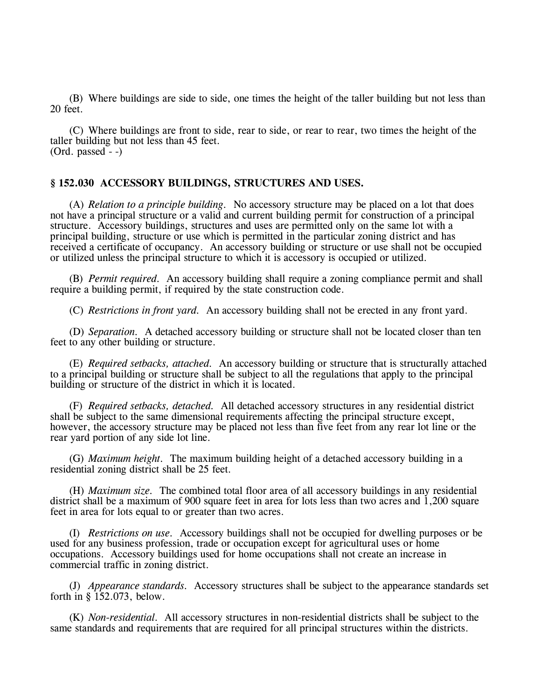(B) Where buildings are side to side, one times the height of the taller building but not less than 20 feet.

(C) Where buildings are front to side, rear to side, or rear to rear, two times the height of the taller building but not less than 45 feet.  $(Ord. passed - )$ 

### **§ 152.030 ACCESSORY BUILDINGS, STRUCTURES AND USES.**

(A) *Relation to a principle building.* No accessory structure may be placed on a lot that does not have a principal structure or a valid and current building permit for construction of a principal structure. Accessory buildings, structures and uses are permitted only on the same lot with a principal building, structure or use which is permitted in the particular zoning district and has received a certificate of occupancy. An accessory building or structure or use shall not be occupied or utilized unless the principal structure to which it is accessory is occupied or utilized.

(B) *Permit required.* An accessory building shall require a zoning compliance permit and shall require a building permit, if required by the state construction code.

(C) *Restrictions in front yard.* An accessory building shall not be erected in any front yard.

(D) *Separation.* A detached accessory building or structure shall not be located closer than ten feet to any other building or structure.

(E) *Required setbacks, attached.* An accessory building or structure that is structurally attached to a principal building or structure shall be subject to all the regulations that apply to the principal building or structure of the district in which it is located.

(F) *Required setbacks, detached.* All detached accessory structures in any residential district shall be subject to the same dimensional requirements affecting the principal structure except, however, the accessory structure may be placed not less than five feet from any rear lot line or the rear yard portion of any side lot line.

(G) *Maximum height.* The maximum building height of a detached accessory building in a residential zoning district shall be 25 feet.

(H) *Maximum size.* The combined total floor area of all accessory buildings in any residential district shall be a maximum of 900 square feet in area for lots less than two acres and 1,200 square feet in area for lots equal to or greater than two acres.

(I) *Restrictions on use.* Accessory buildings shall not be occupied for dwelling purposes or be used for any business profession, trade or occupation except for agricultural uses or home occupations. Accessory buildings used for home occupations shall not create an increase in commercial traffic in zoning district.

(J) *Appearance standards.* Accessory structures shall be subject to the appearance standards set forth in § 152.073, below.

(K) *Non-residential.* All accessory structures in non-residential districts shall be subject to the same standards and requirements that are required for all principal structures within the districts.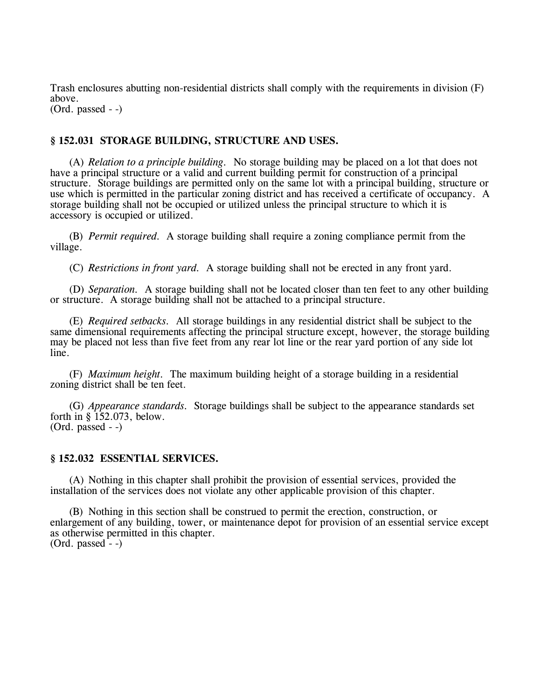Trash enclosures abutting non-residential districts shall comply with the requirements in division (F) above. (Ord. passed - -)

## **§ 152.031 STORAGE BUILDING, STRUCTURE AND USES.**

(A) *Relation to a principle building.* No storage building may be placed on a lot that does not have a principal structure or a valid and current building permit for construction of a principal structure. Storage buildings are permitted only on the same lot with a principal building, structure or use which is permitted in the particular zoning district and has received a certificate of occupancy. A storage building shall not be occupied or utilized unless the principal structure to which it is accessory is occupied or utilized.

(B) *Permit required.* A storage building shall require a zoning compliance permit from the village.

(C) *Restrictions in front yard.* A storage building shall not be erected in any front yard.

(D) *Separation.* A storage building shall not be located closer than ten feet to any other building or structure. A storage building shall not be attached to a principal structure.

(E) *Required setbacks.* All storage buildings in any residential district shall be subject to the same dimensional requirements affecting the principal structure except, however, the storage building may be placed not less than five feet from any rear lot line or the rear yard portion of any side lot line.

(F) *Maximum height.* The maximum building height of a storage building in a residential zoning district shall be ten feet.

(G) *Appearance standards.* Storage buildings shall be subject to the appearance standards set forth in § 152.073, below. (Ord. passed - -)

#### **§ 152.032 ESSENTIAL SERVICES.**

(A) Nothing in this chapter shall prohibit the provision of essential services, provided the installation of the services does not violate any other applicable provision of this chapter.

(B) Nothing in this section shall be construed to permit the erection, construction, or enlargement of any building, tower, or maintenance depot for provision of an essential service except as otherwise permitted in this chapter.  $(Ord. passed - )$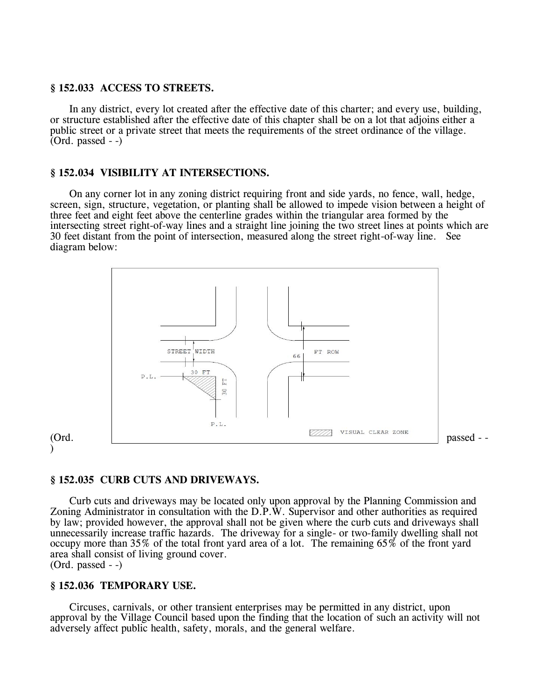### **§ 152.033 ACCESS TO STREETS.**

In any district, every lot created after the effective date of this charter; and every use, building, or structure established after the effective date of this chapter shall be on a lot that adjoins either a public street or a private street that meets the requirements of the street ordinance of the village.  $(Ord. passed - )$ 

### **§ 152.034 VISIBILITY AT INTERSECTIONS.**

On any corner lot in any zoning district requiring front and side yards, no fence, wall, hedge, screen, sign, structure, vegetation, or planting shall be allowed to impede vision between a height of three feet and eight feet above the centerline grades within the triangular area formed by the intersecting street right-of-way lines and a straight line joining the two street lines at points which are 30 feet distant from the point of intersection, measured along the street right-of-way line. See diagram below:



#### )

### **§ 152.035 CURB CUTS AND DRIVEWAYS.**

Curb cuts and driveways may be located only upon approval by the Planning Commission and Zoning Administrator in consultation with the D.P.W. Supervisor and other authorities as required by law; provided however, the approval shall not be given where the curb cuts and driveways shall unnecessarily increase traffic hazards. The driveway for a single- or two-family dwelling shall not occupy more than 35% of the total front yard area of a lot. The remaining 65% of the front yard area shall consist of living ground cover. (Ord. passed - -)

## **§ 152.036 TEMPORARY USE.**

Circuses, carnivals, or other transient enterprises may be permitted in any district, upon approval by the Village Council based upon the finding that the location of such an activity will not adversely affect public health, safety, morals, and the general welfare.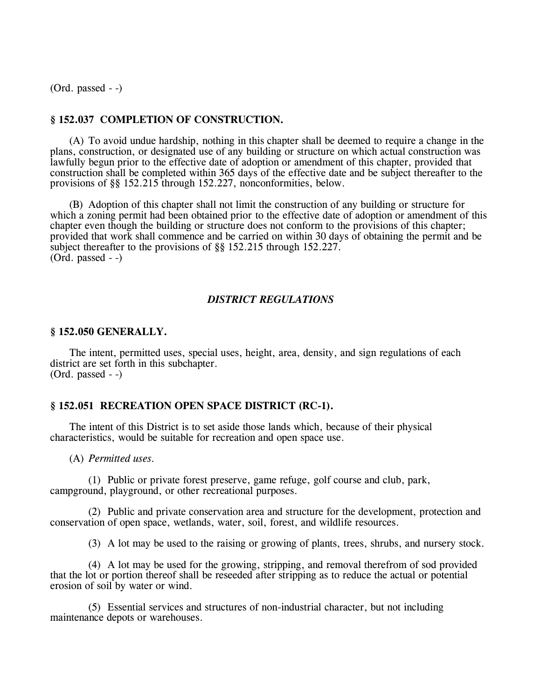(Ord. passed - -)

### **§ 152.037 COMPLETION OF CONSTRUCTION.**

(A) To avoid undue hardship, nothing in this chapter shall be deemed to require a change in the plans, construction, or designated use of any building or structure on which actual construction was lawfully begun prior to the effective date of adoption or amendment of this chapter, provided that construction shall be completed within 365 days of the effective date and be subject thereafter to the provisions of §§ 152.215 through 152.227, nonconformities, below.

(B) Adoption of this chapter shall not limit the construction of any building or structure for which a zoning permit had been obtained prior to the effective date of adoption or amendment of this chapter even though the building or structure does not conform to the provisions of this chapter; provided that work shall commence and be carried on within 30 days of obtaining the permit and be subject thereafter to the provisions of §§ 152.215 through 152.227. (Ord. passed - -)

### *DISTRICT REGULATIONS*

### **§ 152.050 GENERALLY.**

The intent, permitted uses, special uses, height, area, density, and sign regulations of each district are set forth in this subchapter. (Ord. passed - -)

### **§ 152.051 RECREATION OPEN SPACE DISTRICT (RC-1).**

The intent of this District is to set aside those lands which, because of their physical characteristics, would be suitable for recreation and open space use.

(A) *Permitted uses.*

(1) Public or private forest preserve, game refuge, golf course and club, park, campground, playground, or other recreational purposes.

(2) Public and private conservation area and structure for the development, protection and conservation of open space, wetlands, water, soil, forest, and wildlife resources.

(3) A lot may be used to the raising or growing of plants, trees, shrubs, and nursery stock.

(4) A lot may be used for the growing, stripping, and removal therefrom of sod provided that the lot or portion thereof shall be reseeded after stripping as to reduce the actual or potential erosion of soil by water or wind.

(5) Essential services and structures of non-industrial character, but not including maintenance depots or warehouses.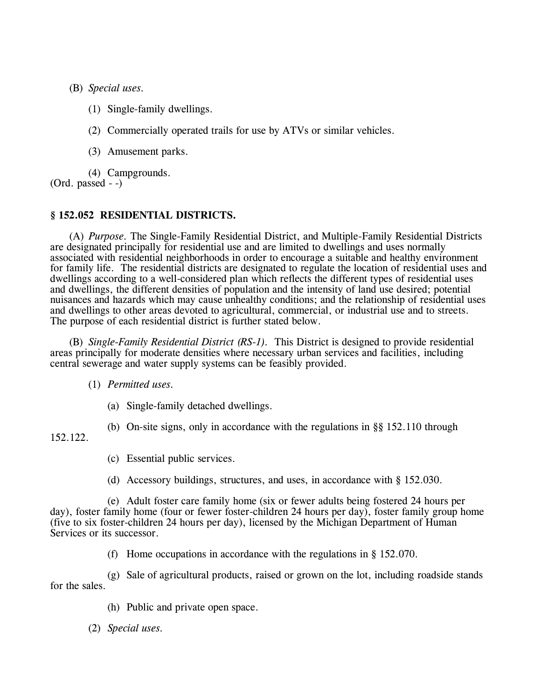(B) *Special uses.*

- (1) Single-family dwellings.
- (2) Commercially operated trails for use by ATVs or similar vehicles.
- (3) Amusement parks.

(4) Campgrounds.

(Ord. passed - -)

## **§ 152.052 RESIDENTIAL DISTRICTS.**

(A) *Purpose.* The Single-Family Residential District, and Multiple-Family Residential Districts are designated principally for residential use and are limited to dwellings and uses normally associated with residential neighborhoods in order to encourage a suitable and healthy environment for family life. The residential districts are designated to regulate the location of residential uses and dwellings according to a well-considered plan which reflects the different types of residential uses and dwellings, the different densities of population and the intensity of land use desired; potential nuisances and hazards which may cause unhealthy conditions; and the relationship of residential uses and dwellings to other areas devoted to agricultural, commercial, or industrial use and to streets. The purpose of each residential district is further stated below.

(B) *Single-Family Residential District (RS-1).* This District is designed to provide residential areas principally for moderate densities where necessary urban services and facilities, including central sewerage and water supply systems can be feasibly provided.

## (1) *Permitted uses.*

(a) Single-family detached dwellings.

152.122.

(b) On-site signs, only in accordance with the regulations in §§ 152.110 through

(c) Essential public services.

(d) Accessory buildings, structures, and uses, in accordance with § 152.030.

(e) Adult foster care family home (six or fewer adults being fostered 24 hours per day), foster family home (four or fewer foster-children 24 hours per day), foster family group home (five to six foster-children 24 hours per day), licensed by the Michigan Department of Human Services or its successor.

(f) Home occupations in accordance with the regulations in § 152.070.

(g) Sale of agricultural products, raised or grown on the lot, including roadside stands for the sales.

(h) Public and private open space.

(2) *Special uses.*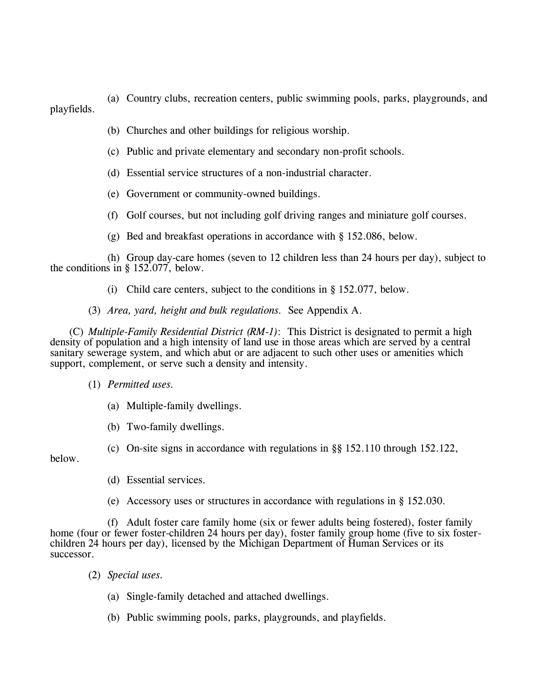(a) Country clubs, recreation centers, public swimming pools, parks, playgrounds, and playfields.

- (b) Churches and other buildings for religious worship.
- (c) Public and private elementary and secondary non-profit schools.
- (d) Essential service structures of a non-industrial character.
- (e) Government or community-owned buildings.
- (f) Golf courses, but not including golf driving ranges and miniature golf courses.
- (g) Bed and breakfast operations in accordance with § 152.086, below.

(h) Group day-care homes (seven to 12 children less than 24 hours per day), subject to the conditions in § 152.077, below.

- (i) Child care centers, subject to the conditions in § 152.077, below.
- (3) *Area, yard, height and bulk regulations.* See Appendix A.

(C) *Multiple-Family Residential District (RM-1)*: This District is designated to permit a high density of population and a high intensity of land use in those areas which are served by a central sanitary sewerage system, and which abut or are adjacent to such other uses or amenities which support, complement, or serve such a density and intensity.

- (1) *Permitted uses.*
	- (a) Multiple-family dwellings.
	- (b) Two-family dwellings.
	- (c) On-site signs in accordance with regulations in §§ 152.110 through 152.122,

below.

- (d) Essential services.
- (e) Accessory uses or structures in accordance with regulations in § 152.030.

(f) Adult foster care family home (six or fewer adults being fostered), foster family home (four or fewer foster-children 24 hours per day), foster family group home (five to six fosterchildren 24 hours per day), licensed by the Michigan Department of Human Services or its successor.

- (2) *Special uses.*
	- (a) Single-family detached and attached dwellings.
	- (b) Public swimming pools, parks, playgrounds, and playfields.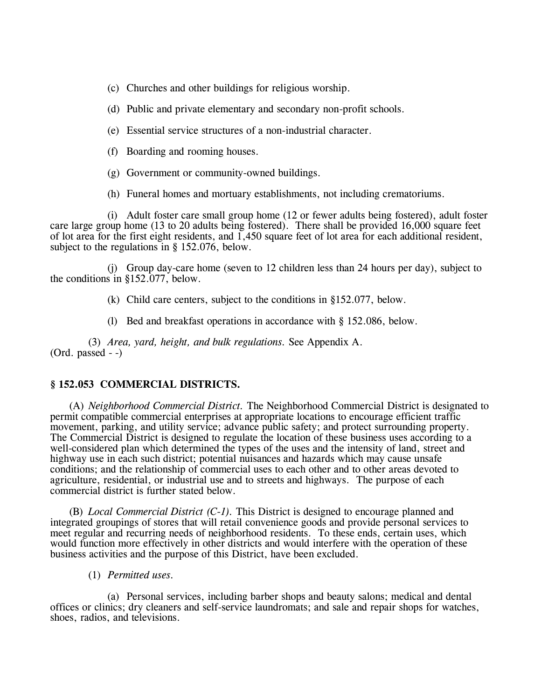- (c) Churches and other buildings for religious worship.
- (d) Public and private elementary and secondary non-profit schools.
- (e) Essential service structures of a non-industrial character.
- (f) Boarding and rooming houses.
- (g) Government or community-owned buildings.
- (h) Funeral homes and mortuary establishments, not including crematoriums.

(i) Adult foster care small group home (12 or fewer adults being fostered), adult foster care large group home (13 to 20 adults being fostered). There shall be provided 16,000 square feet of lot area for the first eight residents, and 1,450 square feet of lot area for each additional resident, subject to the regulations in § 152.076, below.

(j) Group day-care home (seven to 12 children less than 24 hours per day), subject to the conditions in §152.077, below.

- (k) Child care centers, subject to the conditions in §152.077, below.
- (l) Bed and breakfast operations in accordance with § 152.086, below.

(3) *Area, yard, height, and bulk regulations.* See Appendix A. (Ord. passed - -)

### **§ 152.053 COMMERCIAL DISTRICTS.**

(A) *Neighborhood Commercial District.* The Neighborhood Commercial District is designated to permit compatible commercial enterprises at appropriate locations to encourage efficient traffic movement, parking, and utility service; advance public safety; and protect surrounding property. The Commercial District is designed to regulate the location of these business uses according to a well-considered plan which determined the types of the uses and the intensity of land, street and highway use in each such district; potential nuisances and hazards which may cause unsafe conditions; and the relationship of commercial uses to each other and to other areas devoted to agriculture, residential, or industrial use and to streets and highways. The purpose of each commercial district is further stated below.

(B) *Local Commercial District (C-1).* This District is designed to encourage planned and integrated groupings of stores that will retail convenience goods and provide personal services to meet regular and recurring needs of neighborhood residents. To these ends, certain uses, which would function more effectively in other districts and would interfere with the operation of these business activities and the purpose of this District, have been excluded.

(1) *Permitted uses.*

(a) Personal services, including barber shops and beauty salons; medical and dental offices or clinics; dry cleaners and self-service laundromats; and sale and repair shops for watches, shoes, radios, and televisions.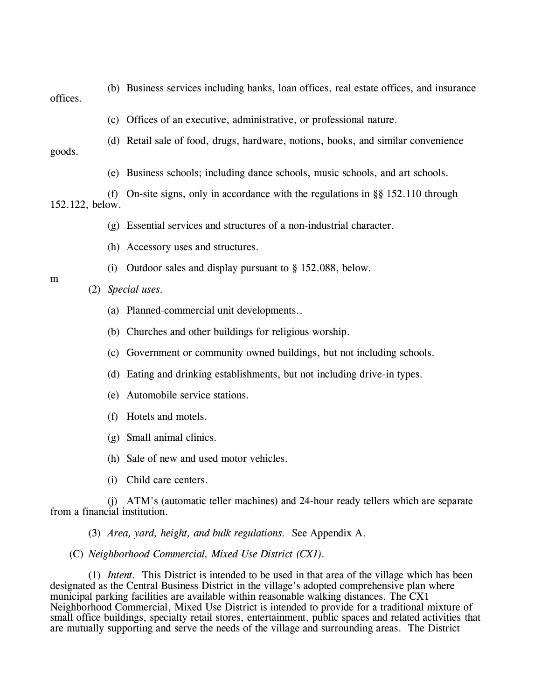(b) Business services including banks, loan offices, real estate offices, and insurance

offices.

(c) Offices of an executive, administrative, or professional nature.

- (d) Retail sale of food, drugs, hardware, notions, books, and similar convenience
- goods.
- (e) Business schools; including dance schools, music schools, and art schools.

(f) On-site signs, only in accordance with the regulations in §§ 152.110 through 152.122, below.

- (g) Essential services and structures of a non-industrial character.
- (h) Accessory uses and structures.
- (i) Outdoor sales and display pursuant to § 152.088, below.
- (2) *Special uses.*
	- (a) Planned-commercial unit developments..
	- (b) Churches and other buildings for religious worship.
	- (c) Government or community owned buildings, but not including schools.
	- (d) Eating and drinking establishments, but not including drive-in types.
	- (e) Automobile service stations.
	- (f) Hotels and motels.
	- (g) Small animal clinics.
	- (h) Sale of new and used motor vehicles.
	- (i) Child care centers.

(j) ATM's (automatic teller machines) and 24-hour ready tellers which are separate from a financial institution.

(3) *Area, yard, height, and bulk regulations.* See Appendix A.

## (C) *Neighborhood Commercial, Mixed Use District (CX1).*

(1) *Intent.* This District is intended to be used in that area of the village which has been designated as the Central Business District in the village's adopted comprehensive plan where municipal parking facilities are available within reasonable walking distances. The CX1 Neighborhood Commercial, Mixed Use District is intended to provide for a traditional mixture of small office buildings, specialty retail stores, entertainment, public spaces and related activities that are mutually supporting and serve the needs of the village and surrounding areas. The District

m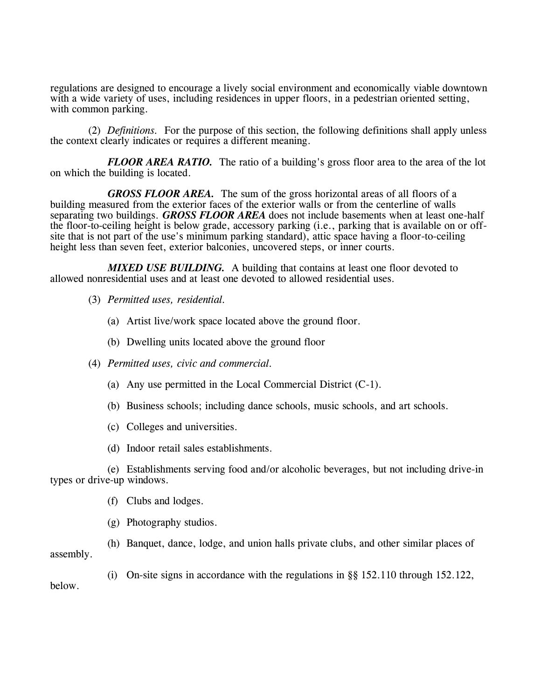regulations are designed to encourage a lively social environment and economically viable downtown with a wide variety of uses, including residences in upper floors, in a pedestrian oriented setting, with common parking.

(2) *Definitions.* For the purpose of this section, the following definitions shall apply unless the context clearly indicates or requires a different meaning.

*FLOOR AREA RATIO.* The ratio of a building's gross floor area to the area of the lot on which the building is located.

*GROSS FLOOR AREA.* The sum of the gross horizontal areas of all floors of a building measured from the exterior faces of the exterior walls or from the centerline of walls separating two buildings. *GROSS FLOOR AREA* does not include basements when at least one-half the floor-to-ceiling height is below grade, accessory parking (i.e., parking that is available on or offsite that is not part of the use's minimum parking standard), attic space having a floor-to-ceiling height less than seven feet, exterior balconies, uncovered steps, or inner courts.

*MIXED USE BUILDING.* A building that contains at least one floor devoted to allowed nonresidential uses and at least one devoted to allowed residential uses.

- (3) *Permitted uses, residential.*
	- (a) Artist live/work space located above the ground floor.
	- (b) Dwelling units located above the ground floor
- (4) *Permitted uses, civic and commercial.*
	- (a) Any use permitted in the Local Commercial District (C-1).
	- (b) Business schools; including dance schools, music schools, and art schools.
	- (c) Colleges and universities.
	- (d) Indoor retail sales establishments.

(e) Establishments serving food and/or alcoholic beverages, but not including drive-in types or drive-up windows.

- (f) Clubs and lodges.
- (g) Photography studios.

(h) Banquet, dance, lodge, and union halls private clubs, and other similar places of assembly.

(i) On-site signs in accordance with the regulations in §§ 152.110 through 152.122, below.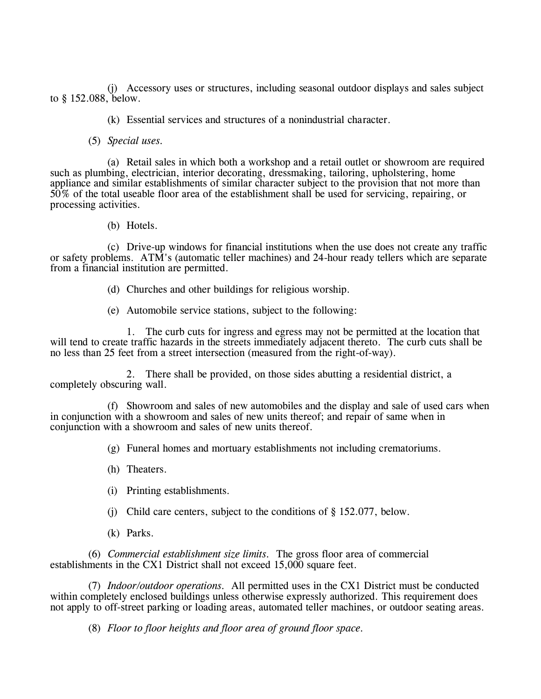(j) Accessory uses or structures, including seasonal outdoor displays and sales subject to § 152.088, below.

(k) Essential services and structures of a nonindustrial character.

(5) *Special uses.*

(a) Retail sales in which both a workshop and a retail outlet or showroom are required such as plumbing, electrician, interior decorating, dressmaking, tailoring, upholstering, home appliance and similar establishments of similar character subject to the provision that not more than 50% of the total useable floor area of the establishment shall be used for servicing, repairing, or processing activities.

(b) Hotels.

(c) Drive-up windows for financial institutions when the use does not create any traffic or safety problems. ATM's (automatic teller machines) and 24-hour ready tellers which are separate from a financial institution are permitted.

- (d) Churches and other buildings for religious worship.
- (e) Automobile service stations, subject to the following:

1. The curb cuts for ingress and egress may not be permitted at the location that will tend to create traffic hazards in the streets immediately adjacent thereto. The curb cuts shall be no less than 25 feet from a street intersection (measured from the right-of-way).

2. There shall be provided, on those sides abutting a residential district, a completely obscuring wall.

(f) Showroom and sales of new automobiles and the display and sale of used cars when in conjunction with a showroom and sales of new units thereof; and repair of same when in conjunction with a showroom and sales of new units thereof.

(g) Funeral homes and mortuary establishments not including crematoriums.

- (h) Theaters.
- (i) Printing establishments.
- (j) Child care centers, subject to the conditions of § 152.077, below.
- (k) Parks.

(6) *Commercial establishment size limits.* The gross floor area of commercial establishments in the CX1 District shall not exceed 15,000 square feet.

(7) *Indoor/outdoor operations.* All permitted uses in the CX1 District must be conducted within completely enclosed buildings unless otherwise expressly authorized. This requirement does not apply to off-street parking or loading areas, automated teller machines, or outdoor seating areas.

(8) *Floor to floor heights and floor area of ground floor space.*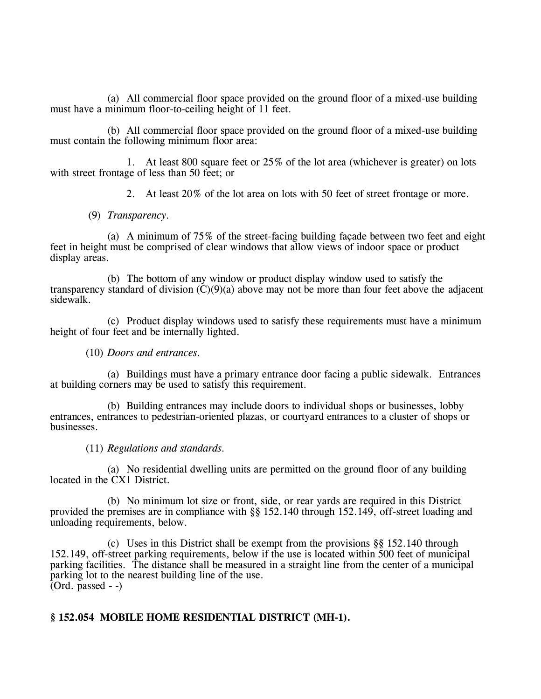(a) All commercial floor space provided on the ground floor of a mixed-use building must have a minimum floor-to-ceiling height of 11 feet.

(b) All commercial floor space provided on the ground floor of a mixed-use building must contain the following minimum floor area:

1. At least 800 square feet or 25% of the lot area (whichever is greater) on lots with street frontage of less than 50 feet; or

2. At least 20% of the lot area on lots with 50 feet of street frontage or more.

(9) *Transparency.*

(a) A minimum of 75% of the street-facing building façade between two feet and eight feet in height must be comprised of clear windows that allow views of indoor space or product display areas.

(b) The bottom of any window or product display window used to satisfy the transparency standard of division  $(C)(9)(a)$  above may not be more than four feet above the adjacent sidewalk.

(c) Product display windows used to satisfy these requirements must have a minimum height of four feet and be internally lighted.

## (10) *Doors and entrances.*

(a) Buildings must have a primary entrance door facing a public sidewalk. Entrances at building corners may be used to satisfy this requirement.

(b) Building entrances may include doors to individual shops or businesses, lobby entrances, entrances to pedestrian-oriented plazas, or courtyard entrances to a cluster of shops or businesses.

## (11) *Regulations and standards.*

(a) No residential dwelling units are permitted on the ground floor of any building located in the CX1 District.

(b) No minimum lot size or front, side, or rear yards are required in this District provided the premises are in compliance with §§ 152.140 through 152.149, off-street loading and unloading requirements, below.

(c) Uses in this District shall be exempt from the provisions §§ 152.140 through 152.149, off-street parking requirements, below if the use is located within 500 feet of municipal parking facilities. The distance shall be measured in a straight line from the center of a municipal parking lot to the nearest building line of the use.  $\overline{(Ord. passed -)}$ 

# **§ 152.054 MOBILE HOME RESIDENTIAL DISTRICT (MH-1).**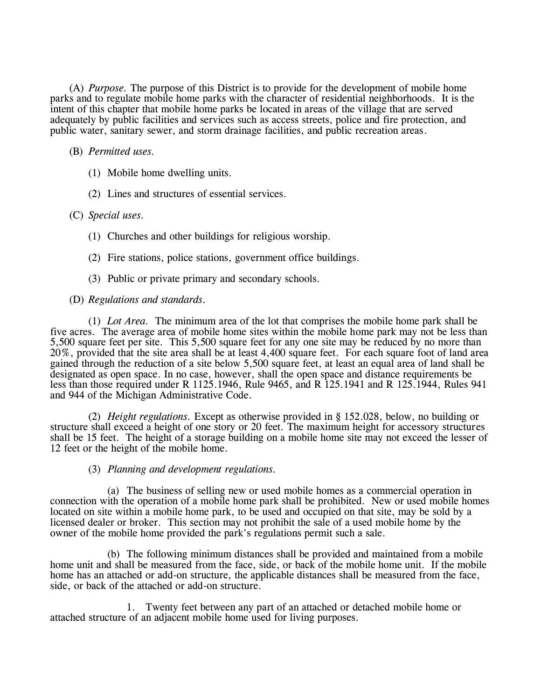(A) *Purpose.* The purpose of this District is to provide for the development of mobile home parks and to regulate mobile home parks with the character of residential neighborhoods. It is the intent of this chapter that mobile home parks be located in areas of the village that are served adequately by public facilities and services such as access streets, police and fire protection, and public water, sanitary sewer, and storm drainage facilities, and public recreation areas.

# (B) *Permitted uses.*

- (1) Mobile home dwelling units.
- (2) Lines and structures of essential services.

## (C) *Special uses.*

- (1) Churches and other buildings for religious worship.
- (2) Fire stations, police stations, government office buildings.
- (3) Public or private primary and secondary schools.
- (D) *Regulations and standards.*

(1) *Lot Area.* The minimum area of the lot that comprises the mobile home park shall be five acres. The average area of mobile home sites within the mobile home park may not be less than 5,500 square feet per site. This 5,500 square feet for any one site may be reduced by no more than 20%, provided that the site area shall be at least 4,400 square feet. For each square foot of land area gained through the reduction of a site below 5,500 square feet, at least an equal area of land shall be designated as open space. In no case, however, shall the open space and distance requirements be less than those required under R 1125.1946, Rule 9465, and R 125.1941 and R 125.1944, Rules 941 and 944 of the Michigan Administrative Code.

(2) *Height regulations.* Except as otherwise provided in § 152.028, below, no building or structure shall exceed a height of one story or 20 feet. The maximum height for accessory structures shall be 15 feet. The height of a storage building on a mobile home site may not exceed the lesser of 12 feet or the height of the mobile home.

## (3) *Planning and development regulations.*

(a) The business of selling new or used mobile homes as a commercial operation in connection with the operation of a mobile home park shall be prohibited. New or used mobile homes located on site within a mobile home park, to be used and occupied on that site, may be sold by a licensed dealer or broker. This section may not prohibit the sale of a used mobile home by the owner of the mobile home provided the park's regulations permit such a sale.

(b) The following minimum distances shall be provided and maintained from a mobile home unit and shall be measured from the face, side, or back of the mobile home unit. If the mobile home has an attached or add-on structure, the applicable distances shall be measured from the face, side, or back of the attached or add-on structure.

1. Twenty feet between any part of an attached or detached mobile home or attached structure of an adjacent mobile home used for living purposes.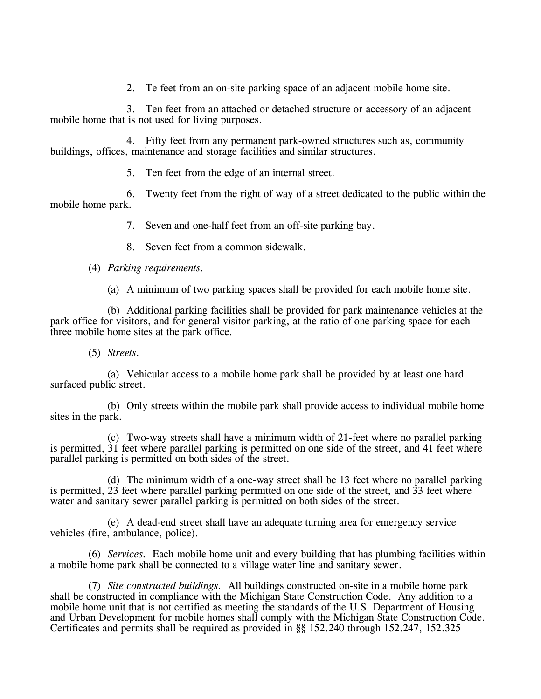2. Te feet from an on-site parking space of an adjacent mobile home site.

3. Ten feet from an attached or detached structure or accessory of an adjacent mobile home that is not used for living purposes.

4. Fifty feet from any permanent park-owned structures such as, community buildings, offices, maintenance and storage facilities and similar structures.

5. Ten feet from the edge of an internal street.

6. Twenty feet from the right of way of a street dedicated to the public within the mobile home park.

7. Seven and one-half feet from an off-site parking bay.

8. Seven feet from a common sidewalk.

# (4) *Parking requirements.*

(a) A minimum of two parking spaces shall be provided for each mobile home site.

(b) Additional parking facilities shall be provided for park maintenance vehicles at the park office for visitors, and for general visitor parking, at the ratio of one parking space for each three mobile home sites at the park office.

# (5) *Streets.*

(a) Vehicular access to a mobile home park shall be provided by at least one hard surfaced public street.

(b) Only streets within the mobile park shall provide access to individual mobile home sites in the park.

(c) Two-way streets shall have a minimum width of 21-feet where no parallel parking is permitted, 31 feet where parallel parking is permitted on one side of the street, and 41 feet where parallel parking is permitted on both sides of the street.

(d) The minimum width of a one-way street shall be 13 feet where no parallel parking is permitted, 23 feet where parallel parking permitted on one side of the street, and 33 feet where water and sanitary sewer parallel parking is permitted on both sides of the street.

(e) A dead-end street shall have an adequate turning area for emergency service vehicles (fire, ambulance, police).

(6) *Services.* Each mobile home unit and every building that has plumbing facilities within a mobile home park shall be connected to a village water line and sanitary sewer.

(7) *Site constructed buildings.* All buildings constructed on-site in a mobile home park shall be constructed in compliance with the Michigan State Construction Code. Any addition to a mobile home unit that is not certified as meeting the standards of the U.S. Department of Housing and Urban Development for mobile homes shall comply with the Michigan State Construction Code. Certificates and permits shall be required as provided in §§ 152.240 through 152.247, 152.325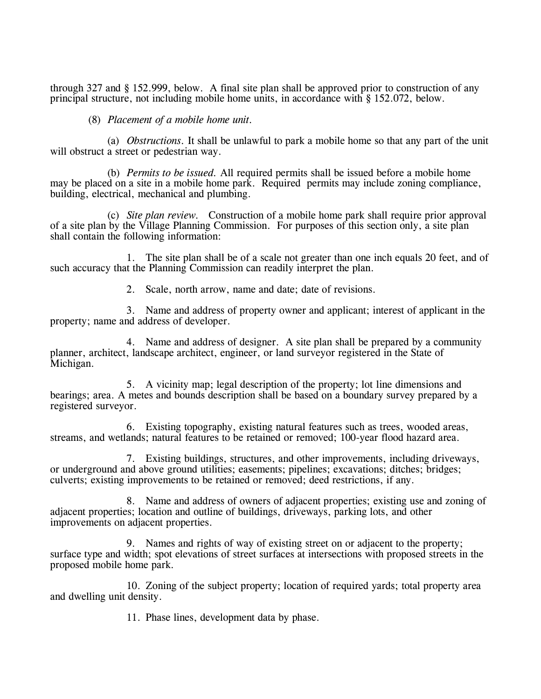through 327 and § 152.999, below. A final site plan shall be approved prior to construction of any principal structure, not including mobile home units, in accordance with § 152.072, below.

## (8) *Placement of a mobile home unit.*

(a) *Obstructions.* It shall be unlawful to park a mobile home so that any part of the unit will obstruct a street or pedestrian way.

(b) *Permits to be issued.* All required permits shall be issued before a mobile home may be placed on a site in a mobile home park. Required permits may include zoning compliance, building, electrical, mechanical and plumbing.

(c) *Site plan review.* Construction of a mobile home park shall require prior approval of a site plan by the Village Planning Commission. For purposes of this section only, a site plan shall contain the following information:

1. The site plan shall be of a scale not greater than one inch equals 20 feet, and of such accuracy that the Planning Commission can readily interpret the plan.

2. Scale, north arrow, name and date; date of revisions.

3. Name and address of property owner and applicant; interest of applicant in the property; name and address of developer.

4. Name and address of designer. A site plan shall be prepared by a community planner, architect, landscape architect, engineer, or land surveyor registered in the State of Michigan.

5. A vicinity map; legal description of the property; lot line dimensions and bearings; area. A metes and bounds description shall be based on a boundary survey prepared by a registered surveyor.

6. Existing topography, existing natural features such as trees, wooded areas, streams, and wetlands; natural features to be retained or removed; 100-year flood hazard area.

7. Existing buildings, structures, and other improvements, including driveways, or underground and above ground utilities; easements; pipelines; excavations; ditches; bridges; culverts; existing improvements to be retained or removed; deed restrictions, if any.

8. Name and address of owners of adjacent properties; existing use and zoning of adjacent properties; location and outline of buildings, driveways, parking lots, and other improvements on adjacent properties.

9. Names and rights of way of existing street on or adjacent to the property; surface type and width; spot elevations of street surfaces at intersections with proposed streets in the proposed mobile home park.

10. Zoning of the subject property; location of required yards; total property area and dwelling unit density.

11. Phase lines, development data by phase.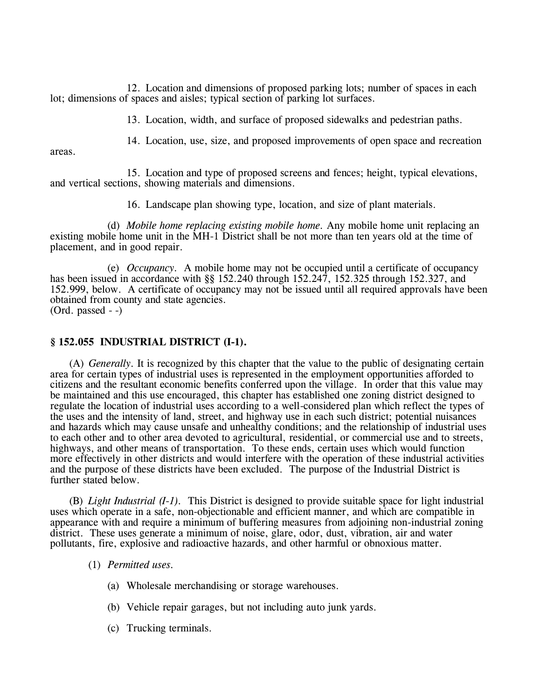12. Location and dimensions of proposed parking lots; number of spaces in each lot; dimensions of spaces and aisles; typical section of parking lot surfaces.

13. Location, width, and surface of proposed sidewalks and pedestrian paths.

14. Location, use, size, and proposed improvements of open space and recreation

areas.

15. Location and type of proposed screens and fences; height, typical elevations, and vertical sections, showing materials and dimensions.

16. Landscape plan showing type, location, and size of plant materials.

(d) *Mobile home replacing existing mobile home.* Any mobile home unit replacing an existing mobile home unit in the MH-1 District shall be not more than ten years old at the time of placement, and in good repair.

(e) *Occupancy.* A mobile home may not be occupied until a certificate of occupancy has been issued in accordance with §§ 152.240 through 152.247, 152.325 through 152.327, and 152.999, below. A certificate of occupancy may not be issued until all required approvals have been obtained from county and state agencies. (Ord. passed - -)

# **§ 152.055 INDUSTRIAL DISTRICT (I-1).**

(A) *Generally.* It is recognized by this chapter that the value to the public of designating certain area for certain types of industrial uses is represented in the employment opportunities afforded to citizens and the resultant economic benefits conferred upon the village. In order that this value may be maintained and this use encouraged, this chapter has established one zoning district designed to regulate the location of industrial uses according to a well-considered plan which reflect the types of the uses and the intensity of land, street, and highway use in each such district; potential nuisances and hazards which may cause unsafe and unhealthy conditions; and the relationship of industrial uses to each other and to other area devoted to agricultural, residential, or commercial use and to streets, highways, and other means of transportation. To these ends, certain uses which would function more effectively in other districts and would interfere with the operation of these industrial activities and the purpose of these districts have been excluded. The purpose of the Industrial District is further stated below.

(B) *Light Industrial (I-1).* This District is designed to provide suitable space for light industrial uses which operate in a safe, non-objectionable and efficient manner, and which are compatible in appearance with and require a minimum of buffering measures from adjoining non-industrial zoning district. These uses generate a minimum of noise, glare, odor, dust, vibration, air and water pollutants, fire, explosive and radioactive hazards, and other harmful or obnoxious matter.

## (1) *Permitted uses.*

- (a) Wholesale merchandising or storage warehouses.
- (b) Vehicle repair garages, but not including auto junk yards.
- (c) Trucking terminals.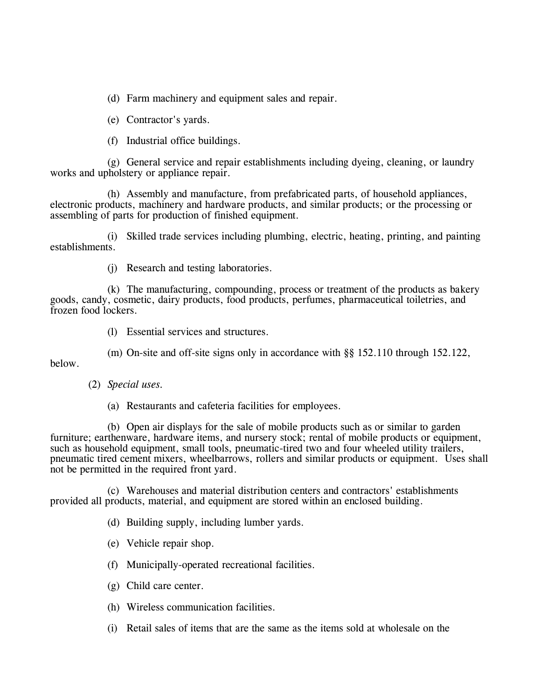(d) Farm machinery and equipment sales and repair.

(e) Contractor's yards.

(f) Industrial office buildings.

(g) General service and repair establishments including dyeing, cleaning, or laundry works and upholstery or appliance repair.

(h) Assembly and manufacture, from prefabricated parts, of household appliances, electronic products, machinery and hardware products, and similar products; or the processing or assembling of parts for production of finished equipment.

(i) Skilled trade services including plumbing, electric, heating, printing, and painting establishments.

(j) Research and testing laboratories.

(k) The manufacturing, compounding, process or treatment of the products as bakery goods, candy, cosmetic, dairy products, food products, perfumes, pharmaceutical toiletries, and frozen food lockers.

(l) Essential services and structures.

(m) On-site and off-site signs only in accordance with §§ 152.110 through 152.122,

below.

(2) *Special uses.*

(a) Restaurants and cafeteria facilities for employees.

(b) Open air displays for the sale of mobile products such as or similar to garden furniture; earthenware, hardware items, and nursery stock; rental of mobile products or equipment, such as household equipment, small tools, pneumatic-tired two and four wheeled utility trailers, pneumatic tired cement mixers, wheelbarrows, rollers and similar products or equipment. Uses shall not be permitted in the required front yard.

(c) Warehouses and material distribution centers and contractors' establishments provided all products, material, and equipment are stored within an enclosed building.

(d) Building supply, including lumber yards.

(e) Vehicle repair shop.

(f) Municipally-operated recreational facilities.

(g) Child care center.

(h) Wireless communication facilities.

(i) Retail sales of items that are the same as the items sold at wholesale on the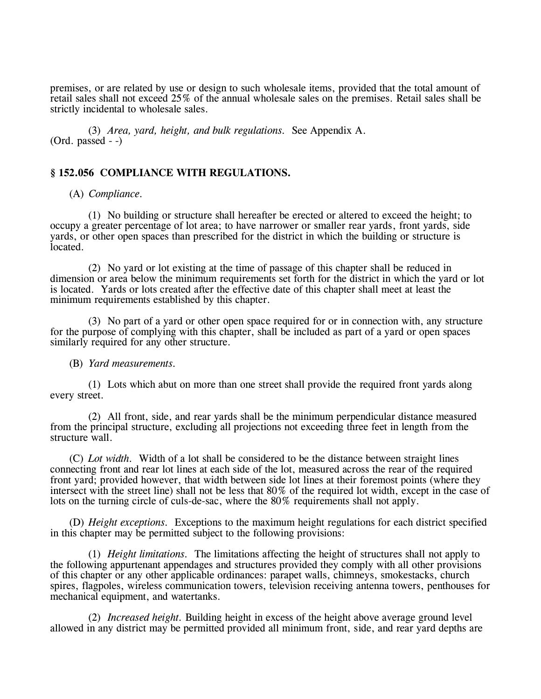premises, or are related by use or design to such wholesale items, provided that the total amount of retail sales shall not exceed 25% of the annual wholesale sales on the premises. Retail sales shall be strictly incidental to wholesale sales.

(3) *Area, yard, height, and bulk regulations.* See Appendix A. (Ord. passed - -)

## **§ 152.056 COMPLIANCE WITH REGULATIONS.**

(A) *Compliance.*

(1) No building or structure shall hereafter be erected or altered to exceed the height; to occupy a greater percentage of lot area; to have narrower or smaller rear yards, front yards, side yards, or other open spaces than prescribed for the district in which the building or structure is located.

(2) No yard or lot existing at the time of passage of this chapter shall be reduced in dimension or area below the minimum requirements set forth for the district in which the yard or lot is located. Yards or lots created after the effective date of this chapter shall meet at least the minimum requirements established by this chapter.

(3) No part of a yard or other open space required for or in connection with, any structure for the purpose of complying with this chapter, shall be included as part of a yard or open spaces similarly required for any other structure.

### (B) *Yard measurements.*

(1) Lots which abut on more than one street shall provide the required front yards along every street.

(2) All front, side, and rear yards shall be the minimum perpendicular distance measured from the principal structure, excluding all projections not exceeding three feet in length from the structure wall.

(C) *Lot width.* Width of a lot shall be considered to be the distance between straight lines connecting front and rear lot lines at each side of the lot, measured across the rear of the required front yard; provided however, that width between side lot lines at their foremost points (where they intersect with the street line) shall not be less that 80% of the required lot width, except in the case of lots on the turning circle of culs-de-sac, where the 80% requirements shall not apply.

(D) *Height exceptions.* Exceptions to the maximum height regulations for each district specified in this chapter may be permitted subject to the following provisions:

(1) *Height limitations.* The limitations affecting the height of structures shall not apply to the following appurtenant appendages and structures provided they comply with all other provisions of this chapter or any other applicable ordinances: parapet walls, chimneys, smokestacks, church spires, flagpoles, wireless communication towers, television receiving antenna towers, penthouses for mechanical equipment, and watertanks.

(2) *Increased height.* Building height in excess of the height above average ground level allowed in any district may be permitted provided all minimum front, side, and rear yard depths are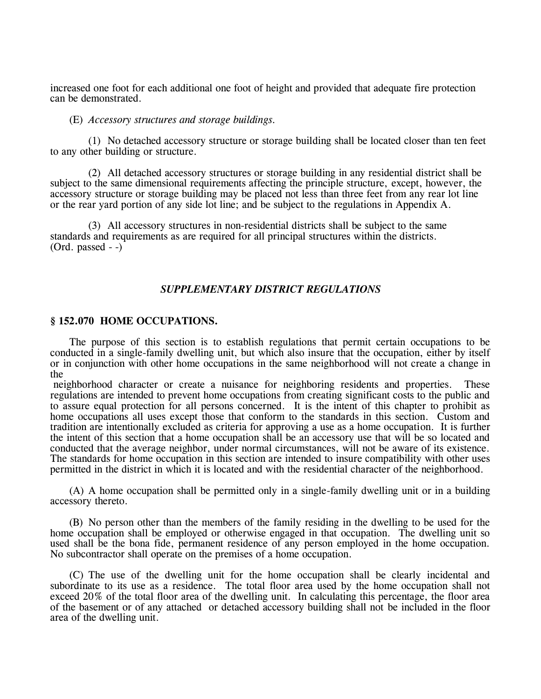increased one foot for each additional one foot of height and provided that adequate fire protection can be demonstrated.

#### (E) *Accessory structures and storage buildings.*

(1) No detached accessory structure or storage building shall be located closer than ten feet to any other building or structure.

(2) All detached accessory structures or storage building in any residential district shall be subject to the same dimensional requirements affecting the principle structure, except, however, the accessory structure or storage building may be placed not less than three feet from any rear lot line or the rear yard portion of any side lot line; and be subject to the regulations in Appendix A.

(3) All accessory structures in non-residential districts shall be subject to the same standards and requirements as are required for all principal structures within the districts.  $(Ord. passed - )$ 

#### *SUPPLEMENTARY DISTRICT REGULATIONS*

### **§ 152.070 HOME OCCUPATIONS.**

The purpose of this section is to establish regulations that permit certain occupations to be conducted in a single-family dwelling unit, but which also insure that the occupation, either by itself or in conjunction with other home occupations in the same neighborhood will not create a change in the

neighborhood character or create a nuisance for neighboring residents and properties. These regulations are intended to prevent home occupations from creating significant costs to the public and to assure equal protection for all persons concerned. It is the intent of this chapter to prohibit as home occupations all uses except those that conform to the standards in this section. Custom and tradition are intentionally excluded as criteria for approving a use as a home occupation. It is further the intent of this section that a home occupation shall be an accessory use that will be so located and conducted that the average neighbor, under normal circumstances, will not be aware of its existence. The standards for home occupation in this section are intended to insure compatibility with other uses permitted in the district in which it is located and with the residential character of the neighborhood.

(A) A home occupation shall be permitted only in a single-family dwelling unit or in a building accessory thereto.

(B) No person other than the members of the family residing in the dwelling to be used for the home occupation shall be employed or otherwise engaged in that occupation. The dwelling unit so used shall be the bona fide, permanent residence of any person employed in the home occupation. No subcontractor shall operate on the premises of a home occupation.

(C) The use of the dwelling unit for the home occupation shall be clearly incidental and subordinate to its use as a residence. The total floor area used by the home occupation shall not exceed 20% of the total floor area of the dwelling unit. In calculating this percentage, the floor area of the basement or of any attached or detached accessory building shall not be included in the floor area of the dwelling unit.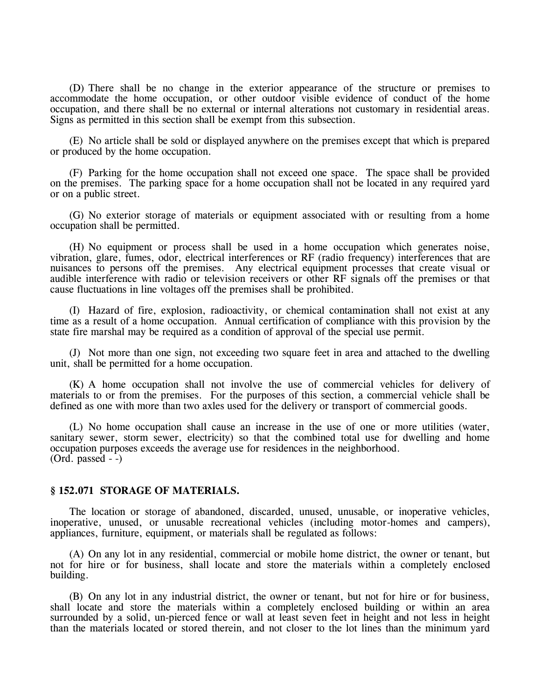(D) There shall be no change in the exterior appearance of the structure or premises to accommodate the home occupation, or other outdoor visible evidence of conduct of the home occupation, and there shall be no external or internal alterations not customary in residential areas. Signs as permitted in this section shall be exempt from this subsection.

(E) No article shall be sold or displayed anywhere on the premises except that which is prepared or produced by the home occupation.

(F) Parking for the home occupation shall not exceed one space. The space shall be provided on the premises. The parking space for a home occupation shall not be located in any required yard or on a public street.

(G) No exterior storage of materials or equipment associated with or resulting from a home occupation shall be permitted.

(H) No equipment or process shall be used in a home occupation which generates noise, vibration, glare, fumes, odor, electrical interferences or RF (radio frequency) interferences that are nuisances to persons off the premises. Any electrical equipment processes that create visual or audible interference with radio or television receivers or other RF signals off the premises or that cause fluctuations in line voltages off the premises shall be prohibited.

(I) Hazard of fire, explosion, radioactivity, or chemical contamination shall not exist at any time as a result of a home occupation. Annual certification of compliance with this provision by the state fire marshal may be required as a condition of approval of the special use permit.

(J) Not more than one sign, not exceeding two square feet in area and attached to the dwelling unit, shall be permitted for a home occupation.

(K) A home occupation shall not involve the use of commercial vehicles for delivery of materials to or from the premises. For the purposes of this section, a commercial vehicle shall be defined as one with more than two axles used for the delivery or transport of commercial goods.

(L) No home occupation shall cause an increase in the use of one or more utilities (water, sanitary sewer, storm sewer, electricity) so that the combined total use for dwelling and home occupation purposes exceeds the average use for residences in the neighborhood.  $(Ord. passed - )$ 

### **§ 152.071 STORAGE OF MATERIALS.**

The location or storage of abandoned, discarded, unused, unusable, or inoperative vehicles, inoperative, unused, or unusable recreational vehicles (including motor-homes and campers), appliances, furniture, equipment, or materials shall be regulated as follows:

(A) On any lot in any residential, commercial or mobile home district, the owner or tenant, but not for hire or for business, shall locate and store the materials within a completely enclosed building.

(B) On any lot in any industrial district, the owner or tenant, but not for hire or for business, shall locate and store the materials within a completely enclosed building or within an area surrounded by a solid, un-pierced fence or wall at least seven feet in height and not less in height than the materials located or stored therein, and not closer to the lot lines than the minimum yard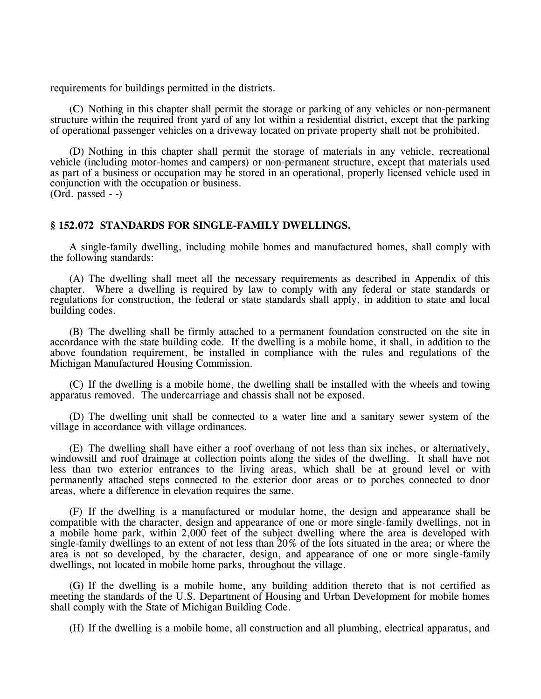requirements for buildings permitted in the districts.

(C) Nothing in this chapter shall permit the storage or parking of any vehicles or non-permanent structure within the required front yard of any lot within a residential district, except that the parking of operational passenger vehicles on a driveway located on private property shall not be prohibited.

(D) Nothing in this chapter shall permit the storage of materials in any vehicle, recreational vehicle (including motor-homes and campers) or non-permanent structure, except that materials used as part of a business or occupation may be stored in an operational, properly licensed vehicle used in conjunction with the occupation or business. (Ord. passed - -)

### **§ 152.072 STANDARDS FOR SINGLE-FAMILY DWELLINGS.**

A single-family dwelling, including mobile homes and manufactured homes, shall comply with the following standards:

(A) The dwelling shall meet all the necessary requirements as described in Appendix of this chapter. Where a dwelling is required by law to comply with any federal or state standards or regulations for construction, the federal or state standards shall apply, in addition to state and local building codes.

(B) The dwelling shall be firmly attached to a permanent foundation constructed on the site in accordance with the state building code. If the dwelling is a mobile home, it shall, in addition to the above foundation requirement, be installed in compliance with the rules and regulations of the Michigan Manufactured Housing Commission.

(C) If the dwelling is a mobile home, the dwelling shall be installed with the wheels and towing apparatus removed. The undercarriage and chassis shall not be exposed.

(D) The dwelling unit shall be connected to a water line and a sanitary sewer system of the village in accordance with village ordinances.

(E) The dwelling shall have either a roof overhang of not less than six inches, or alternatively, windowsill and roof drainage at collection points along the sides of the dwelling. It shall have not less than two exterior entrances to the living areas, which shall be at ground level or with permanently attached steps connected to the exterior door areas or to porches connected to door areas, where a difference in elevation requires the same.

(F) If the dwelling is a manufactured or modular home, the design and appearance shall be compatible with the character, design and appearance of one or more single-family dwellings, not in a mobile home park, within 2,000 feet of the subject dwelling where the area is developed with single-family dwellings to an extent of not less than 20% of the lots situated in the area; or where the area is not so developed, by the character, design, and appearance of one or more single-family dwellings, not located in mobile home parks, throughout the village.

(G) If the dwelling is a mobile home, any building addition thereto that is not certified as meeting the standards of the U.S. Department of Housing and Urban Development for mobile homes shall comply with the State of Michigan Building Code.

(H) If the dwelling is a mobile home, all construction and all plumbing, electrical apparatus, and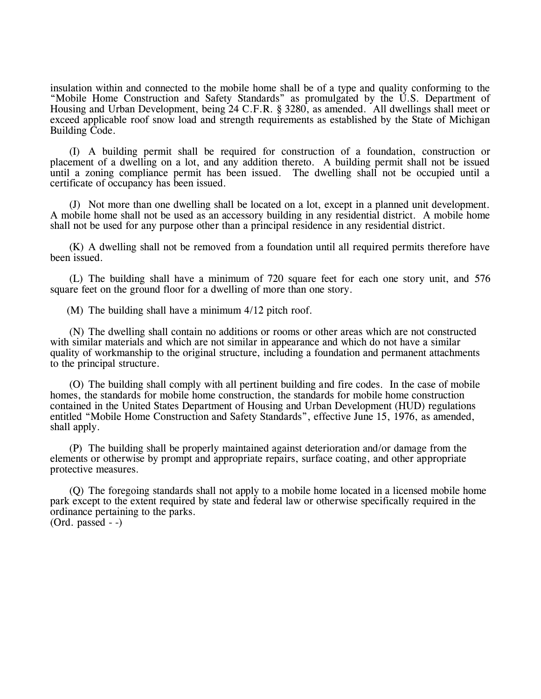insulation within and connected to the mobile home shall be of a type and quality conforming to the "Mobile Home Construction and Safety Standards" as promulgated by the U.S. Department of Housing and Urban Development, being 24 C.F.R. § 3280, as amended. All dwellings shall meet or exceed applicable roof snow load and strength requirements as established by the State of Michigan Building Code.

(I) A building permit shall be required for construction of a foundation, construction or placement of a dwelling on a lot, and any addition thereto. A building permit shall not be issued until a zoning compliance permit has been issued. The dwelling shall not be occupied until a certificate of occupancy has been issued.

(J) Not more than one dwelling shall be located on a lot, except in a planned unit development. A mobile home shall not be used as an accessory building in any residential district. A mobile home shall not be used for any purpose other than a principal residence in any residential district.

(K) A dwelling shall not be removed from a foundation until all required permits therefore have been issued.

(L) The building shall have a minimum of 720 square feet for each one story unit, and 576 square feet on the ground floor for a dwelling of more than one story.

(M) The building shall have a minimum 4/12 pitch roof.

(N) The dwelling shall contain no additions or rooms or other areas which are not constructed with similar materials and which are not similar in appearance and which do not have a similar quality of workmanship to the original structure, including a foundation and permanent attachments to the principal structure.

(O) The building shall comply with all pertinent building and fire codes. In the case of mobile homes, the standards for mobile home construction, the standards for mobile home construction contained in the United States Department of Housing and Urban Development (HUD) regulations entitled "Mobile Home Construction and Safety Standards", effective June 15, 1976, as amended, shall apply.

(P) The building shall be properly maintained against deterioration and/or damage from the elements or otherwise by prompt and appropriate repairs, surface coating, and other appropriate protective measures.

(Q) The foregoing standards shall not apply to a mobile home located in a licensed mobile home park except to the extent required by state and federal law or otherwise specifically required in the ordinance pertaining to the parks.  $(Ord. passed - )$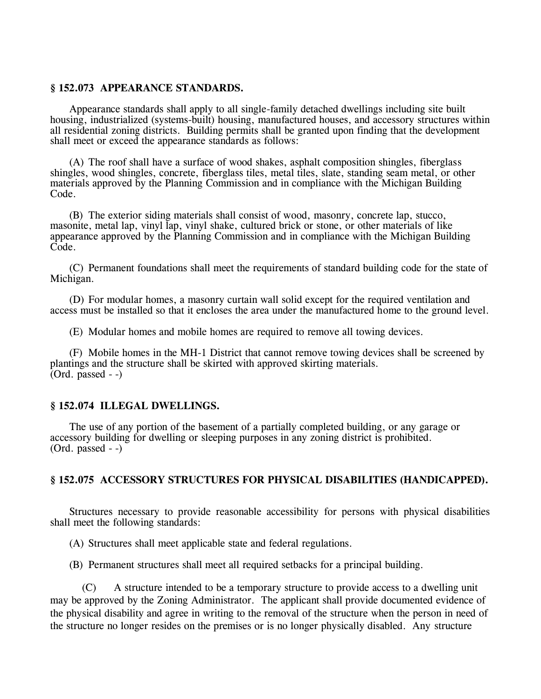## **§ 152.073 APPEARANCE STANDARDS.**

Appearance standards shall apply to all single-family detached dwellings including site built housing, industrialized (systems-built) housing, manufactured houses, and accessory structures within all residential zoning districts. Building permits shall be granted upon finding that the development shall meet or exceed the appearance standards as follows:

(A) The roof shall have a surface of wood shakes, asphalt composition shingles, fiberglass shingles, wood shingles, concrete, fiberglass tiles, metal tiles, slate, standing seam metal, or other materials approved by the Planning Commission and in compliance with the Michigan Building Code.

(B) The exterior siding materials shall consist of wood, masonry, concrete lap, stucco, masonite, metal lap, vinyl lap, vinyl shake, cultured brick or stone, or other materials of like appearance approved by the Planning Commission and in compliance with the Michigan Building Code.

(C) Permanent foundations shall meet the requirements of standard building code for the state of Michigan.

(D) For modular homes, a masonry curtain wall solid except for the required ventilation and access must be installed so that it encloses the area under the manufactured home to the ground level.

(E) Modular homes and mobile homes are required to remove all towing devices.

(F) Mobile homes in the MH-1 District that cannot remove towing devices shall be screened by plantings and the structure shall be skirted with approved skirting materials.  $(Ord. passed - )$ 

## **§ 152.074 ILLEGAL DWELLINGS.**

The use of any portion of the basement of a partially completed building, or any garage or accessory building for dwelling or sleeping purposes in any zoning district is prohibited.  $(Ord. passed - )$ 

## **§ 152.075 ACCESSORY STRUCTURES FOR PHYSICAL DISABILITIES (HANDICAPPED).**

Structures necessary to provide reasonable accessibility for persons with physical disabilities shall meet the following standards:

(A) Structures shall meet applicable state and federal regulations.

(B) Permanent structures shall meet all required setbacks for a principal building.

(C) A structure intended to be a temporary structure to provide access to a dwelling unit may be approved by the Zoning Administrator. The applicant shall provide documented evidence of the physical disability and agree in writing to the removal of the structure when the person in need of the structure no longer resides on the premises or is no longer physically disabled. Any structure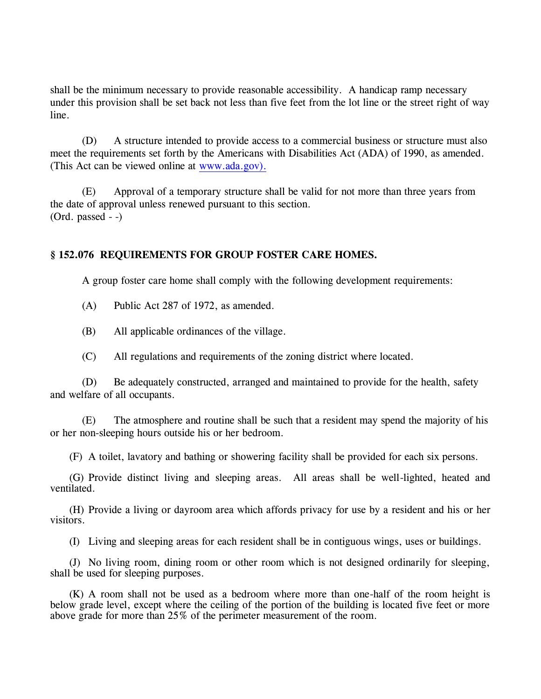shall be the minimum necessary to provide reasonable accessibility. A handicap ramp necessary under this provision shall be set back not less than five feet from the lot line or the street right of way line.

(D) A structure intended to provide access to a commercial business or structure must also meet the requirements set forth by the Americans with Disabilities Act (ADA) of 1990, as amended. (This Act can be viewed online at [www.ada.gov\).](http://www.ada.gov)./)

(E) Approval of a temporary structure shall be valid for not more than three years from the date of approval unless renewed pursuant to this section. (Ord. passed - -)

# **§ 152.076 REQUIREMENTS FOR GROUP FOSTER CARE HOMES.**

A group foster care home shall comply with the following development requirements:

(A) Public Act 287 of 1972, as amended.

(B) All applicable ordinances of the village.

(C) All regulations and requirements of the zoning district where located.

(D) Be adequately constructed, arranged and maintained to provide for the health, safety and welfare of all occupants.

(E) The atmosphere and routine shall be such that a resident may spend the majority of his or her non-sleeping hours outside his or her bedroom.

(F) A toilet, lavatory and bathing or showering facility shall be provided for each six persons.

(G) Provide distinct living and sleeping areas. All areas shall be well-lighted, heated and ventilated.

(H) Provide a living or dayroom area which affords privacy for use by a resident and his or her visitors.

(I) Living and sleeping areas for each resident shall be in contiguous wings, uses or buildings.

(J) No living room, dining room or other room which is not designed ordinarily for sleeping, shall be used for sleeping purposes.

(K) A room shall not be used as a bedroom where more than one-half of the room height is below grade level, except where the ceiling of the portion of the building is located five feet or more above grade for more than 25% of the perimeter measurement of the room.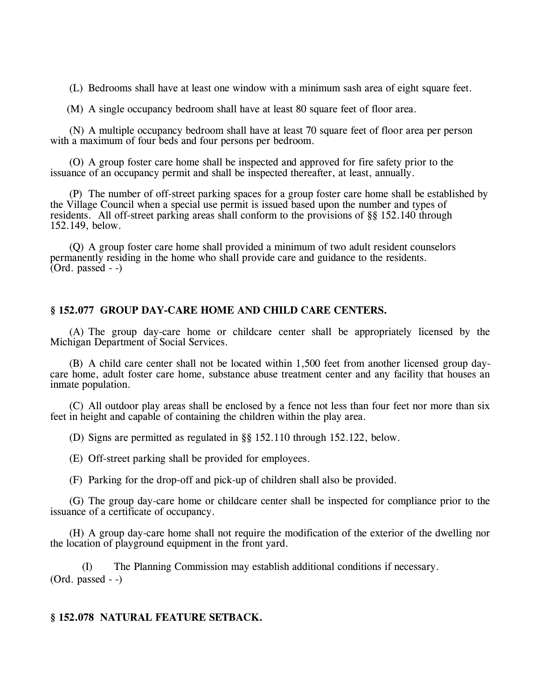(L) Bedrooms shall have at least one window with a minimum sash area of eight square feet.

(M) A single occupancy bedroom shall have at least 80 square feet of floor area.

(N) A multiple occupancy bedroom shall have at least 70 square feet of floor area per person with a maximum of four beds and four persons per bedroom.

(O) A group foster care home shall be inspected and approved for fire safety prior to the issuance of an occupancy permit and shall be inspected thereafter, at least, annually.

(P) The number of off-street parking spaces for a group foster care home shall be established by the Village Council when a special use permit is issued based upon the number and types of residents. All off-street parking areas shall conform to the provisions of §§ 152.140 through 152.149, below.

(Q) A group foster care home shall provided a minimum of two adult resident counselors permanently residing in the home who shall provide care and guidance to the residents.  $(Ord. passed - )$ 

### **§ 152.077 GROUP DAY-CARE HOME AND CHILD CARE CENTERS.**

(A) The group day-care home or childcare center shall be appropriately licensed by the Michigan Department of Social Services.

(B) A child care center shall not be located within 1,500 feet from another licensed group daycare home, adult foster care home, substance abuse treatment center and any facility that houses an inmate population.

(C) All outdoor play areas shall be enclosed by a fence not less than four feet nor more than six feet in height and capable of containing the children within the play area.

(D) Signs are permitted as regulated in §§ 152.110 through 152.122, below.

(E) Off-street parking shall be provided for employees.

(F) Parking for the drop-off and pick-up of children shall also be provided.

(G) The group day-care home or childcare center shall be inspected for compliance prior to the issuance of a certificate of occupancy.

(H) A group day-care home shall not require the modification of the exterior of the dwelling nor the location of playground equipment in the front yard.

(I) The Planning Commission may establish additional conditions if necessary. (Ord. passed - -)

## **§ 152.078 NATURAL FEATURE SETBACK.**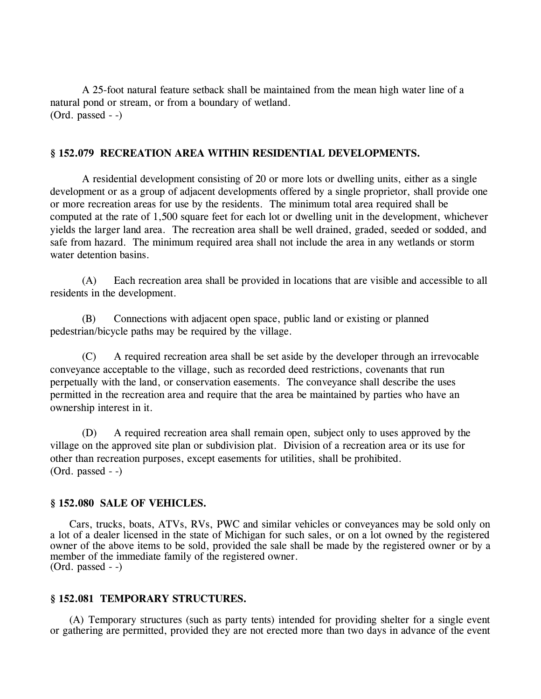A 25-foot natural feature setback shall be maintained from the mean high water line of a natural pond or stream, or from a boundary of wetland. (Ord. passed - -)

# **§ 152.079 RECREATION AREA WITHIN RESIDENTIAL DEVELOPMENTS.**

A residential development consisting of 20 or more lots or dwelling units, either as a single development or as a group of adjacent developments offered by a single proprietor, shall provide one or more recreation areas for use by the residents. The minimum total area required shall be computed at the rate of 1,500 square feet for each lot or dwelling unit in the development, whichever yields the larger land area. The recreation area shall be well drained, graded, seeded or sodded, and safe from hazard. The minimum required area shall not include the area in any wetlands or storm water detention basins.

(A) Each recreation area shall be provided in locations that are visible and accessible to all residents in the development.

(B) Connections with adjacent open space, public land or existing or planned pedestrian/bicycle paths may be required by the village.

(C) A required recreation area shall be set aside by the developer through an irrevocable conveyance acceptable to the village, such as recorded deed restrictions, covenants that run perpetually with the land, or conservation easements. The conveyance shall describe the uses permitted in the recreation area and require that the area be maintained by parties who have an ownership interest in it.

(D) A required recreation area shall remain open, subject only to uses approved by the village on the approved site plan or subdivision plat. Division of a recreation area or its use for other than recreation purposes, except easements for utilities, shall be prohibited. (Ord. passed - -)

## **§ 152.080 SALE OF VEHICLES.**

Cars, trucks, boats, ATVs, RVs, PWC and similar vehicles or conveyances may be sold only on a lot of a dealer licensed in the state of Michigan for such sales, or on a lot owned by the registered owner of the above items to be sold, provided the sale shall be made by the registered owner or by a member of the immediate family of the registered owner. (Ord. passed - -)

## **§ 152.081 TEMPORARY STRUCTURES.**

(A) Temporary structures (such as party tents) intended for providing shelter for a single event or gathering are permitted, provided they are not erected more than two days in advance of the event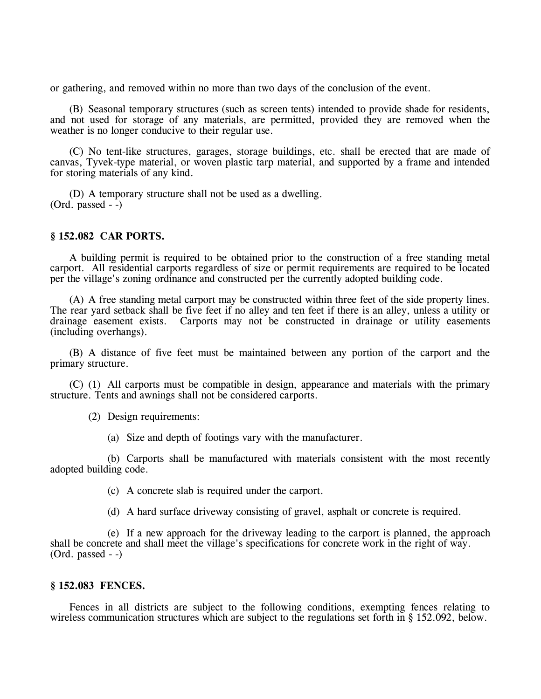or gathering, and removed within no more than two days of the conclusion of the event.

(B) Seasonal temporary structures (such as screen tents) intended to provide shade for residents, and not used for storage of any materials, are permitted, provided they are removed when the weather is no longer conducive to their regular use.

(C) No tent-like structures, garages, storage buildings, etc. shall be erected that are made of canvas, Tyvek-type material, or woven plastic tarp material, and supported by a frame and intended for storing materials of any kind.

(D) A temporary structure shall not be used as a dwelling. (Ord. passed - -)

#### **§ 152.082 CAR PORTS.**

A building permit is required to be obtained prior to the construction of a free standing metal carport. All residential carports regardless of size or permit requirements are required to be located per the village's zoning ordinance and constructed per the currently adopted building code.

(A) A free standing metal carport may be constructed within three feet of the side property lines. The rear yard setback shall be five feet if no alley and ten feet if there is an alley, unless a utility or drainage easement exists. Carports may not be constructed in drainage or utility easements (including overhangs).

(B) A distance of five feet must be maintained between any portion of the carport and the primary structure.

(C) (1) All carports must be compatible in design, appearance and materials with the primary structure. Tents and awnings shall not be considered carports.

(2) Design requirements:

(a) Size and depth of footings vary with the manufacturer.

(b) Carports shall be manufactured with materials consistent with the most recently adopted building code.

(c) A concrete slab is required under the carport.

(d) A hard surface driveway consisting of gravel, asphalt or concrete is required.

(e) If a new approach for the driveway leading to the carport is planned, the approach shall be concrete and shall meet the village's specifications for concrete work in the right of way. (Ord. passed - -)

#### **§ 152.083 FENCES.**

Fences in all districts are subject to the following conditions, exempting fences relating to wireless communication structures which are subject to the regulations set forth in § 152.092, below.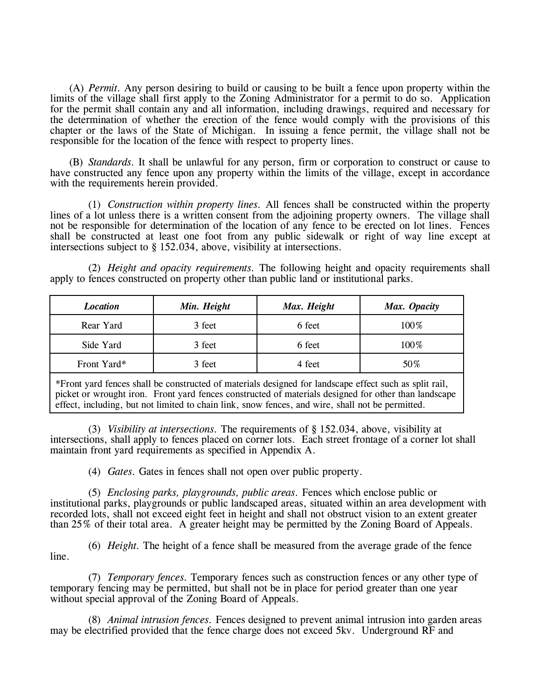(A) *Permit.* Any person desiring to build or causing to be built a fence upon property within the limits of the village shall first apply to the Zoning Administrator for a permit to do so. Application for the permit shall contain any and all information, including drawings, required and necessary for the determination of whether the erection of the fence would comply with the provisions of this chapter or the laws of the State of Michigan. In issuing a fence permit, the village shall not be responsible for the location of the fence with respect to property lines.

(B) *Standards.* It shall be unlawful for any person, firm or corporation to construct or cause to have constructed any fence upon any property within the limits of the village, except in accordance with the requirements herein provided.

(1) *Construction within property lines.* All fences shall be constructed within the property lines of a lot unless there is a written consent from the adjoining property owners. The village shall not be responsible for determination of the location of any fence to be erected on lot lines. Fences shall be constructed at least one foot from any public sidewalk or right of way line except at intersections subject to § 152.034, above, visibility at intersections.

(2) *Height and opacity requirements.* The following height and opacity requirements shall apply to fences constructed on property other than public land or institutional parks.

| <b>Location</b> | Min. Height | Max. Height | Max. Opacity |
|-----------------|-------------|-------------|--------------|
| Rear Yard       | 3 feet      | 6 feet      | 100%         |
| Side Yard       | 3 feet      | 6 feet      | 100%         |
| Front Yard*     | 3 feet      | 4 feet      | 50%          |

\*Front yard fences shall be constructed of materials designed for landscape effect such as split rail, picket or wrought iron. Front yard fences constructed of materials designed for other than landscape effect, including, but not limited to chain link, snow fences, and wire, shall not be permitted.

(3) *Visibility at intersections.* The requirements of § 152.034, above, visibility at intersections, shall apply to fences placed on corner lots. Each street frontage of a corner lot shall maintain front yard requirements as specified in Appendix A.

(4) *Gates.* Gates in fences shall not open over public property.

(5) *Enclosing parks, playgrounds, public areas.* Fences which enclose public or institutional parks, playgrounds or public landscaped areas, situated within an area development with recorded lots, shall not exceed eight feet in height and shall not obstruct vision to an extent greater than 25% of their total area. A greater height may be permitted by the Zoning Board of Appeals.

(6) *Height.* The height of a fence shall be measured from the average grade of the fence line.

(7) *Temporary fences.* Temporary fences such as construction fences or any other type of temporary fencing may be permitted, but shall not be in place for period greater than one year without special approval of the Zoning Board of Appeals.

(8) *Animal intrusion fences.* Fences designed to prevent animal intrusion into garden areas may be electrified provided that the fence charge does not exceed 5kv. Underground RF and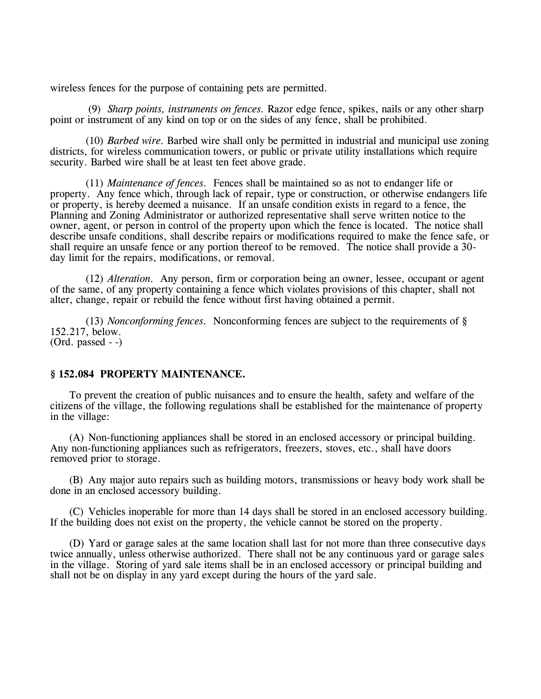wireless fences for the purpose of containing pets are permitted.

(9) *Sharp points, instruments on fences.* Razor edge fence, spikes, nails or any other sharp point or instrument of any kind on top or on the sides of any fence, shall be prohibited.

(10) *Barbed wire.* Barbed wire shall only be permitted in industrial and municipal use zoning districts, for wireless communication towers, or public or private utility installations which require security. Barbed wire shall be at least ten feet above grade.

(11) *Maintenance of fences.* Fences shall be maintained so as not to endanger life or property. Any fence which, through lack of repair, type or construction, or otherwise endangers life or property, is hereby deemed a nuisance. If an unsafe condition exists in regard to a fence, the Planning and Zoning Administrator or authorized representative shall serve written notice to the owner, agent, or person in control of the property upon which the fence is located. The notice shall describe unsafe conditions, shall describe repairs or modifications required to make the fence safe, or shall require an unsafe fence or any portion thereof to be removed. The notice shall provide a 30 day limit for the repairs, modifications, or removal.

(12) *Alteration.* Any person, firm or corporation being an owner, lessee, occupant or agent of the same, of any property containing a fence which violates provisions of this chapter, shall not alter, change, repair or rebuild the fence without first having obtained a permit.

(13) *Nonconforming fences.* Nonconforming fences are subject to the requirements of § 152.217, below. (Ord. passed - -)

## **§ 152.084 PROPERTY MAINTENANCE.**

To prevent the creation of public nuisances and to ensure the health, safety and welfare of the citizens of the village, the following regulations shall be established for the maintenance of property in the village:

(A) Non-functioning appliances shall be stored in an enclosed accessory or principal building. Any non-functioning appliances such as refrigerators, freezers, stoves, etc., shall have doors removed prior to storage.

(B) Any major auto repairs such as building motors, transmissions or heavy body work shall be done in an enclosed accessory building.

(C) Vehicles inoperable for more than 14 days shall be stored in an enclosed accessory building. If the building does not exist on the property, the vehicle cannot be stored on the property.

(D) Yard or garage sales at the same location shall last for not more than three consecutive days twice annually, unless otherwise authorized. There shall not be any continuous yard or garage sales in the village. Storing of yard sale items shall be in an enclosed accessory or principal building and shall not be on display in any yard except during the hours of the yard sale.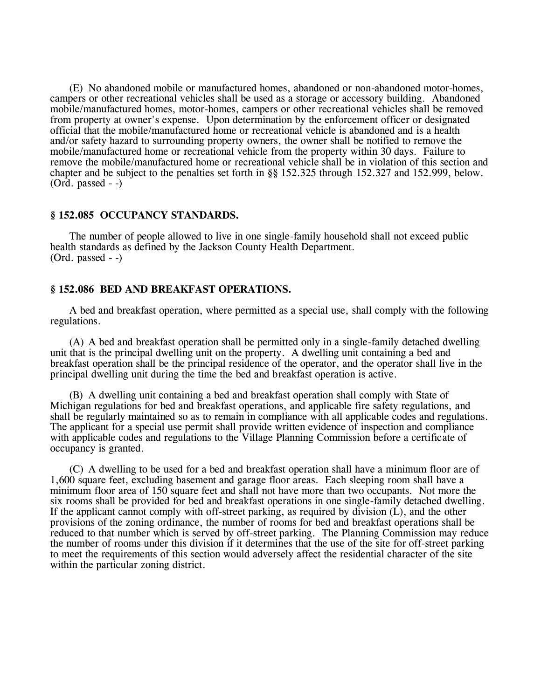(E) No abandoned mobile or manufactured homes, abandoned or non-abandoned motor-homes, campers or other recreational vehicles shall be used as a storage or accessory building. Abandoned mobile/manufactured homes, motor-homes, campers or other recreational vehicles shall be removed from property at owner's expense. Upon determination by the enforcement officer or designated official that the mobile/manufactured home or recreational vehicle is abandoned and is a health and/or safety hazard to surrounding property owners, the owner shall be notified to remove the mobile/manufactured home or recreational vehicle from the property within 30 days. Failure to remove the mobile/manufactured home or recreational vehicle shall be in violation of this section and chapter and be subject to the penalties set forth in §§ 152.325 through 152.327 and 152.999, below. (Ord. passed - -)

### **§ 152.085 OCCUPANCY STANDARDS.**

The number of people allowed to live in one single-family household shall not exceed public health standards as defined by the Jackson County Health Department. (Ord. passed - -)

#### **§ 152.086 BED AND BREAKFAST OPERATIONS.**

A bed and breakfast operation, where permitted as a special use, shall comply with the following regulations.

(A) A bed and breakfast operation shall be permitted only in a single-family detached dwelling unit that is the principal dwelling unit on the property. A dwelling unit containing a bed and breakfast operation shall be the principal residence of the operator, and the operator shall live in the principal dwelling unit during the time the bed and breakfast operation is active.

(B) A dwelling unit containing a bed and breakfast operation shall comply with State of Michigan regulations for bed and breakfast operations, and applicable fire safety regulations, and shall be regularly maintained so as to remain in compliance with all applicable codes and regulations. The applicant for a special use permit shall provide written evidence of inspection and compliance with applicable codes and regulations to the Village Planning Commission before a certificate of occupancy is granted.

(C) A dwelling to be used for a bed and breakfast operation shall have a minimum floor are of 1,600 square feet, excluding basement and garage floor areas. Each sleeping room shall have a minimum floor area of 150 square feet and shall not have more than two occupants. Not more the six rooms shall be provided for bed and breakfast operations in one single-family detached dwelling. If the applicant cannot comply with off-street parking, as required by division  $(L)$ , and the other provisions of the zoning ordinance, the number of rooms for bed and breakfast operations shall be reduced to that number which is served by off-street parking. The Planning Commission may reduce the number of rooms under this division if it determines that the use of the site for off-street parking to meet the requirements of this section would adversely affect the residential character of the site within the particular zoning district.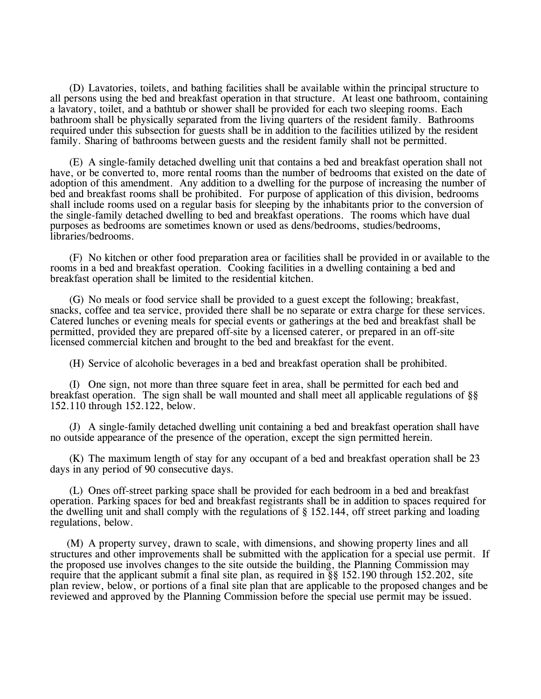(D) Lavatories, toilets, and bathing facilities shall be available within the principal structure to all persons using the bed and breakfast operation in that structure. At least one bathroom, containing a lavatory, toilet, and a bathtub or shower shall be provided for each two sleeping rooms. Each bathroom shall be physically separated from the living quarters of the resident family. Bathrooms required under this subsection for guests shall be in addition to the facilities utilized by the resident family. Sharing of bathrooms between guests and the resident family shall not be permitted.

(E) A single-family detached dwelling unit that contains a bed and breakfast operation shall not have, or be converted to, more rental rooms than the number of bedrooms that existed on the date of adoption of this amendment. Any addition to a dwelling for the purpose of increasing the number of bed and breakfast rooms shall be prohibited. For purpose of application of this division, bedrooms shall include rooms used on a regular basis for sleeping by the inhabitants prior to the conversion of the single-family detached dwelling to bed and breakfast operations. The rooms which have dual purposes as bedrooms are sometimes known or used as dens/bedrooms, studies/bedrooms, libraries/bedrooms.

(F) No kitchen or other food preparation area or facilities shall be provided in or available to the rooms in a bed and breakfast operation. Cooking facilities in a dwelling containing a bed and breakfast operation shall be limited to the residential kitchen.

(G) No meals or food service shall be provided to a guest except the following; breakfast, snacks, coffee and tea service, provided there shall be no separate or extra charge for these services. Catered lunches or evening meals for special events or gatherings at the bed and breakfast shall be permitted, provided they are prepared off-site by a licensed caterer, or prepared in an off-site licensed commercial kitchen and brought to the bed and breakfast for the event.

(H) Service of alcoholic beverages in a bed and breakfast operation shall be prohibited.

(I) One sign, not more than three square feet in area, shall be permitted for each bed and breakfast operation. The sign shall be wall mounted and shall meet all applicable regulations of §§ 152.110 through 152.122, below.

(J) A single-family detached dwelling unit containing a bed and breakfast operation shall have no outside appearance of the presence of the operation, except the sign permitted herein.

(K) The maximum length of stay for any occupant of a bed and breakfast operation shall be 23 days in any period of 90 consecutive days.

(L) Ones off-street parking space shall be provided for each bedroom in a bed and breakfast operation. Parking spaces for bed and breakfast registrants shall be in addition to spaces required for the dwelling unit and shall comply with the regulations of § 152.144, off street parking and loading regulations, below.

(M) A property survey, drawn to scale, with dimensions, and showing property lines and all structures and other improvements shall be submitted with the application for a special use permit. If the proposed use involves changes to the site outside the building, the Planning Commission may require that the applicant submit a final site plan, as required in §§ 152.190 through 152.202, site plan review, below, or portions of a final site plan that are applicable to the proposed changes and be reviewed and approved by the Planning Commission before the special use permit may be issued.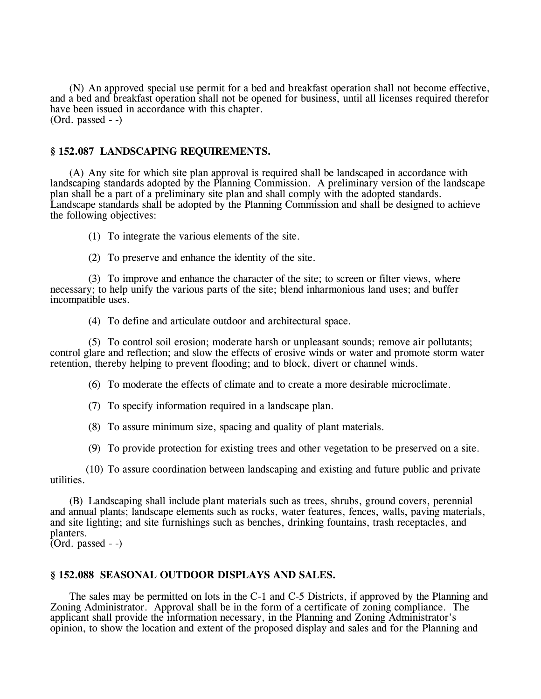(N) An approved special use permit for a bed and breakfast operation shall not become effective, and a bed and breakfast operation shall not be opened for business, until all licenses required therefor have been issued in accordance with this chapter. (Ord. passed - -)

## **§ 152.087 LANDSCAPING REQUIREMENTS.**

(A) Any site for which site plan approval is required shall be landscaped in accordance with landscaping standards adopted by the Planning Commission. A preliminary version of the landscape plan shall be a part of a preliminary site plan and shall comply with the adopted standards. Landscape standards shall be adopted by the Planning Commission and shall be designed to achieve the following objectives:

(1) To integrate the various elements of the site.

(2) To preserve and enhance the identity of the site.

(3) To improve and enhance the character of the site; to screen or filter views, where necessary; to help unify the various parts of the site; blend inharmonious land uses; and buffer incompatible uses.

(4) To define and articulate outdoor and architectural space.

(5) To control soil erosion; moderate harsh or unpleasant sounds; remove air pollutants; control glare and reflection; and slow the effects of erosive winds or water and promote storm water retention, thereby helping to prevent flooding; and to block, divert or channel winds.

(6) To moderate the effects of climate and to create a more desirable microclimate.

(7) To specify information required in a landscape plan.

(8) To assure minimum size, spacing and quality of plant materials.

(9) To provide protection for existing trees and other vegetation to be preserved on a site.

(10) To assure coordination between landscaping and existing and future public and private utilities.

(B) Landscaping shall include plant materials such as trees, shrubs, ground covers, perennial and annual plants; landscape elements such as rocks, water features, fences, walls, paving materials, and site lighting; and site furnishings such as benches, drinking fountains, trash receptacles, and planters.

 $\overline{(Ord. passed -)}$ 

# **§ 152.088 SEASONAL OUTDOOR DISPLAYS AND SALES.**

The sales may be permitted on lots in the C-1 and C-5 Districts, if approved by the Planning and Zoning Administrator. Approval shall be in the form of a certificate of zoning compliance. The applicant shall provide the information necessary, in the Planning and Zoning Administrator's opinion, to show the location and extent of the proposed display and sales and for the Planning and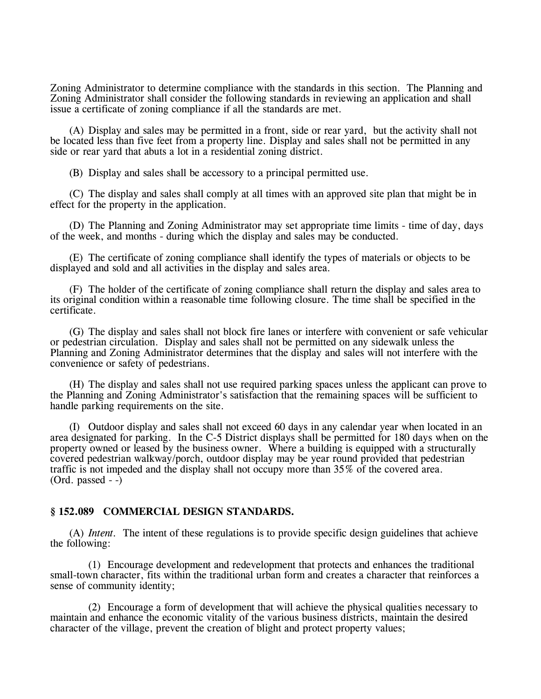Zoning Administrator to determine compliance with the standards in this section. The Planning and Zoning Administrator shall consider the following standards in reviewing an application and shall issue a certificate of zoning compliance if all the standards are met.

(A) Display and sales may be permitted in a front, side or rear yard, but the activity shall not be located less than five feet from a property line. Display and sales shall not be permitted in any side or rear yard that abuts a lot in a residential zoning district.

(B) Display and sales shall be accessory to a principal permitted use.

(C) The display and sales shall comply at all times with an approved site plan that might be in effect for the property in the application.

(D) The Planning and Zoning Administrator may set appropriate time limits - time of day, days of the week, and months - during which the display and sales may be conducted.

(E) The certificate of zoning compliance shall identify the types of materials or objects to be displayed and sold and all activities in the display and sales area.

(F) The holder of the certificate of zoning compliance shall return the display and sales area to its original condition within a reasonable time following closure. The time shall be specified in the certificate.

(G) The display and sales shall not block fire lanes or interfere with convenient or safe vehicular or pedestrian circulation. Display and sales shall not be permitted on any sidewalk unless the Planning and Zoning Administrator determines that the display and sales will not interfere with the convenience or safety of pedestrians.

(H) The display and sales shall not use required parking spaces unless the applicant can prove to the Planning and Zoning Administrator's satisfaction that the remaining spaces will be sufficient to handle parking requirements on the site.

(I) Outdoor display and sales shall not exceed 60 days in any calendar year when located in an area designated for parking. In the C-5 District displays shall be permitted for 180 days when on the property owned or leased by the business owner. Where a building is equipped with a structurally covered pedestrian walkway/porch, outdoor display may be year round provided that pedestrian traffic is not impeded and the display shall not occupy more than 35% of the covered area.  $(Ord. passed - )$ 

### **§ 152.089 COMMERCIAL DESIGN STANDARDS.**

(A) *Intent.* The intent of these regulations is to provide specific design guidelines that achieve the following:

(1) Encourage development and redevelopment that protects and enhances the traditional small-town character, fits within the traditional urban form and creates a character that reinforces a sense of community identity;

(2) Encourage a form of development that will achieve the physical qualities necessary to maintain and enhance the economic vitality of the various business districts, maintain the desired character of the village, prevent the creation of blight and protect property values;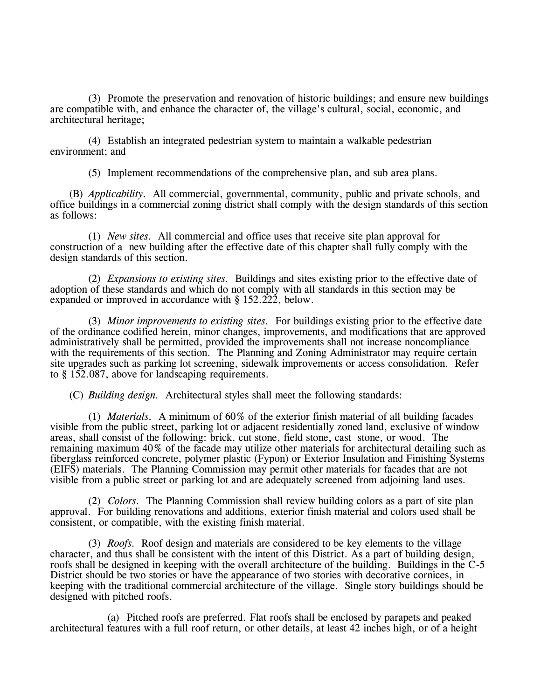(3) Promote the preservation and renovation of historic buildings; and ensure new buildings are compatible with, and enhance the character of, the village's cultural, social, economic, and architectural heritage;

(4) Establish an integrated pedestrian system to maintain a walkable pedestrian environment; and

(5) Implement recommendations of the comprehensive plan, and sub area plans.

(B) *Applicability.* All commercial, governmental, community, public and private schools, and office buildings in a commercial zoning district shall comply with the design standards of this section as follows:

(1) *New sites.* All commercial and office uses that receive site plan approval for construction of a new building after the effective date of this chapter shall fully comply with the design standards of this section.

(2) *Expansions to existing sites.* Buildings and sites existing prior to the effective date of adoption of these standards and which do not comply with all standards in this section may be expanded or improved in accordance with § 152.222, below.

(3) *Minor improvements to existing sites.* For buildings existing prior to the effective date of the ordinance codified herein, minor changes, improvements, and modifications that are approved administratively shall be permitted, provided the improvements shall not increase noncompliance with the requirements of this section. The Planning and Zoning Administrator may require certain site upgrades such as parking lot screening, sidewalk improvements or access consolidation. Refer to § 152.087, above for landscaping requirements.

(C) *Building design.* Architectural styles shall meet the following standards:

(1) *Materials.* A minimum of 60% of the exterior finish material of all building facades visible from the public street, parking lot or adjacent residentially zoned land, exclusive of window areas, shall consist of the following: brick, cut stone, field stone, cast stone, or wood. The remaining maximum 40% of the facade may utilize other materials for architectural detailing such as fiberglass reinforced concrete, polymer plastic (Fypon) or Exterior Insulation and Finishing Systems (EIFS) materials. The Planning Commission may permit other materials for facades that are not visible from a public street or parking lot and are adequately screened from adjoining land uses.

(2) *Colors.* The Planning Commission shall review building colors as a part of site plan approval. For building renovations and additions, exterior finish material and colors used shall be consistent, or compatible, with the existing finish material.

(3) *Roofs.* Roof design and materials are considered to be key elements to the village character, and thus shall be consistent with the intent of this District. As a part of building design, roofs shall be designed in keeping with the overall architecture of the building. Buildings in the C-5 District should be two stories or have the appearance of two stories with decorative cornices, in keeping with the traditional commercial architecture of the village. Single story buildings should be designed with pitched roofs.

(a) Pitched roofs are preferred. Flat roofs shall be enclosed by parapets and peaked architectural features with a full roof return, or other details, at least 42 inches high, or of a height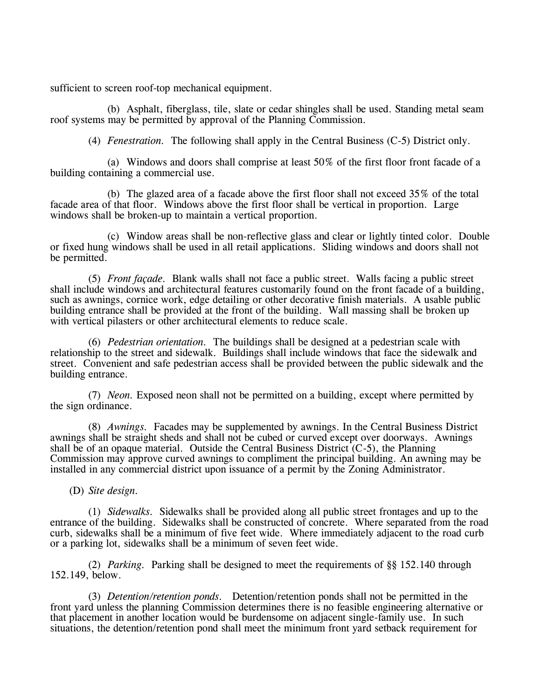sufficient to screen roof-top mechanical equipment.

(b) Asphalt, fiberglass, tile, slate or cedar shingles shall be used. Standing metal seam roof systems may be permitted by approval of the Planning Commission.

(4) *Fenestration.* The following shall apply in the Central Business (C-5) District only.

(a) Windows and doors shall comprise at least 50% of the first floor front facade of a building containing a commercial use.

(b) The glazed area of a facade above the first floor shall not exceed 35% of the total facade area of that floor. Windows above the first floor shall be vertical in proportion. Large windows shall be broken-up to maintain a vertical proportion.

(c) Window areas shall be non-reflective glass and clear or lightly tinted color. Double or fixed hung windows shall be used in all retail applications. Sliding windows and doors shall not be permitted.

(5) *Front façade.* Blank walls shall not face a public street. Walls facing a public street shall include windows and architectural features customarily found on the front facade of a building, such as awnings, cornice work, edge detailing or other decorative finish materials. A usable public building entrance shall be provided at the front of the building. Wall massing shall be broken up with vertical pilasters or other architectural elements to reduce scale.

(6) *Pedestrian orientation.* The buildings shall be designed at a pedestrian scale with relationship to the street and sidewalk. Buildings shall include windows that face the sidewalk and street. Convenient and safe pedestrian access shall be provided between the public sidewalk and the building entrance.

(7) *Neon.* Exposed neon shall not be permitted on a building, except where permitted by the sign ordinance.

(8) *Awnings.* Facades may be supplemented by awnings. In the Central Business District awnings shall be straight sheds and shall not be cubed or curved except over doorways. Awnings shall be of an opaque material. Outside the Central Business District  $(C-5)$ , the Planning Commission may approve curved awnings to compliment the principal building. An awning may be installed in any commercial district upon issuance of a permit by the Zoning Administrator.

(D) *Site design.*

(1) *Sidewalks.* Sidewalks shall be provided along all public street frontages and up to the entrance of the building. Sidewalks shall be constructed of concrete. Where separated from the road curb, sidewalks shall be a minimum of five feet wide. Where immediately adjacent to the road curb or a parking lot, sidewalks shall be a minimum of seven feet wide.

(2) *Parking.* Parking shall be designed to meet the requirements of §§ 152.140 through 152.149, below.

(3) *Detention/retention ponds.* Detention/retention ponds shall not be permitted in the front yard unless the planning Commission determines there is no feasible engineering alternative or that placement in another location would be burdensome on adjacent single-family use. In such situations, the detention/retention pond shall meet the minimum front yard setback requirement for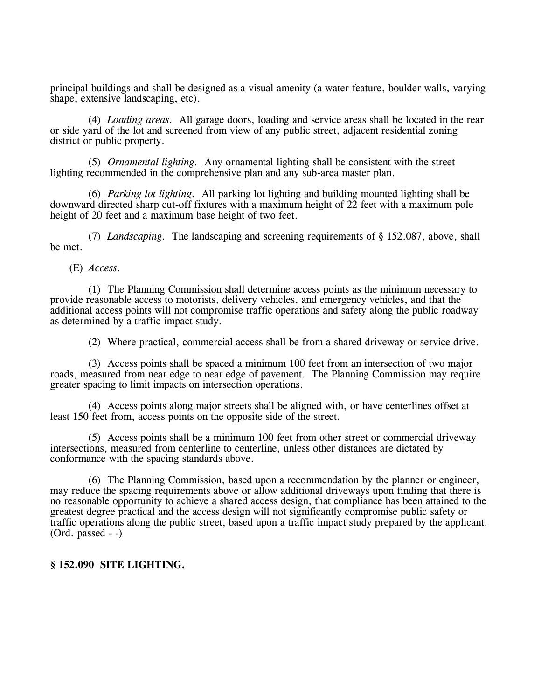principal buildings and shall be designed as a visual amenity (a water feature, boulder walls, varying shape, extensive landscaping, etc).

(4) *Loading areas.* All garage doors, loading and service areas shall be located in the rear or side yard of the lot and screened from view of any public street, adjacent residential zoning district or public property.

(5) *Ornamental lighting.* Any ornamental lighting shall be consistent with the street lighting recommended in the comprehensive plan and any sub-area master plan.

(6) *Parking lot lighting.* All parking lot lighting and building mounted lighting shall be downward directed sharp cut-off fixtures with a maximum height of 22 feet with a maximum pole height of 20 feet and a maximum base height of two feet.

(7) *Landscaping.* The landscaping and screening requirements of § 152.087, above, shall be met.

(E) *Access.* 

(1) The Planning Commission shall determine access points as the minimum necessary to provide reasonable access to motorists, delivery vehicles, and emergency vehicles, and that the additional access points will not compromise traffic operations and safety along the public roadway as determined by a traffic impact study.

(2) Where practical, commercial access shall be from a shared driveway or service drive.

(3) Access points shall be spaced a minimum 100 feet from an intersection of two major roads, measured from near edge to near edge of pavement. The Planning Commission may require greater spacing to limit impacts on intersection operations.

(4) Access points along major streets shall be aligned with, or have centerlines offset at least 150 feet from, access points on the opposite side of the street.

(5) Access points shall be a minimum 100 feet from other street or commercial driveway intersections, measured from centerline to centerline, unless other distances are dictated by conformance with the spacing standards above.

(6) The Planning Commission, based upon a recommendation by the planner or engineer, may reduce the spacing requirements above or allow additional driveways upon finding that there is no reasonable opportunity to achieve a shared access design, that compliance has been attained to the greatest degree practical and the access design will not significantly compromise public safety or traffic operations along the public street, based upon a traffic impact study prepared by the applicant.  $(Ord. passed - )$ 

## **§ 152.090 SITE LIGHTING.**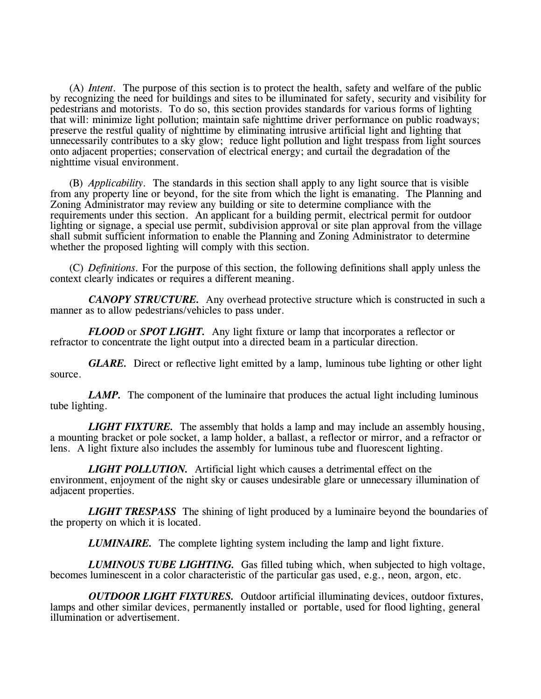(A) *Intent.* The purpose of this section is to protect the health, safety and welfare of the public by recognizing the need for buildings and sites to be illuminated for safety, security and visibility for pedestrians and motorists. To do so, this section provides standards for various forms of lighting that will: minimize light pollution; maintain safe nighttime driver performance on public roadways; preserve the restful quality of nighttime by eliminating intrusive artificial light and lighting that unnecessarily contributes to a sky glow; reduce light pollution and light trespass from light sources onto adjacent properties; conservation of electrical energy; and curtail the degradation of the nighttime visual environment.

(B) *Applicability.* The standards in this section shall apply to any light source that is visible from any property line or beyond, for the site from which the light is emanating. The Planning and Zoning Administrator may review any building or site to determine compliance with the requirements under this section. An applicant for a building permit, electrical permit for outdoor lighting or signage, a special use permit, subdivision approval or site plan approval from the village shall submit sufficient information to enable the Planning and Zoning Administrator to determine whether the proposed lighting will comply with this section.

(C) *Definitions.* For the purpose of this section, the following definitions shall apply unless the context clearly indicates or requires a different meaning.

*CANOPY STRUCTURE.* Any overhead protective structure which is constructed in such a manner as to allow pedestrians/vehicles to pass under.

*FLOOD* or *SPOT LIGHT.* Any light fixture or lamp that incorporates a reflector or refractor to concentrate the light output into a directed beam in a particular direction.

*GLARE.* Direct or reflective light emitted by a lamp, luminous tube lighting or other light source.

*LAMP*. The component of the luminaire that produces the actual light including luminous tube lighting.

*LIGHT FIXTURE.* The assembly that holds a lamp and may include an assembly housing, a mounting bracket or pole socket, a lamp holder, a ballast, a reflector or mirror, and a refractor or lens. A light fixture also includes the assembly for luminous tube and fluorescent lighting.

*LIGHT POLLUTION.* Artificial light which causes a detrimental effect on the environment, enjoyment of the night sky or causes undesirable glare or unnecessary illumination of adjacent properties.

*LIGHT TRESPASS* The shining of light produced by a luminaire beyond the boundaries of the property on which it is located.

*LUMINAIRE.* The complete lighting system including the lamp and light fixture.

*LUMINOUS TUBE LIGHTING.* Gas filled tubing which, when subjected to high voltage, becomes luminescent in a color characteristic of the particular gas used, e.g., neon, argon, etc.

*OUTDOOR LIGHT FIXTURES.* Outdoor artificial illuminating devices, outdoor fixtures, lamps and other similar devices, permanently installed or portable, used for flood lighting, general illumination or advertisement.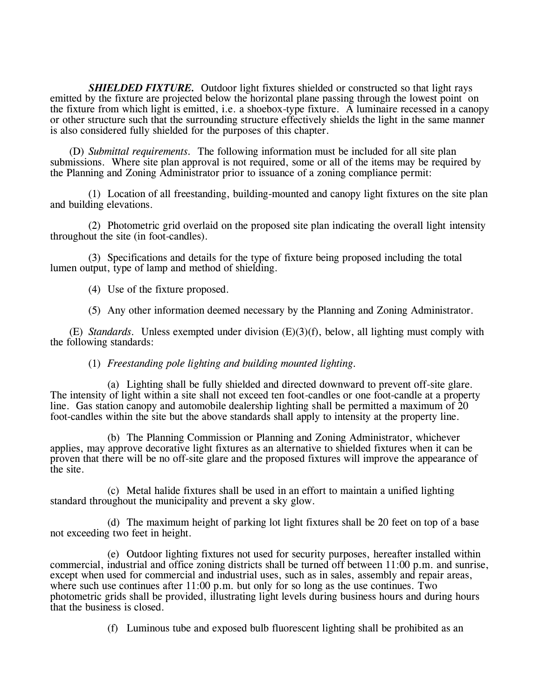*SHIELDED FIXTURE.* Outdoor light fixtures shielded or constructed so that light rays emitted by the fixture are projected below the horizontal plane passing through the lowest point on the fixture from which light is emitted, i.e. a shoebox-type fixture. A luminaire recessed in a canopy or other structure such that the surrounding structure effectively shields the light in the same manner is also considered fully shielded for the purposes of this chapter.

(D) *Submittal requirements.* The following information must be included for all site plan submissions. Where site plan approval is not required, some or all of the items may be required by the Planning and Zoning Administrator prior to issuance of a zoning compliance permit:

(1) Location of all freestanding, building-mounted and canopy light fixtures on the site plan and building elevations.

(2) Photometric grid overlaid on the proposed site plan indicating the overall light intensity throughout the site (in foot-candles).

(3) Specifications and details for the type of fixture being proposed including the total lumen output, type of lamp and method of shielding.

(4) Use of the fixture proposed.

(5) Any other information deemed necessary by the Planning and Zoning Administrator.

(E) *Standards.* Unless exempted under division (E)(3)(f), below, all lighting must comply with the following standards:

(1) *Freestanding pole lighting and building mounted lighting.*

(a) Lighting shall be fully shielded and directed downward to prevent off-site glare. The intensity of light within a site shall not exceed ten foot-candles or one foot-candle at a property line. Gas station canopy and automobile dealership lighting shall be permitted a maximum of 20 foot-candles within the site but the above standards shall apply to intensity at the property line.

(b) The Planning Commission or Planning and Zoning Administrator, whichever applies, may approve decorative light fixtures as an alternative to shielded fixtures when it can be proven that there will be no off-site glare and the proposed fixtures will improve the appearance of the site.

(c) Metal halide fixtures shall be used in an effort to maintain a unified lighting standard throughout the municipality and prevent a sky glow.

(d) The maximum height of parking lot light fixtures shall be 20 feet on top of a base not exceeding two feet in height.

(e) Outdoor lighting fixtures not used for security purposes, hereafter installed within commercial, industrial and office zoning districts shall be turned off between 11:00 p.m. and sunrise, except when used for commercial and industrial uses, such as in sales, assembly and repair areas, where such use continues after 11:00 p.m. but only for so long as the use continues. Two photometric grids shall be provided, illustrating light levels during business hours and during hours that the business is closed.

(f) Luminous tube and exposed bulb fluorescent lighting shall be prohibited as an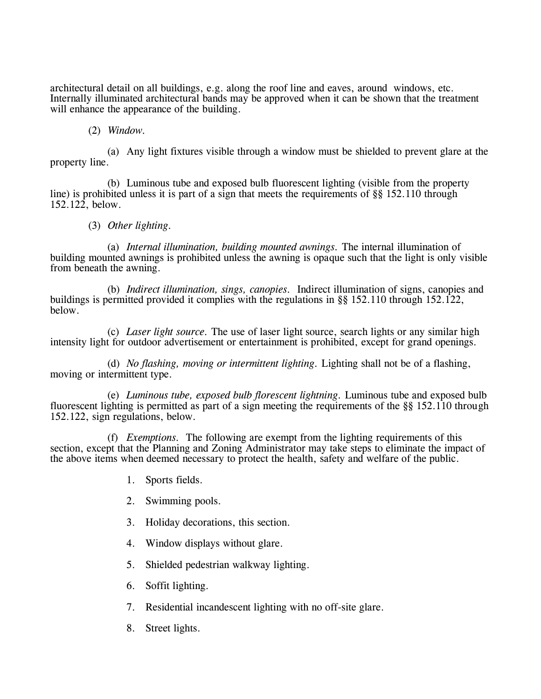architectural detail on all buildings, e.g. along the roof line and eaves, around windows, etc. Internally illuminated architectural bands may be approved when it can be shown that the treatment will enhance the appearance of the building.

## (2) *Window.*

(a) Any light fixtures visible through a window must be shielded to prevent glare at the property line.

(b) Luminous tube and exposed bulb fluorescent lighting (visible from the property line) is prohibited unless it is part of a sign that meets the requirements of §§ 152.110 through 152.122, below.

## (3) *Other lighting.*

(a) *Internal illumination, building mounted awnings.* The internal illumination of building mounted awnings is prohibited unless the awning is opaque such that the light is only visible from beneath the awning.

(b) *Indirect illumination, sings, canopies.* Indirect illumination of signs, canopies and buildings is permitted provided it complies with the regulations in §§ 152.110 through 152.122, below.

(c) *Laser light source.* The use of laser light source, search lights or any similar high intensity light for outdoor advertisement or entertainment is prohibited, except for grand openings.

(d) *No flashing, moving or intermittent lighting.* Lighting shall not be of a flashing, moving or intermittent type.

(e) *Luminous tube, exposed bulb florescent lightning.* Luminous tube and exposed bulb fluorescent lighting is permitted as part of a sign meeting the requirements of the §§ 152.110 through 152.122, sign regulations, below.

(f) *Exemptions.* The following are exempt from the lighting requirements of this section, except that the Planning and Zoning Administrator may take steps to eliminate the impact of the above items when deemed necessary to protect the health, safety and welfare of the public.

- 1. Sports fields.
- 2. Swimming pools.
- 3. Holiday decorations, this section.
- 4. Window displays without glare.
- 5. Shielded pedestrian walkway lighting.
- 6. Soffit lighting.
- 7. Residential incandescent lighting with no off-site glare.
- 8. Street lights.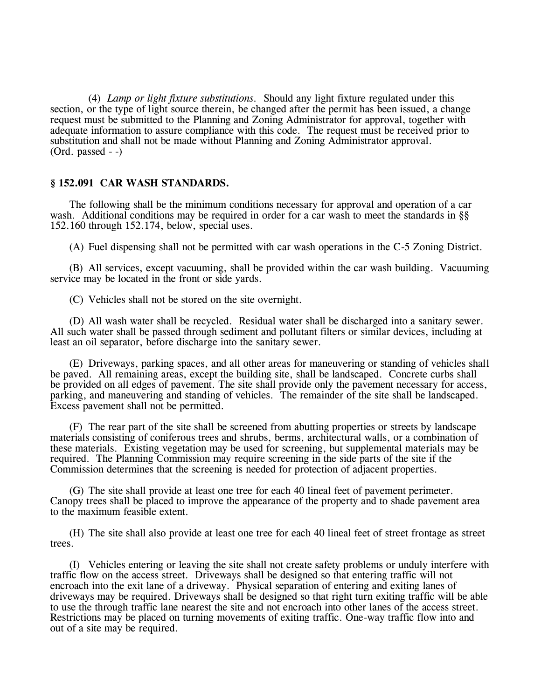(4) *Lamp or light fixture substitutions.* Should any light fixture regulated under this section, or the type of light source therein, be changed after the permit has been issued, a change request must be submitted to the Planning and Zoning Administrator for approval, together with adequate information to assure compliance with this code. The request must be received prior to substitution and shall not be made without Planning and Zoning Administrator approval.  $(Ord. passed - )$ 

### **§ 152.091 CAR WASH STANDARDS.**

The following shall be the minimum conditions necessary for approval and operation of a car wash. Additional conditions may be required in order for a car wash to meet the standards in §§ 152.160 through 152.174, below, special uses.

(A) Fuel dispensing shall not be permitted with car wash operations in the C-5 Zoning District.

(B) All services, except vacuuming, shall be provided within the car wash building. Vacuuming service may be located in the front or side yards.

(C) Vehicles shall not be stored on the site overnight.

(D) All wash water shall be recycled. Residual water shall be discharged into a sanitary sewer. All such water shall be passed through sediment and pollutant filters or similar devices, including at least an oil separator, before discharge into the sanitary sewer.

(E) Driveways, parking spaces, and all other areas for maneuvering or standing of vehicles shall be paved. All remaining areas, except the building site, shall be landscaped. Concrete curbs shall be provided on all edges of pavement. The site shall provide only the pavement necessary for access, parking, and maneuvering and standing of vehicles. The remainder of the site shall be landscaped. Excess pavement shall not be permitted.

(F) The rear part of the site shall be screened from abutting properties or streets by landscape materials consisting of coniferous trees and shrubs, berms, architectural walls, or a combination of these materials. Existing vegetation may be used for screening, but supplemental materials may be required. The Planning Commission may require screening in the side parts of the site if the Commission determines that the screening is needed for protection of adjacent properties.

(G) The site shall provide at least one tree for each 40 lineal feet of pavement perimeter. Canopy trees shall be placed to improve the appearance of the property and to shade pavement area to the maximum feasible extent.

(H) The site shall also provide at least one tree for each 40 lineal feet of street frontage as street trees.

(I) Vehicles entering or leaving the site shall not create safety problems or unduly interfere with traffic flow on the access street. Driveways shall be designed so that entering traffic will not encroach into the exit lane of a driveway. Physical separation of entering and exiting lanes of driveways may be required. Driveways shall be designed so that right turn exiting traffic will be able to use the through traffic lane nearest the site and not encroach into other lanes of the access street. Restrictions may be placed on turning movements of exiting traffic. One-way traffic flow into and out of a site may be required.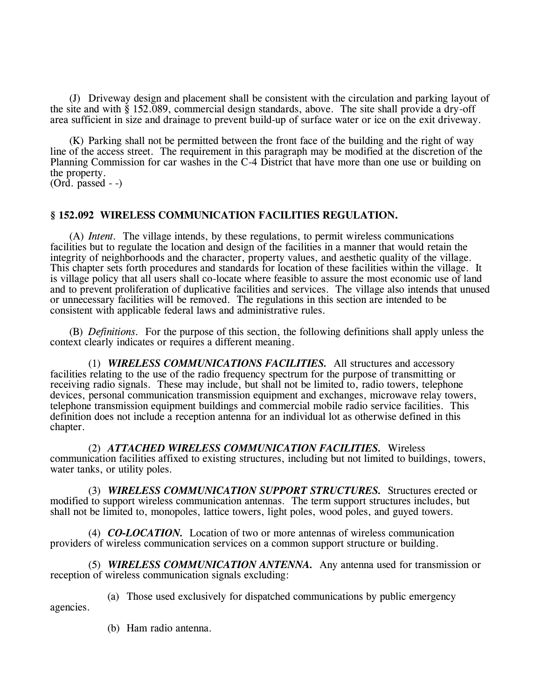(J) Driveway design and placement shall be consistent with the circulation and parking layout of the site and with § 152.089, commercial design standards, above. The site shall provide a dry-off area sufficient in size and drainage to prevent build-up of surface water or ice on the exit driveway.

(K) Parking shall not be permitted between the front face of the building and the right of way line of the access street. The requirement in this paragraph may be modified at the discretion of the Planning Commission for car washes in the C-4 District that have more than one use or building on the property.

(Ord. passed - -)

## **§ 152.092 WIRELESS COMMUNICATION FACILITIES REGULATION.**

(A) *Intent.* The village intends, by these regulations, to permit wireless communications facilities but to regulate the location and design of the facilities in a manner that would retain the integrity of neighborhoods and the character, property values, and aesthetic quality of the village. This chapter sets forth procedures and standards for location of these facilities within the village. It is village policy that all users shall co-locate where feasible to assure the most economic use of land and to prevent proliferation of duplicative facilities and services. The village also intends that unused or unnecessary facilities will be removed. The regulations in this section are intended to be consistent with applicable federal laws and administrative rules.

(B) *Definitions.* For the purpose of this section, the following definitions shall apply unless the context clearly indicates or requires a different meaning.

(1) *WIRELESS COMMUNICATIONS FACILITIES.* All structures and accessory facilities relating to the use of the radio frequency spectrum for the purpose of transmitting or receiving radio signals. These may include, but shall not be limited to, radio towers, telephone devices, personal communication transmission equipment and exchanges, microwave relay towers, telephone transmission equipment buildings and commercial mobile radio service facilities. This definition does not include a reception antenna for an individual lot as otherwise defined in this chapter.

(2) *ATTACHED WIRELESS COMMUNICATION FACILITIES.* Wireless communication facilities affixed to existing structures, including but not limited to buildings, towers, water tanks, or utility poles.

(3) *WIRELESS COMMUNICATION SUPPORT STRUCTURES.* Structures erected or modified to support wireless communication antennas. The term support structures includes, but shall not be limited to, monopoles, lattice towers, light poles, wood poles, and guyed towers.

(4) *CO-LOCATION.* Location of two or more antennas of wireless communication providers of wireless communication services on a common support structure or building.

(5) *WIRELESS COMMUNICATION ANTENNA.* Any antenna used for transmission or reception of wireless communication signals excluding:

(a) Those used exclusively for dispatched communications by public emergency

agencies.

(b) Ham radio antenna.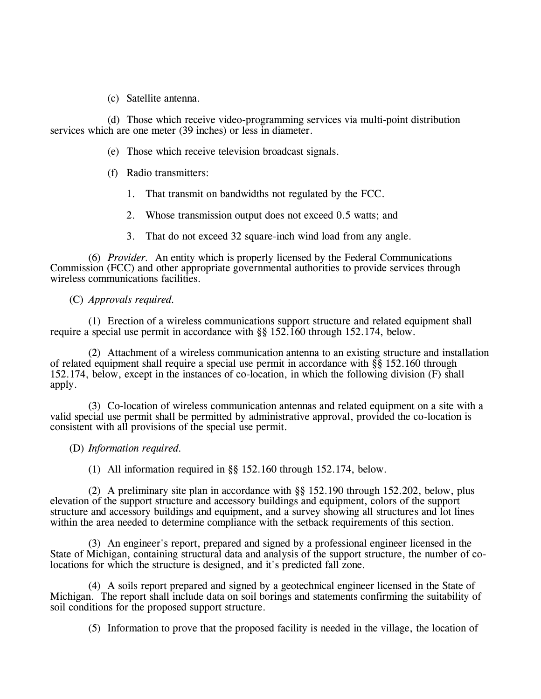(c) Satellite antenna.

(d) Those which receive video-programming services via multi-point distribution services which are one meter (39 inches) or less in diameter.

(e) Those which receive television broadcast signals.

- (f) Radio transmitters:
	- 1. That transmit on bandwidths not regulated by the FCC.
	- 2. Whose transmission output does not exceed 0.5 watts; and
	- 3. That do not exceed 32 square-inch wind load from any angle.

(6) *Provider.* An entity which is properly licensed by the Federal Communications Commission (FCC) and other appropriate governmental authorities to provide services through wireless communications facilities.

## (C) *Approvals required.*

(1) Erection of a wireless communications support structure and related equipment shall require a special use permit in accordance with §§ 152.160 through 152.174, below.

(2) Attachment of a wireless communication antenna to an existing structure and installation of related equipment shall require a special use permit in accordance with §§ 152.160 through 152.174, below, except in the instances of co-location, in which the following division (F) shall apply.

(3) Co-location of wireless communication antennas and related equipment on a site with a valid special use permit shall be permitted by administrative approval, provided the co-location is consistent with all provisions of the special use permit.

## (D) *Information required.*

(1) All information required in §§ 152.160 through 152.174, below.

(2) A preliminary site plan in accordance with §§ 152.190 through 152.202, below, plus elevation of the support structure and accessory buildings and equipment, colors of the support structure and accessory buildings and equipment, and a survey showing all structures and lot lines within the area needed to determine compliance with the setback requirements of this section.

(3) An engineer's report, prepared and signed by a professional engineer licensed in the State of Michigan, containing structural data and analysis of the support structure, the number of colocations for which the structure is designed, and it's predicted fall zone.

(4) A soils report prepared and signed by a geotechnical engineer licensed in the State of Michigan. The report shall include data on soil borings and statements confirming the suitability of soil conditions for the proposed support structure.

(5) Information to prove that the proposed facility is needed in the village, the location of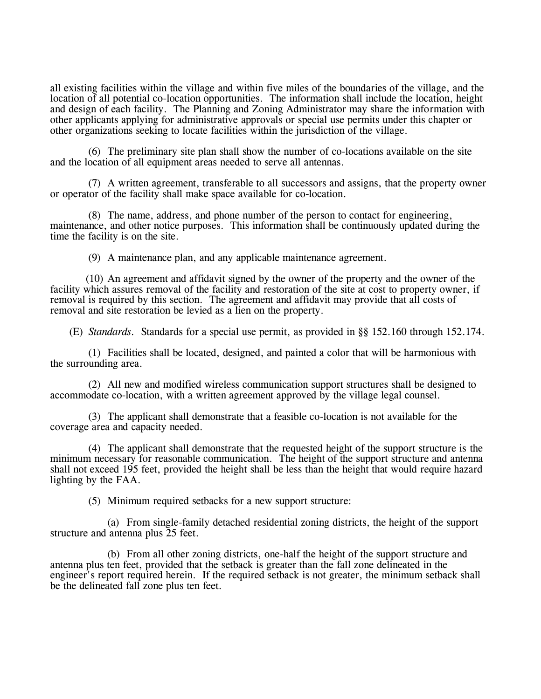all existing facilities within the village and within five miles of the boundaries of the village, and the location of all potential co-location opportunities. The information shall include the location, height and design of each facility. The Planning and Zoning Administrator may share the information with other applicants applying for administrative approvals or special use permits under this chapter or other organizations seeking to locate facilities within the jurisdiction of the village.

(6) The preliminary site plan shall show the number of co-locations available on the site and the location of all equipment areas needed to serve all antennas.

(7) A written agreement, transferable to all successors and assigns, that the property owner or operator of the facility shall make space available for co-location.

(8) The name, address, and phone number of the person to contact for engineering, maintenance, and other notice purposes. This information shall be continuously updated during the time the facility is on the site.

(9) A maintenance plan, and any applicable maintenance agreement.

(10) An agreement and affidavit signed by the owner of the property and the owner of the facility which assures removal of the facility and restoration of the site at cost to property owner, if removal is required by this section. The agreement and affidavit may provide that all costs of removal and site restoration be levied as a lien on the property.

(E) *Standards.* Standards for a special use permit, as provided in §§ 152.160 through 152.174.

(1) Facilities shall be located, designed, and painted a color that will be harmonious with the surrounding area.

(2) All new and modified wireless communication support structures shall be designed to accommodate co-location, with a written agreement approved by the village legal counsel.

(3) The applicant shall demonstrate that a feasible co-location is not available for the coverage area and capacity needed.

(4) The applicant shall demonstrate that the requested height of the support structure is the minimum necessary for reasonable communication. The height of the support structure and antenna shall not exceed 195 feet, provided the height shall be less than the height that would require hazard lighting by the FAA.

(5) Minimum required setbacks for a new support structure:

(a) From single-family detached residential zoning districts, the height of the support structure and antenna plus 25 feet.

(b) From all other zoning districts, one-half the height of the support structure and antenna plus ten feet, provided that the setback is greater than the fall zone delineated in the engineer's report required herein. If the required setback is not greater, the minimum setback shall be the delineated fall zone plus ten feet.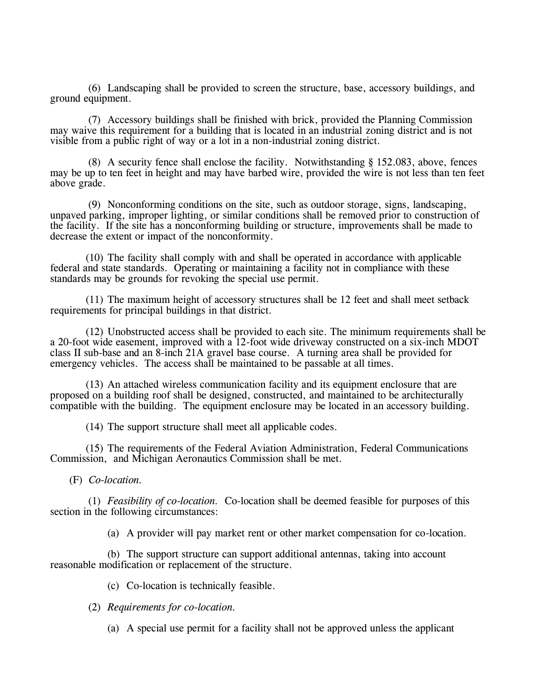(6) Landscaping shall be provided to screen the structure, base, accessory buildings, and ground equipment.

(7) Accessory buildings shall be finished with brick, provided the Planning Commission may waive this requirement for a building that is located in an industrial zoning district and is not visible from a public right of way or a lot in a non-industrial zoning district.

(8) A security fence shall enclose the facility. Notwithstanding § 152.083, above, fences may be up to ten feet in height and may have barbed wire, provided the wire is not less than ten feet above grade.

(9) Nonconforming conditions on the site, such as outdoor storage, signs, landscaping, unpaved parking, improper lighting, or similar conditions shall be removed prior to construction of the facility. If the site has a nonconforming building or structure, improvements shall be made to decrease the extent or impact of the nonconformity.

(10) The facility shall comply with and shall be operated in accordance with applicable federal and state standards. Operating or maintaining a facility not in compliance with these standards may be grounds for revoking the special use permit.

(11) The maximum height of accessory structures shall be 12 feet and shall meet setback requirements for principal buildings in that district.

(12) Unobstructed access shall be provided to each site. The minimum requirements shall be a 20-foot wide easement, improved with a 12-foot wide driveway constructed on a six-inch MDOT class II sub-base and an 8-inch 21A gravel base course. A turning area shall be provided for emergency vehicles. The access shall be maintained to be passable at all times.

(13) An attached wireless communication facility and its equipment enclosure that are proposed on a building roof shall be designed, constructed, and maintained to be architecturally compatible with the building. The equipment enclosure may be located in an accessory building.

(14) The support structure shall meet all applicable codes.

(15) The requirements of the Federal Aviation Administration, Federal Communications Commission, and Michigan Aeronautics Commission shall be met.

(F) *Co-location.*

(1) *Feasibility of co-location.* Co-location shall be deemed feasible for purposes of this section in the following circumstances:

(a) A provider will pay market rent or other market compensation for co-location.

(b) The support structure can support additional antennas, taking into account reasonable modification or replacement of the structure.

(c) Co-location is technically feasible.

(2) *Requirements for co-location.*

(a) A special use permit for a facility shall not be approved unless the applicant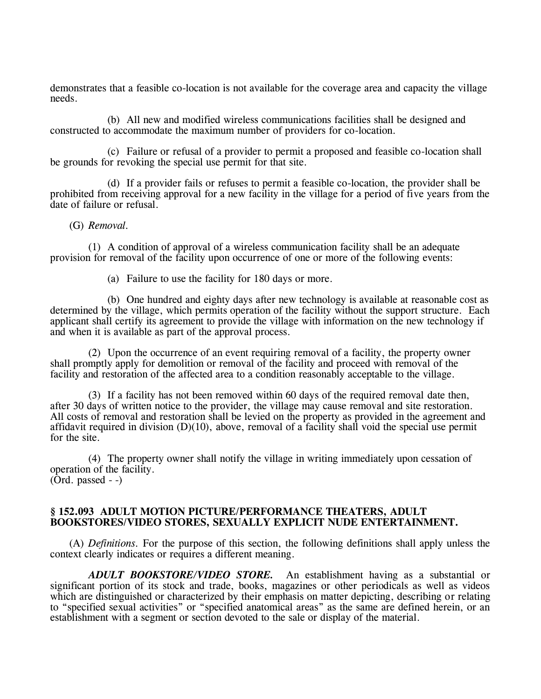demonstrates that a feasible co-location is not available for the coverage area and capacity the village needs.

(b) All new and modified wireless communications facilities shall be designed and constructed to accommodate the maximum number of providers for co-location.

(c) Failure or refusal of a provider to permit a proposed and feasible co-location shall be grounds for revoking the special use permit for that site.

(d) If a provider fails or refuses to permit a feasible co-location, the provider shall be prohibited from receiving approval for a new facility in the village for a period of five years from the date of failure or refusal.

#### (G) *Removal.*

(1) A condition of approval of a wireless communication facility shall be an adequate provision for removal of the facility upon occurrence of one or more of the following events:

(a) Failure to use the facility for 180 days or more.

(b) One hundred and eighty days after new technology is available at reasonable cost as determined by the village, which permits operation of the facility without the support structure. Each applicant shall certify its agreement to provide the village with information on the new technology if and when it is available as part of the approval process.

(2) Upon the occurrence of an event requiring removal of a facility, the property owner shall promptly apply for demolition or removal of the facility and proceed with removal of the facility and restoration of the affected area to a condition reasonably acceptable to the village.

(3) If a facility has not been removed within 60 days of the required removal date then, after 30 days of written notice to the provider, the village may cause removal and site restoration. All costs of removal and restoration shall be levied on the property as provided in the agreement and affidavit required in division  $(D)(10)$ , above, removal of a facility shall void the special use permit for the site.

(4) The property owner shall notify the village in writing immediately upon cessation of operation of the facility.  $(Ord. passed - )$ 

### **§ 152.093 ADULT MOTION PICTURE/PERFORMANCE THEATERS, ADULT BOOKSTORES/VIDEO STORES, SEXUALLY EXPLICIT NUDE ENTERTAINMENT.**

(A) *Definitions.* For the purpose of this section, the following definitions shall apply unless the context clearly indicates or requires a different meaning.

*ADULT BOOKSTORE/VIDEO STORE.* An establishment having as a substantial or significant portion of its stock and trade, books, magazines or other periodicals as well as videos which are distinguished or characterized by their emphasis on matter depicting, describing or relating to "specified sexual activities" or "specified anatomical areas" as the same are defined herein, or an establishment with a segment or section devoted to the sale or display of the material.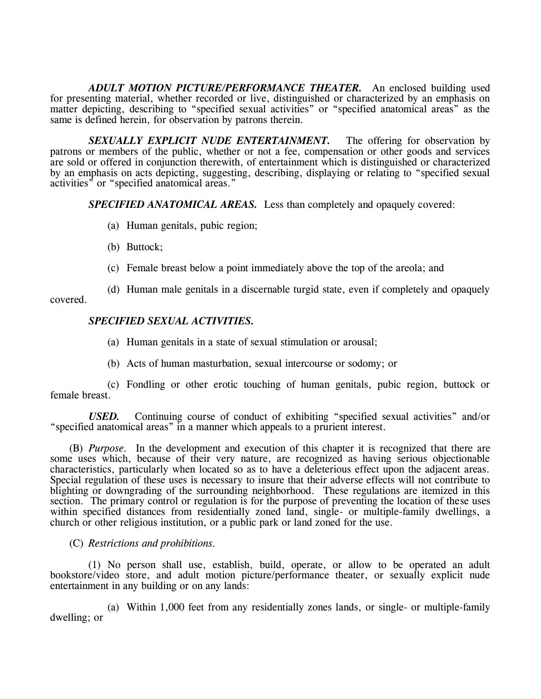*ADULT MOTION PICTURE/PERFORMANCE THEATER.* An enclosed building used for presenting material, whether recorded or live, distinguished or characterized by an emphasis on matter depicting, describing to "specified sexual activities" or "specified anatomical areas" as the same is defined herein, for observation by patrons therein.

*SEXUALLY EXPLICIT NUDE ENTERTAINMENT.* The offering for observation by patrons or members of the public, whether or not a fee, compensation or other goods and services are sold or offered in conjunction therewith, of entertainment which is distinguished or characterized by an emphasis on acts depicting, suggesting, describing, displaying or relating to "specified sexual activities" or "specified anatomical areas."

*SPECIFIED ANATOMICAL AREAS.* Less than completely and opaquely covered:

- (a) Human genitals, pubic region;
- (b) Buttock;
- (c) Female breast below a point immediately above the top of the areola; and

(d) Human male genitals in a discernable turgid state, even if completely and opaquely covered.

## *SPECIFIED SEXUAL ACTIVITIES.*

(a) Human genitals in a state of sexual stimulation or arousal;

(b) Acts of human masturbation, sexual intercourse or sodomy; or

(c) Fondling or other erotic touching of human genitals, pubic region, buttock or female breast.

*USED.* Continuing course of conduct of exhibiting "specified sexual activities" and/or "specified anatomical areas" in a manner which appeals to a prurient interest.

(B) *Purpose.* In the development and execution of this chapter it is recognized that there are some uses which, because of their very nature, are recognized as having serious objectionable characteristics, particularly when located so as to have a deleterious effect upon the adjacent areas. Special regulation of these uses is necessary to insure that their adverse effects will not contribute to blighting or downgrading of the surrounding neighborhood. These regulations are itemized in this section. The primary control or regulation is for the purpose of preventing the location of these uses within specified distances from residentially zoned land, single- or multiple-family dwellings, a church or other religious institution, or a public park or land zoned for the use.

## (C) *Restrictions and prohibitions.*

(1) No person shall use, establish, build, operate, or allow to be operated an adult bookstore/video store, and adult motion picture/performance theater, or sexually explicit nude entertainment in any building or on any lands:

(a) Within 1,000 feet from any residentially zones lands, or single- or multiple-family dwelling; or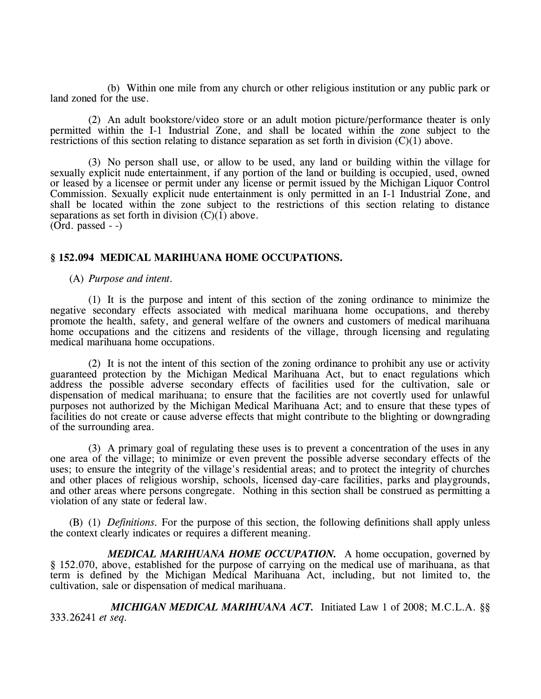(b) Within one mile from any church or other religious institution or any public park or land zoned for the use.

(2) An adult bookstore/video store or an adult motion picture/performance theater is only permitted within the I-1 Industrial Zone, and shall be located within the zone subject to the restrictions of this section relating to distance separation as set forth in division  $(C)(1)$  above.

(3) No person shall use, or allow to be used, any land or building within the village for sexually explicit nude entertainment, if any portion of the land or building is occupied, used, owned or leased by a licensee or permit under any license or permit issued by the Michigan Liquor Control Commission. Sexually explicit nude entertainment is only permitted in an I-1 Industrial Zone, and shall be located within the zone subject to the restrictions of this section relating to distance separations as set forth in division  $(C)(1)$  above.  $(Ord. passed - )$ 

**§ 152.094 MEDICAL MARIHUANA HOME OCCUPATIONS.**

(A) *Purpose and intent.*

(1) It is the purpose and intent of this section of the zoning ordinance to minimize the negative secondary effects associated with medical marihuana home occupations, and thereby promote the health, safety, and general welfare of the owners and customers of medical marihuana home occupations and the citizens and residents of the village, through licensing and regulating medical marihuana home occupations.

(2) It is not the intent of this section of the zoning ordinance to prohibit any use or activity guaranteed protection by the Michigan Medical Marihuana Act, but to enact regulations which address the possible adverse secondary effects of facilities used for the cultivation, sale or dispensation of medical marihuana; to ensure that the facilities are not covertly used for unlawful purposes not authorized by the Michigan Medical Marihuana Act; and to ensure that these types of facilities do not create or cause adverse effects that might contribute to the blighting or downgrading of the surrounding area.

(3) A primary goal of regulating these uses is to prevent a concentration of the uses in any one area of the village; to minimize or even prevent the possible adverse secondary effects of the uses; to ensure the integrity of the village's residential areas; and to protect the integrity of churches and other places of religious worship, schools, licensed day-care facilities, parks and playgrounds, and other areas where persons congregate. Nothing in this section shall be construed as permitting a violation of any state or federal law.

(B) (1) *Definitions.* For the purpose of this section, the following definitions shall apply unless the context clearly indicates or requires a different meaning.

*MEDICAL MARIHUANA HOME OCCUPATION.* A home occupation, governed by § 152.070, above, established for the purpose of carrying on the medical use of marihuana, as that term is defined by the Michigan Medical Marihuana Act, including, but not limited to, the cultivation, sale or dispensation of medical marihuana.

*MICHIGAN MEDICAL MARIHUANA ACT.* Initiated Law 1 of 2008; M.C.L.A. §§ 333.26241 *et seq.*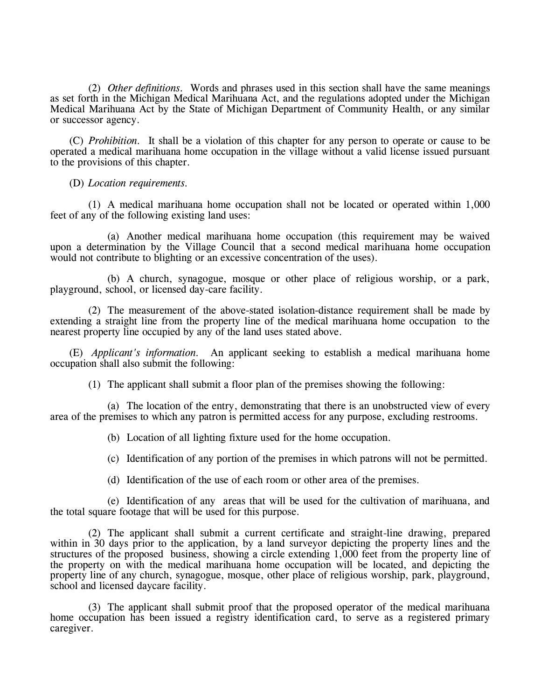(2) *Other definitions.* Words and phrases used in this section shall have the same meanings as set forth in the Michigan Medical Marihuana Act, and the regulations adopted under the Michigan Medical Marihuana Act by the State of Michigan Department of Community Health, or any similar or successor agency.

(C) *Prohibition.* It shall be a violation of this chapter for any person to operate or cause to be operated a medical marihuana home occupation in the village without a valid license issued pursuant to the provisions of this chapter.

(D) *Location requirements.*

(1) A medical marihuana home occupation shall not be located or operated within 1,000 feet of any of the following existing land uses:

(a) Another medical marihuana home occupation (this requirement may be waived upon a determination by the Village Council that a second medical marihuana home occupation would not contribute to blighting or an excessive concentration of the uses).

(b) A church, synagogue, mosque or other place of religious worship, or a park, playground, school, or licensed day-care facility.

(2) The measurement of the above-stated isolation-distance requirement shall be made by extending a straight line from the property line of the medical marihuana home occupation to the nearest property line occupied by any of the land uses stated above.

(E) *Applicant's information.* An applicant seeking to establish a medical marihuana home occupation shall also submit the following:

(1) The applicant shall submit a floor plan of the premises showing the following:

(a) The location of the entry, demonstrating that there is an unobstructed view of every area of the premises to which any patron is permitted access for any purpose, excluding restrooms.

(b) Location of all lighting fixture used for the home occupation.

(c) Identification of any portion of the premises in which patrons will not be permitted.

(d) Identification of the use of each room or other area of the premises.

(e) Identification of any areas that will be used for the cultivation of marihuana, and the total square footage that will be used for this purpose.

(2) The applicant shall submit a current certificate and straight-line drawing, prepared within in 30 days prior to the application, by a land surveyor depicting the property lines and the structures of the proposed business, showing a circle extending 1,000 feet from the property line of the property on with the medical marihuana home occupation will be located, and depicting the property line of any church, synagogue, mosque, other place of religious worship, park, playground, school and licensed daycare facility.

(3) The applicant shall submit proof that the proposed operator of the medical marihuana home occupation has been issued a registry identification card, to serve as a registered primary caregiver.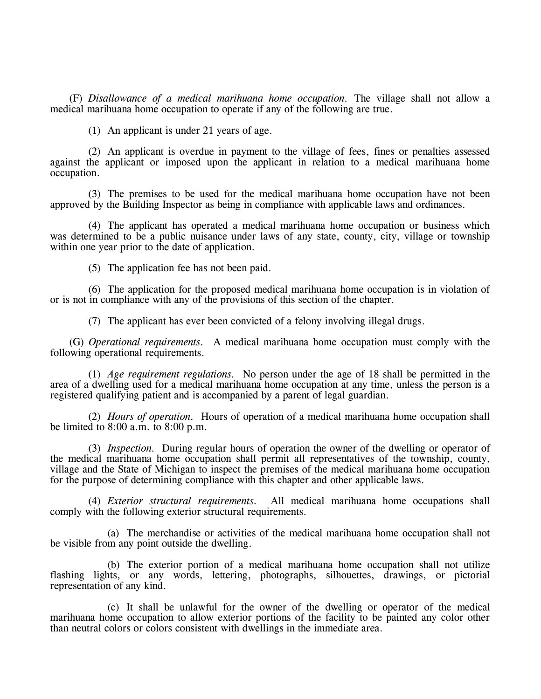(F) *Disallowance of a medical marihuana home occupation.* The village shall not allow a medical marihuana home occupation to operate if any of the following are true.

(1) An applicant is under 21 years of age.

(2) An applicant is overdue in payment to the village of fees, fines or penalties assessed against the applicant or imposed upon the applicant in relation to a medical marihuana home occupation.

(3) The premises to be used for the medical marihuana home occupation have not been approved by the Building Inspector as being in compliance with applicable laws and ordinances.

(4) The applicant has operated a medical marihuana home occupation or business which was determined to be a public nuisance under laws of any state, county, city, village or township within one year prior to the date of application.

(5) The application fee has not been paid.

(6) The application for the proposed medical marihuana home occupation is in violation of or is not in compliance with any of the provisions of this section of the chapter.

(7) The applicant has ever been convicted of a felony involving illegal drugs.

(G) *Operational requirements.* A medical marihuana home occupation must comply with the following operational requirements.

(1) *Age requirement regulations.* No person under the age of 18 shall be permitted in the area of a dwelling used for a medical marihuana home occupation at any time, unless the person is a registered qualifying patient and is accompanied by a parent of legal guardian.

(2) *Hours of operation.* Hours of operation of a medical marihuana home occupation shall be limited to 8:00 a.m. to 8:00 p.m.

(3) *Inspection.* During regular hours of operation the owner of the dwelling or operator of the medical marihuana home occupation shall permit all representatives of the township, county, village and the State of Michigan to inspect the premises of the medical marihuana home occupation for the purpose of determining compliance with this chapter and other applicable laws.

(4) *Exterior structural requirements.* All medical marihuana home occupations shall comply with the following exterior structural requirements.

(a) The merchandise or activities of the medical marihuana home occupation shall not be visible from any point outside the dwelling.

(b) The exterior portion of a medical marihuana home occupation shall not utilize flashing lights, or any words, lettering, photographs, silhouettes, drawings, or pictorial representation of any kind.

(c) It shall be unlawful for the owner of the dwelling or operator of the medical marihuana home occupation to allow exterior portions of the facility to be painted any color other than neutral colors or colors consistent with dwellings in the immediate area.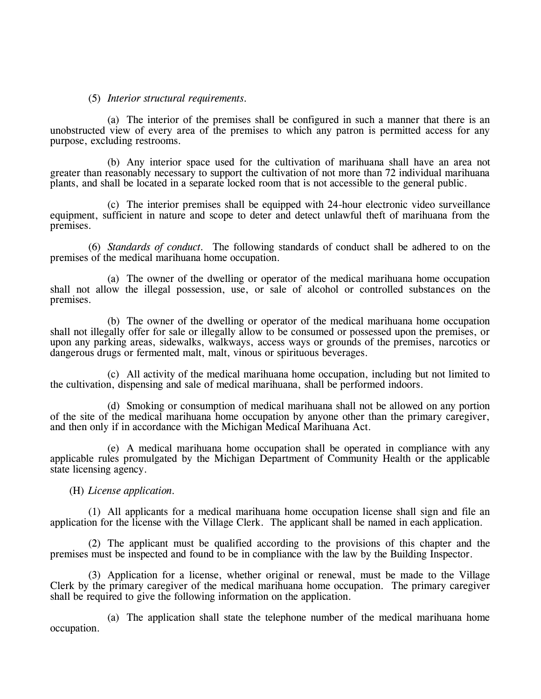### (5) *Interior structural requirements.*

(a) The interior of the premises shall be configured in such a manner that there is an unobstructed view of every area of the premises to which any patron is permitted access for any purpose, excluding restrooms.

(b) Any interior space used for the cultivation of marihuana shall have an area not greater than reasonably necessary to support the cultivation of not more than 72 individual marihuana plants, and shall be located in a separate locked room that is not accessible to the general public.

(c) The interior premises shall be equipped with 24-hour electronic video surveillance equipment, sufficient in nature and scope to deter and detect unlawful theft of marihuana from the premises.

(6) *Standards of conduct.* The following standards of conduct shall be adhered to on the premises of the medical marihuana home occupation.

(a) The owner of the dwelling or operator of the medical marihuana home occupation shall not allow the illegal possession, use, or sale of alcohol or controlled substances on the premises.

(b) The owner of the dwelling or operator of the medical marihuana home occupation shall not illegally offer for sale or illegally allow to be consumed or possessed upon the premises, or upon any parking areas, sidewalks, walkways, access ways or grounds of the premises, narcotics or dangerous drugs or fermented malt, malt, vinous or spirituous beverages.

(c) All activity of the medical marihuana home occupation, including but not limited to the cultivation, dispensing and sale of medical marihuana, shall be performed indoors.

(d) Smoking or consumption of medical marihuana shall not be allowed on any portion of the site of the medical marihuana home occupation by anyone other than the primary caregiver, and then only if in accordance with the Michigan Medical Marihuana Act.

(e) A medical marihuana home occupation shall be operated in compliance with any applicable rules promulgated by the Michigan Department of Community Health or the applicable state licensing agency.

#### (H) *License application.*

(1) All applicants for a medical marihuana home occupation license shall sign and file an application for the license with the Village Clerk. The applicant shall be named in each application.

(2) The applicant must be qualified according to the provisions of this chapter and the premises must be inspected and found to be in compliance with the law by the Building Inspector.

(3) Application for a license, whether original or renewal, must be made to the Village Clerk by the primary caregiver of the medical marihuana home occupation. The primary caregiver shall be required to give the following information on the application.

(a) The application shall state the telephone number of the medical marihuana home occupation.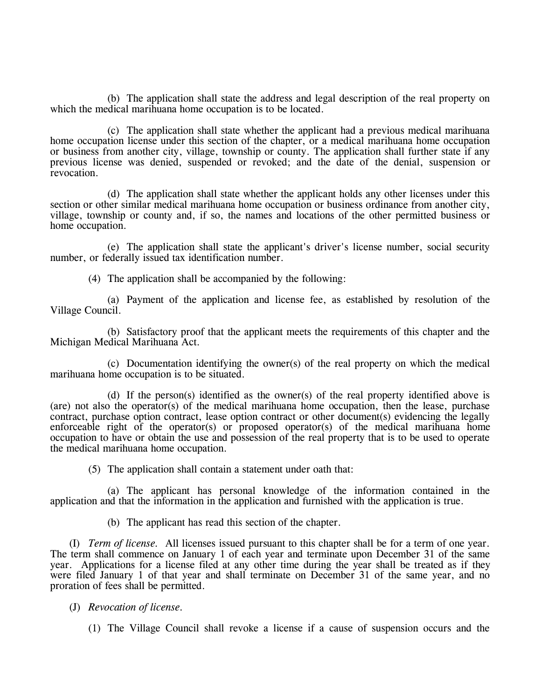(b) The application shall state the address and legal description of the real property on which the medical marihuana home occupation is to be located.

(c) The application shall state whether the applicant had a previous medical marihuana home occupation license under this section of the chapter, or a medical marihuana home occupation or business from another city, village, township or county. The application shall further state if any previous license was denied, suspended or revoked; and the date of the denial, suspension or revocation.

(d) The application shall state whether the applicant holds any other licenses under this section or other similar medical marihuana home occupation or business ordinance from another city, village, township or county and, if so, the names and locations of the other permitted business or home occupation.

(e) The application shall state the applicant's driver's license number, social security number, or federally issued tax identification number.

(4) The application shall be accompanied by the following:

(a) Payment of the application and license fee, as established by resolution of the Village Council.

(b) Satisfactory proof that the applicant meets the requirements of this chapter and the Michigan Medical Marihuana Act.

(c) Documentation identifying the owner(s) of the real property on which the medical marihuana home occupation is to be situated.

(d) If the person(s) identified as the owner(s) of the real property identified above is (are) not also the operator(s) of the medical marihuana home occupation, then the lease, purchase contract, purchase option contract, lease option contract or other document(s) evidencing the legally enforceable right of the operator(s) or proposed operator(s) of the medical marihuana home occupation to have or obtain the use and possession of the real property that is to be used to operate the medical marihuana home occupation.

(5) The application shall contain a statement under oath that:

(a) The applicant has personal knowledge of the information contained in the application and that the information in the application and furnished with the application is true.

(b) The applicant has read this section of the chapter.

(I) *Term of license.* All licenses issued pursuant to this chapter shall be for a term of one year. The term shall commence on January 1 of each year and terminate upon December 31 of the same year. Applications for a license filed at any other time during the year shall be treated as if they were filed January 1 of that year and shall terminate on December 31 of the same year, and no proration of fees shall be permitted.

(J) *Revocation of license.*

(1) The Village Council shall revoke a license if a cause of suspension occurs and the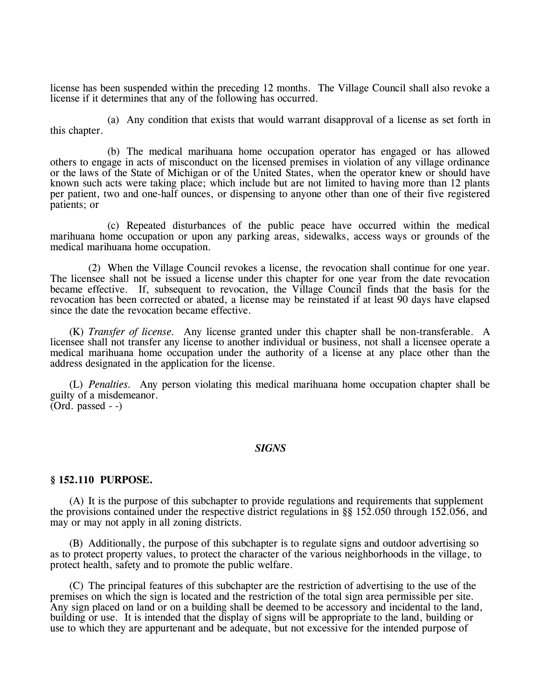license has been suspended within the preceding 12 months. The Village Council shall also revoke a license if it determines that any of the following has occurred.

(a) Any condition that exists that would warrant disapproval of a license as set forth in this chapter.

(b) The medical marihuana home occupation operator has engaged or has allowed others to engage in acts of misconduct on the licensed premises in violation of any village ordinance or the laws of the State of Michigan or of the United States, when the operator knew or should have known such acts were taking place; which include but are not limited to having more than 12 plants per patient, two and one-half ounces, or dispensing to anyone other than one of their five registered patients; or

(c) Repeated disturbances of the public peace have occurred within the medical marihuana home occupation or upon any parking areas, sidewalks, access ways or grounds of the medical marihuana home occupation.

(2) When the Village Council revokes a license, the revocation shall continue for one year. The licensee shall not be issued a license under this chapter for one year from the date revocation became effective. If, subsequent to revocation, the Village Council finds that the basis for the revocation has been corrected or abated, a license may be reinstated if at least 90 days have elapsed since the date the revocation became effective.

(K) *Transfer of license.* Any license granted under this chapter shall be non-transferable. A licensee shall not transfer any license to another individual or business, not shall a licensee operate a medical marihuana home occupation under the authority of a license at any place other than the address designated in the application for the license.

(L) *Penalties.* Any person violating this medical marihuana home occupation chapter shall be guilty of a misdemeanor.  $(Ord. passed - )$ 

#### *SIGNS*

#### **§ 152.110 PURPOSE.**

(A) It is the purpose of this subchapter to provide regulations and requirements that supplement the provisions contained under the respective district regulations in §§ 152.050 through 152.056, and may or may not apply in all zoning districts.

(B) Additionally, the purpose of this subchapter is to regulate signs and outdoor advertising so as to protect property values, to protect the character of the various neighborhoods in the village, to protect health, safety and to promote the public welfare.

(C) The principal features of this subchapter are the restriction of advertising to the use of the premises on which the sign is located and the restriction of the total sign area permissible per site. Any sign placed on land or on a building shall be deemed to be accessory and incidental to the land, building or use. It is intended that the display of signs will be appropriate to the land, building or use to which they are appurtenant and be adequate, but not excessive for the intended purpose of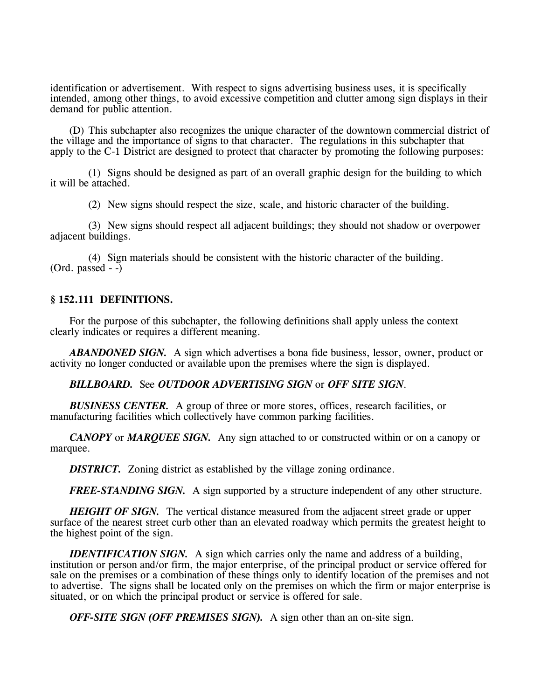identification or advertisement. With respect to signs advertising business uses, it is specifically intended, among other things, to avoid excessive competition and clutter among sign displays in their demand for public attention.

(D) This subchapter also recognizes the unique character of the downtown commercial district of the village and the importance of signs to that character. The regulations in this subchapter that apply to the C-1 District are designed to protect that character by promoting the following purposes:

(1) Signs should be designed as part of an overall graphic design for the building to which it will be attached.

(2) New signs should respect the size, scale, and historic character of the building.

(3) New signs should respect all adjacent buildings; they should not shadow or overpower adjacent buildings.

(4) Sign materials should be consistent with the historic character of the building.  $(Ord. passed - )$ 

### **§ 152.111 DEFINITIONS.**

For the purpose of this subchapter, the following definitions shall apply unless the context clearly indicates or requires a different meaning.

*ABANDONED SIGN.* A sign which advertises a bona fide business, lessor, owner, product or activity no longer conducted or available upon the premises where the sign is displayed.

### *BILLBOARD.* See *OUTDOOR ADVERTISING SIGN* or *OFF SITE SIGN*.

*BUSINESS CENTER.* A group of three or more stores, offices, research facilities, or manufacturing facilities which collectively have common parking facilities.

*CANOPY* or *MARQUEE SIGN*. Any sign attached to or constructed within or on a canopy or marquee.

*DISTRICT.* Zoning district as established by the village zoning ordinance.

*FREE-STANDING SIGN.* A sign supported by a structure independent of any other structure.

*HEIGHT OF SIGN*. The vertical distance measured from the adjacent street grade or upper surface of the nearest street curb other than an elevated roadway which permits the greatest height to the highest point of the sign.

*IDENTIFICATION SIGN.* A sign which carries only the name and address of a building, institution or person and/or firm, the major enterprise, of the principal product or service offered for sale on the premises or a combination of these things only to identify location of the premises and not to advertise. The signs shall be located only on the premises on which the firm or major enterprise is situated, or on which the principal product or service is offered for sale.

*OFF-SITE SIGN (OFF PREMISES SIGN).* A sign other than an on-site sign.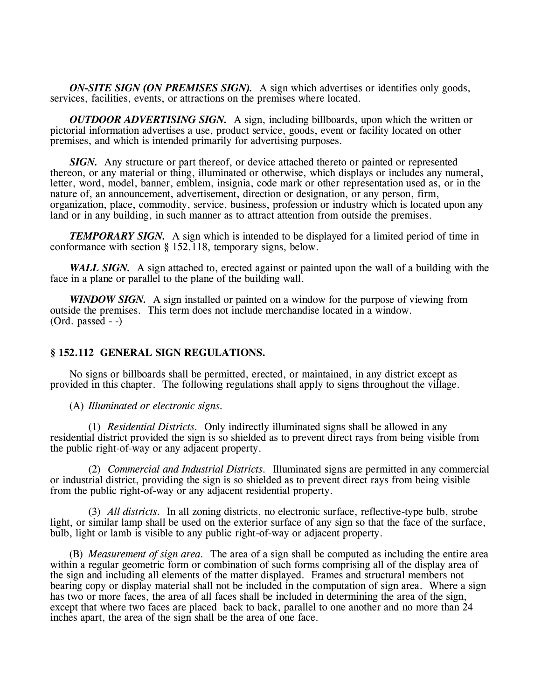*ON-SITE SIGN (ON PREMISES SIGN).* A sign which advertises or identifies only goods, services, facilities, events, or attractions on the premises where located.

*OUTDOOR ADVERTISING SIGN.* A sign, including billboards, upon which the written or pictorial information advertises a use, product service, goods, event or facility located on other premises, and which is intended primarily for advertising purposes.

*SIGN.* Any structure or part thereof, or device attached thereto or painted or represented thereon, or any material or thing, illuminated or otherwise, which displays or includes any numeral, letter, word, model, banner, emblem, insignia, code mark or other representation used as, or in the nature of, an announcement, advertisement, direction or designation, or any person, firm, organization, place, commodity, service, business, profession or industry which is located upon any land or in any building, in such manner as to attract attention from outside the premises.

*TEMPORARY SIGN.* A sign which is intended to be displayed for a limited period of time in conformance with section § 152.118, temporary signs, below.

*WALL SIGN.* A sign attached to, erected against or painted upon the wall of a building with the face in a plane or parallel to the plane of the building wall.

*WINDOW SIGN.* A sign installed or painted on a window for the purpose of viewing from outside the premises. This term does not include merchandise located in a window.  $(Ord. passed - )$ 

### **§ 152.112 GENERAL SIGN REGULATIONS.**

No signs or billboards shall be permitted, erected, or maintained, in any district except as provided in this chapter. The following regulations shall apply to signs throughout the village.

(A) *Illuminated or electronic signs.*

(1) *Residential Districts.* Only indirectly illuminated signs shall be allowed in any residential district provided the sign is so shielded as to prevent direct rays from being visible from the public right-of-way or any adjacent property.

(2) *Commercial and Industrial Districts.* Illuminated signs are permitted in any commercial or industrial district, providing the sign is so shielded as to prevent direct rays from being visible from the public right-of-way or any adjacent residential property.

(3) *All districts.* In all zoning districts, no electronic surface, reflective-type bulb, strobe light, or similar lamp shall be used on the exterior surface of any sign so that the face of the surface, bulb, light or lamb is visible to any public right-of-way or adjacent property.

(B) *Measurement of sign area.* The area of a sign shall be computed as including the entire area within a regular geometric form or combination of such forms comprising all of the display area of the sign and including all elements of the matter displayed. Frames and structural members not bearing copy or display material shall not be included in the computation of sign area. Where a sign has two or more faces, the area of all faces shall be included in determining the area of the sign, except that where two faces are placed back to back, parallel to one another and no more than 24 inches apart, the area of the sign shall be the area of one face.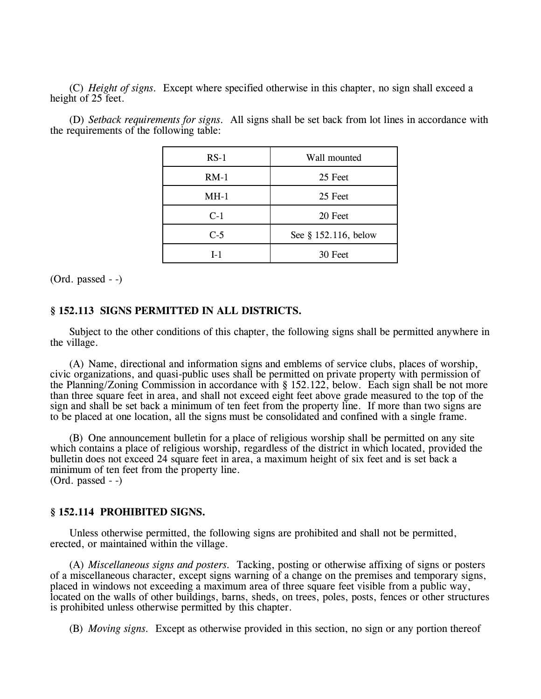(C) *Height of signs.* Except where specified otherwise in this chapter, no sign shall exceed a height of 25 feet.

the requirements of the following table: RS-1 Wall mounted

(D) *Setback requirements for signs.* All signs shall be set back from lot lines in accordance with

| 11 U T | vvan muuntu          |  |
|--------|----------------------|--|
| $RM-1$ | 25 Feet              |  |
| $MH-1$ | 25 Feet              |  |
| $C-1$  | 20 Feet              |  |
| $C-5$  | See § 152.116, below |  |
| $I-1$  | 30 Feet              |  |

(Ord. passed - -)

### **§ 152.113 SIGNS PERMITTED IN ALL DISTRICTS.**

Subject to the other conditions of this chapter, the following signs shall be permitted anywhere in the village.

(A) Name, directional and information signs and emblems of service clubs, places of worship, civic organizations, and quasi-public uses shall be permitted on private property with permission of the Planning/Zoning Commission in accordance with § 152.122, below. Each sign shall be not more than three square feet in area, and shall not exceed eight feet above grade measured to the top of the sign and shall be set back a minimum of ten feet from the property line. If more than two signs are to be placed at one location, all the signs must be consolidated and confined with a single frame.

(B) One announcement bulletin for a place of religious worship shall be permitted on any site which contains a place of religious worship, regardless of the district in which located, provided the bulletin does not exceed 24 square feet in area, a maximum height of six feet and is set back a minimum of ten feet from the property line. (Ord. passed - -)

### **§ 152.114 PROHIBITED SIGNS.**

Unless otherwise permitted, the following signs are prohibited and shall not be permitted, erected, or maintained within the village.

(A) *Miscellaneous signs and posters.* Tacking, posting or otherwise affixing of signs or posters of a miscellaneous character, except signs warning of a change on the premises and temporary signs, placed in windows not exceeding a maximum area of three square feet visible from a public way, located on the walls of other buildings, barns, sheds, on trees, poles, posts, fences or other structures is prohibited unless otherwise permitted by this chapter.

(B) *Moving signs.* Except as otherwise provided in this section, no sign or any portion thereof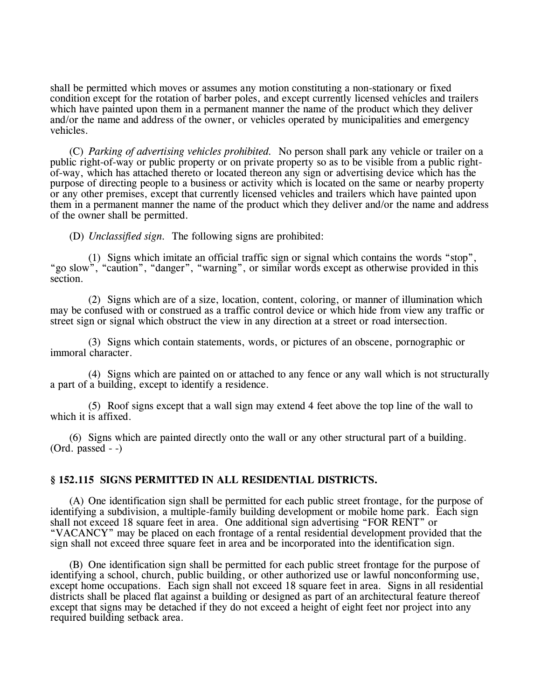shall be permitted which moves or assumes any motion constituting a non-stationary or fixed condition except for the rotation of barber poles, and except currently licensed vehicles and trailers which have painted upon them in a permanent manner the name of the product which they deliver and/or the name and address of the owner, or vehicles operated by municipalities and emergency vehicles.

(C) *Parking of advertising vehicles prohibited.* No person shall park any vehicle or trailer on a public right-of-way or public property or on private property so as to be visible from a public rightof-way, which has attached thereto or located thereon any sign or advertising device which has the purpose of directing people to a business or activity which is located on the same or nearby property or any other premises, except that currently licensed vehicles and trailers which have painted upon them in a permanent manner the name of the product which they deliver and/or the name and address of the owner shall be permitted.

(D) *Unclassified sign.* The following signs are prohibited:

(1) Signs which imitate an official traffic sign or signal which contains the words "stop", "go slow", "caution", "danger", "warning", or similar words except as otherwise provided in this section.

(2) Signs which are of a size, location, content, coloring, or manner of illumination which may be confused with or construed as a traffic control device or which hide from view any traffic or street sign or signal which obstruct the view in any direction at a street or road intersection.

(3) Signs which contain statements, words, or pictures of an obscene, pornographic or immoral character.

(4) Signs which are painted on or attached to any fence or any wall which is not structurally a part of a building, except to identify a residence.

(5) Roof signs except that a wall sign may extend 4 feet above the top line of the wall to which it is affixed.

(6) Signs which are painted directly onto the wall or any other structural part of a building. (Ord. passed - -)

## **§ 152.115 SIGNS PERMITTED IN ALL RESIDENTIAL DISTRICTS.**

(A) One identification sign shall be permitted for each public street frontage, for the purpose of identifying a subdivision, a multiple-family building development or mobile home park. Each sign shall not exceed 18 square feet in area. One additional sign advertising "FOR RENT" or "VACANCY" may be placed on each frontage of a rental residential development provided that the sign shall not exceed three square feet in area and be incorporated into the identification sign.

(B) One identification sign shall be permitted for each public street frontage for the purpose of identifying a school, church, public building, or other authorized use or lawful nonconforming use, except home occupations. Each sign shall not exceed 18 square feet in area. Signs in all residential districts shall be placed flat against a building or designed as part of an architectural feature thereof except that signs may be detached if they do not exceed a height of eight feet nor project into any required building setback area.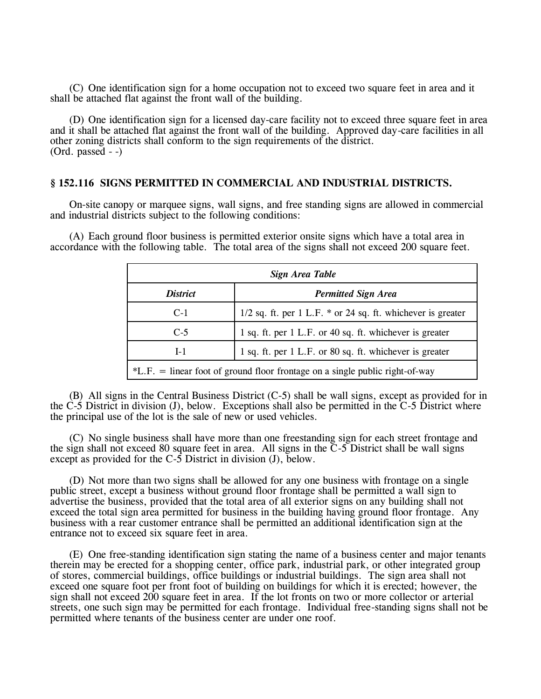(C) One identification sign for a home occupation not to exceed two square feet in area and it shall be attached flat against the front wall of the building.

(D) One identification sign for a licensed day-care facility not to exceed three square feet in area and it shall be attached flat against the front wall of the building. Approved day-care facilities in all other zoning districts shall conform to the sign requirements of the district. (Ord. passed - -)

#### **§ 152.116 SIGNS PERMITTED IN COMMERCIAL AND INDUSTRIAL DISTRICTS.**

On-site canopy or marquee signs, wall signs, and free standing signs are allowed in commercial and industrial districts subject to the following conditions:

(A) Each ground floor business is permitted exterior onsite signs which have a total area in accordance with the following table. The total area of the signs shall not exceed 200 square feet.

| Sign Area Table                                                                |                                                                 |  |  |
|--------------------------------------------------------------------------------|-----------------------------------------------------------------|--|--|
| <i>District</i>                                                                | <b>Permitted Sign Area</b>                                      |  |  |
| $C-1$                                                                          | $1/2$ sq. ft. per 1 L.F. $*$ or 24 sq. ft. whichever is greater |  |  |
| $C-5$                                                                          | 1 sq. ft. per 1 L.F. or 40 sq. ft. whichever is greater         |  |  |
| $I-1$                                                                          | 1 sq. ft. per 1 L.F. or 80 sq. ft. whichever is greater         |  |  |
| $*L.F.$ = linear foot of ground floor frontage on a single public right-of-way |                                                                 |  |  |

(B) All signs in the Central Business District (C-5) shall be wall signs, except as provided for in the C-5 District in division (J), below. Exceptions shall also be permitted in the  $C$ -5 District where the principal use of the lot is the sale of new or used vehicles.

(C) No single business shall have more than one freestanding sign for each street frontage and the sign shall not exceed 80 square feet in area. All signs in the  $\overline{C}$ -5 District shall be wall signs except as provided for the C-5 District in division (J), below.

(D) Not more than two signs shall be allowed for any one business with frontage on a single public street, except a business without ground floor frontage shall be permitted a wall sign to advertise the business, provided that the total area of all exterior signs on any building shall not exceed the total sign area permitted for business in the building having ground floor frontage. Any business with a rear customer entrance shall be permitted an additional identification sign at the entrance not to exceed six square feet in area.

(E) One free-standing identification sign stating the name of a business center and major tenants therein may be erected for a shopping center, office park, industrial park, or other integrated group of stores, commercial buildings, office buildings or industrial buildings. The sign area shall not exceed one square foot per front foot of building on buildings for which it is erected; however, the sign shall not exceed 200 square feet in area. If the lot fronts on two or more collector or arterial streets, one such sign may be permitted for each frontage. Individual free-standing signs shall not be permitted where tenants of the business center are under one roof.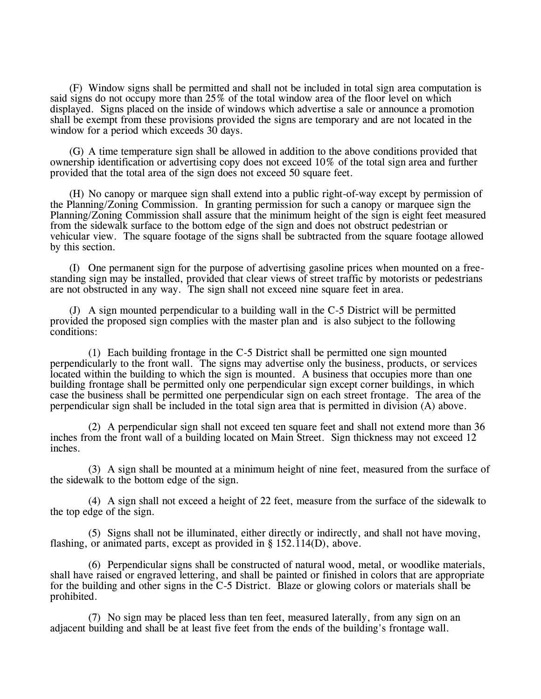(F) Window signs shall be permitted and shall not be included in total sign area computation is said signs do not occupy more than 25% of the total window area of the floor level on which displayed. Signs placed on the inside of windows which advertise a sale or announce a promotion shall be exempt from these provisions provided the signs are temporary and are not located in the window for a period which exceeds 30 days.

(G) A time temperature sign shall be allowed in addition to the above conditions provided that ownership identification or advertising copy does not exceed 10% of the total sign area and further provided that the total area of the sign does not exceed 50 square feet.

(H) No canopy or marquee sign shall extend into a public right-of-way except by permission of the Planning/Zoning Commission. In granting permission for such a canopy or marquee sign the Planning/Zoning Commission shall assure that the minimum height of the sign is eight feet measured from the sidewalk surface to the bottom edge of the sign and does not obstruct pedestrian or vehicular view. The square footage of the signs shall be subtracted from the square footage allowed by this section.

(I) One permanent sign for the purpose of advertising gasoline prices when mounted on a freestanding sign may be installed, provided that clear views of street traffic by motorists or pedestrians are not obstructed in any way. The sign shall not exceed nine square feet in area.

(J) A sign mounted perpendicular to a building wall in the C-5 District will be permitted provided the proposed sign complies with the master plan and is also subject to the following conditions:

(1) Each building frontage in the C-5 District shall be permitted one sign mounted perpendicularly to the front wall. The signs may advertise only the business, products, or services located within the building to which the sign is mounted. A business that occupies more than one building frontage shall be permitted only one perpendicular sign except corner buildings, in which case the business shall be permitted one perpendicular sign on each street frontage. The area of the perpendicular sign shall be included in the total sign area that is permitted in division (A) above.

(2) A perpendicular sign shall not exceed ten square feet and shall not extend more than 36 inches from the front wall of a building located on Main Street. Sign thickness may not exceed 12 inches.

(3) A sign shall be mounted at a minimum height of nine feet, measured from the surface of the sidewalk to the bottom edge of the sign.

(4) A sign shall not exceed a height of 22 feet, measure from the surface of the sidewalk to the top edge of the sign.

(5) Signs shall not be illuminated, either directly or indirectly, and shall not have moving, flashing, or animated parts, except as provided in § 152.114(D), above.

(6) Perpendicular signs shall be constructed of natural wood, metal, or woodlike materials, shall have raised or engraved lettering, and shall be painted or finished in colors that are appropriate for the building and other signs in the C-5 District. Blaze or glowing colors or materials shall be prohibited.

(7) No sign may be placed less than ten feet, measured laterally, from any sign on an adjacent building and shall be at least five feet from the ends of the building's frontage wall.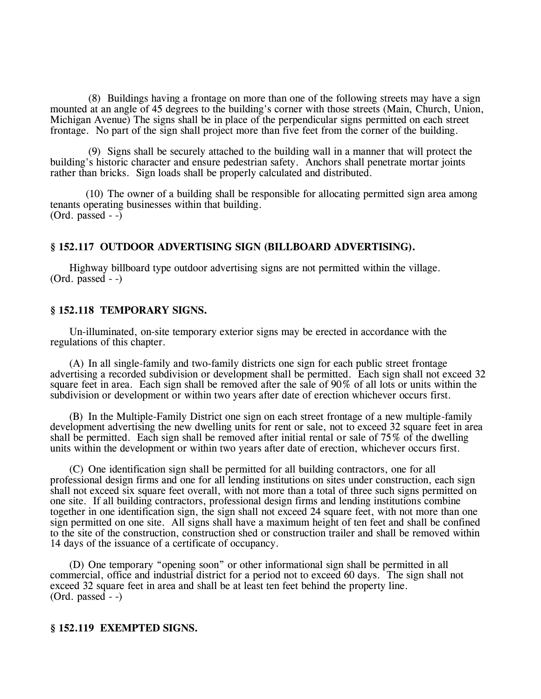(8) Buildings having a frontage on more than one of the following streets may have a sign mounted at an angle of 45 degrees to the building's corner with those streets (Main, Church, Union, Michigan Avenue) The signs shall be in place of the perpendicular signs permitted on each street frontage. No part of the sign shall project more than five feet from the corner of the building.

(9) Signs shall be securely attached to the building wall in a manner that will protect the building's historic character and ensure pedestrian safety. Anchors shall penetrate mortar joints rather than bricks. Sign loads shall be properly calculated and distributed.

(10) The owner of a building shall be responsible for allocating permitted sign area among tenants operating businesses within that building. (Ord. passed  $-$ )

# **§ 152.117 OUTDOOR ADVERTISING SIGN (BILLBOARD ADVERTISING).**

Highway billboard type outdoor advertising signs are not permitted within the village. (Ord. passed - -)

### **§ 152.118 TEMPORARY SIGNS.**

Un-illuminated, on-site temporary exterior signs may be erected in accordance with the regulations of this chapter.

(A) In all single-family and two-family districts one sign for each public street frontage advertising a recorded subdivision or development shall be permitted. Each sign shall not exceed 32 square feet in area. Each sign shall be removed after the sale of 90% of all lots or units within the subdivision or development or within two years after date of erection whichever occurs first.

(B) In the Multiple-Family District one sign on each street frontage of a new multiple-family development advertising the new dwelling units for rent or sale, not to exceed 32 square feet in area shall be permitted. Each sign shall be removed after initial rental or sale of 75% of the dwelling units within the development or within two years after date of erection, whichever occurs first.

(C) One identification sign shall be permitted for all building contractors, one for all professional design firms and one for all lending institutions on sites under construction, each sign shall not exceed six square feet overall, with not more than a total of three such signs permitted on one site. If all building contractors, professional design firms and lending institutions combine together in one identification sign, the sign shall not exceed 24 square feet, with not more than one sign permitted on one site. All signs shall have a maximum height of ten feet and shall be confined to the site of the construction, construction shed or construction trailer and shall be removed within 14 days of the issuance of a certificate of occupancy.

(D) One temporary "opening soon" or other informational sign shall be permitted in all commercial, office and industrial district for a period not to exceed 60 days. The sign shall not exceed 32 square feet in area and shall be at least ten feet behind the property line.  $(Ord. passed - )$ 

### **§ 152.119 EXEMPTED SIGNS.**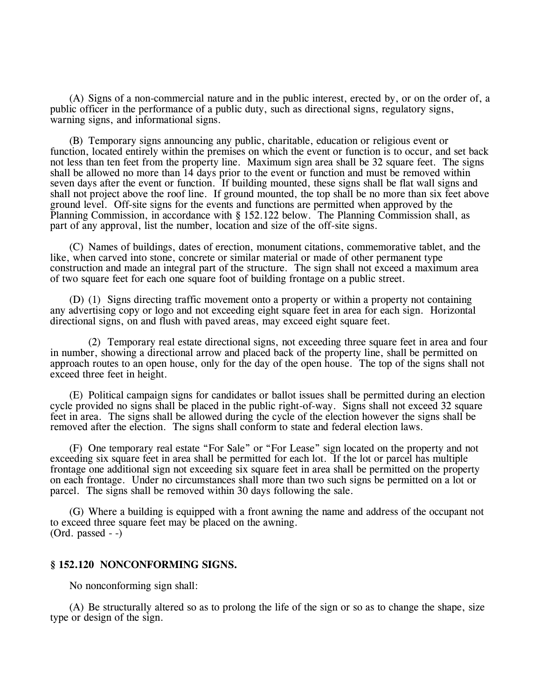(A) Signs of a non-commercial nature and in the public interest, erected by, or on the order of, a public officer in the performance of a public duty, such as directional signs, regulatory signs, warning signs, and informational signs.

(B) Temporary signs announcing any public, charitable, education or religious event or function, located entirely within the premises on which the event or function is to occur, and set back not less than ten feet from the property line. Maximum sign area shall be 32 square feet. The signs shall be allowed no more than 14 days prior to the event or function and must be removed within seven days after the event or function. If building mounted, these signs shall be flat wall signs and shall not project above the roof line. If ground mounted, the top shall be no more than six feet above ground level. Off-site signs for the events and functions are permitted when approved by the Planning Commission, in accordance with § 152.122 below. The Planning Commission shall, as part of any approval, list the number, location and size of the off-site signs.

(C) Names of buildings, dates of erection, monument citations, commemorative tablet, and the like, when carved into stone, concrete or similar material or made of other permanent type construction and made an integral part of the structure. The sign shall not exceed a maximum area of two square feet for each one square foot of building frontage on a public street.

(D) (1) Signs directing traffic movement onto a property or within a property not containing any advertising copy or logo and not exceeding eight square feet in area for each sign. Horizontal directional signs, on and flush with paved areas, may exceed eight square feet.

(2) Temporary real estate directional signs, not exceeding three square feet in area and four in number, showing a directional arrow and placed back of the property line, shall be permitted on approach routes to an open house, only for the day of the open house. The top of the signs shall not exceed three feet in height.

(E) Political campaign signs for candidates or ballot issues shall be permitted during an election cycle provided no signs shall be placed in the public right-of-way. Signs shall not exceed 32 square feet in area. The signs shall be allowed during the cycle of the election however the signs shall be removed after the election. The signs shall conform to state and federal election laws.

(F) One temporary real estate "For Sale" or "For Lease" sign located on the property and not exceeding six square feet in area shall be permitted for each lot. If the lot or parcel has multiple frontage one additional sign not exceeding six square feet in area shall be permitted on the property on each frontage. Under no circumstances shall more than two such signs be permitted on a lot or parcel. The signs shall be removed within 30 days following the sale.

(G) Where a building is equipped with a front awning the name and address of the occupant not to exceed three square feet may be placed on the awning. (Ord. passed - -)

### **§ 152.120 NONCONFORMING SIGNS.**

No nonconforming sign shall:

(A) Be structurally altered so as to prolong the life of the sign or so as to change the shape, size type or design of the sign.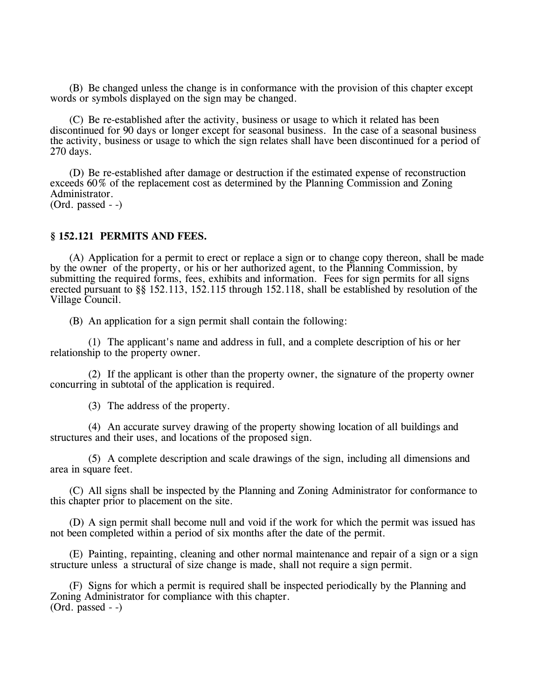(B) Be changed unless the change is in conformance with the provision of this chapter except words or symbols displayed on the sign may be changed.

(C) Be re-established after the activity, business or usage to which it related has been discontinued for 90 days or longer except for seasonal business. In the case of a seasonal business the activity, business or usage to which the sign relates shall have been discontinued for a period of 270 days.

(D) Be re-established after damage or destruction if the estimated expense of reconstruction exceeds 60% of the replacement cost as determined by the Planning Commission and Zoning Administrator.

(Ord. passed - -)

### **§ 152.121 PERMITS AND FEES.**

(A) Application for a permit to erect or replace a sign or to change copy thereon, shall be made by the owner of the property, or his or her authorized agent, to the Planning Commission, by submitting the required forms, fees, exhibits and information. Fees for sign permits for all signs erected pursuant to §§ 152.113, 152.115 through 152.118, shall be established by resolution of the Village Council.

(B) An application for a sign permit shall contain the following:

(1) The applicant's name and address in full, and a complete description of his or her relationship to the property owner.

(2) If the applicant is other than the property owner, the signature of the property owner concurring in subtotal of the application is required.

(3) The address of the property.

(4) An accurate survey drawing of the property showing location of all buildings and structures and their uses, and locations of the proposed sign.

(5) A complete description and scale drawings of the sign, including all dimensions and area in square feet.

(C) All signs shall be inspected by the Planning and Zoning Administrator for conformance to this chapter prior to placement on the site.

(D) A sign permit shall become null and void if the work for which the permit was issued has not been completed within a period of six months after the date of the permit.

(E) Painting, repainting, cleaning and other normal maintenance and repair of a sign or a sign structure unless a structural of size change is made, shall not require a sign permit.

(F) Signs for which a permit is required shall be inspected periodically by the Planning and Zoning Administrator for compliance with this chapter.  $(Ord.  $p$ assed - - $)$$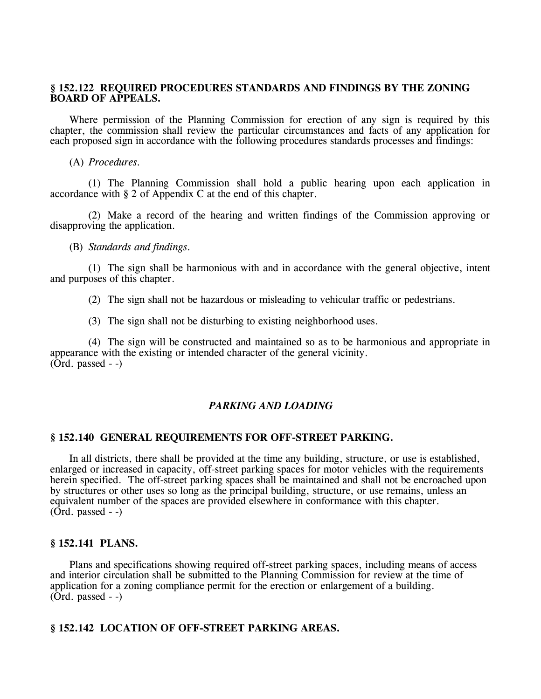# **§ 152.122 REQUIRED PROCEDURES STANDARDS AND FINDINGS BY THE ZONING BOARD OF APPEALS.**

Where permission of the Planning Commission for erection of any sign is required by this chapter, the commission shall review the particular circumstances and facts of any application for each proposed sign in accordance with the following procedures standards processes and findings:

(A) *Procedures.*

(1) The Planning Commission shall hold a public hearing upon each application in accordance with § 2 of Appendix C at the end of this chapter.

(2) Make a record of the hearing and written findings of the Commission approving or disapproving the application.

(B) *Standards and findings.*

(1) The sign shall be harmonious with and in accordance with the general objective, intent and purposes of this chapter.

(2) The sign shall not be hazardous or misleading to vehicular traffic or pedestrians.

(3) The sign shall not be disturbing to existing neighborhood uses.

(4) The sign will be constructed and maintained so as to be harmonious and appropriate in appearance with the existing or intended character of the general vicinity.  $(Ord. passed - )$ 

# *PARKING AND LOADING*

# **§ 152.140 GENERAL REQUIREMENTS FOR OFF-STREET PARKING.**

In all districts, there shall be provided at the time any building, structure, or use is established, enlarged or increased in capacity, off-street parking spaces for motor vehicles with the requirements herein specified. The off-street parking spaces shall be maintained and shall not be encroached upon by structures or other uses so long as the principal building, structure, or use remains, unless an equivalent number of the spaces are provided elsewhere in conformance with this chapter.  $(Ord. passed - )$ 

### **§ 152.141 PLANS.**

Plans and specifications showing required off-street parking spaces, including means of access and interior circulation shall be submitted to the Planning Commission for review at the time of application for a zoning compliance permit for the erection or enlargement of a building.  $(Ord. passed - )$ 

# **§ 152.142 LOCATION OF OFF-STREET PARKING AREAS.**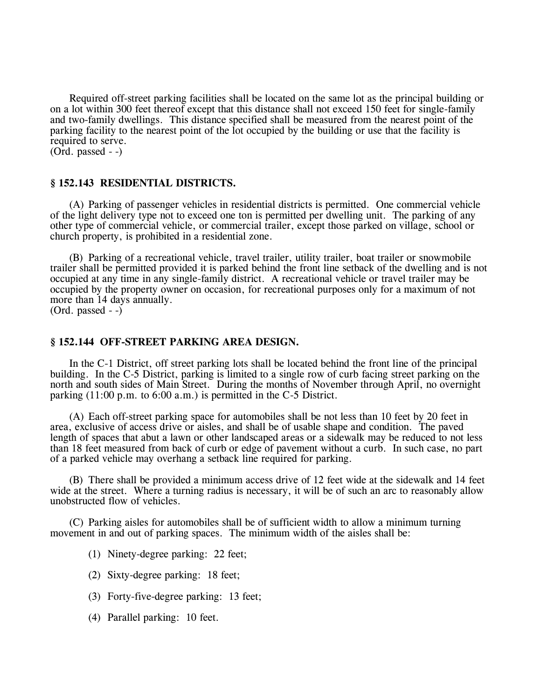Required off-street parking facilities shall be located on the same lot as the principal building or on a lot within 300 feet thereof except that this distance shall not exceed 150 feet for single-family and two-family dwellings. This distance specified shall be measured from the nearest point of the parking facility to the nearest point of the lot occupied by the building or use that the facility is required to serve.

 $(Ord. passed - )$ 

### **§ 152.143 RESIDENTIAL DISTRICTS.**

(A) Parking of passenger vehicles in residential districts is permitted. One commercial vehicle of the light delivery type not to exceed one ton is permitted per dwelling unit. The parking of any other type of commercial vehicle, or commercial trailer, except those parked on village, school or church property, is prohibited in a residential zone.

(B) Parking of a recreational vehicle, travel trailer, utility trailer, boat trailer or snowmobile trailer shall be permitted provided it is parked behind the front line setback of the dwelling and is not occupied at any time in any single-family district. A recreational vehicle or travel trailer may be occupied by the property owner on occasion, for recreational purposes only for a maximum of not more than 14 days annually.

(Ord. passed - -)

### **§ 152.144 OFF-STREET PARKING AREA DESIGN.**

In the C-1 District, off street parking lots shall be located behind the front line of the principal building. In the C-5 District, parking is limited to a single row of curb facing street parking on the north and south sides of Main Street. During the months of November through April, no overnight parking (11:00 p.m. to 6:00 a.m.) is permitted in the C-5 District.

(A) Each off-street parking space for automobiles shall be not less than 10 feet by 20 feet in area, exclusive of access drive or aisles, and shall be of usable shape and condition. The paved length of spaces that abut a lawn or other landscaped areas or a sidewalk may be reduced to not less than 18 feet measured from back of curb or edge of pavement without a curb. In such case, no part of a parked vehicle may overhang a setback line required for parking.

(B) There shall be provided a minimum access drive of 12 feet wide at the sidewalk and 14 feet wide at the street. Where a turning radius is necessary, it will be of such an arc to reasonably allow unobstructed flow of vehicles.

(C) Parking aisles for automobiles shall be of sufficient width to allow a minimum turning movement in and out of parking spaces. The minimum width of the aisles shall be:

- (1) Ninety-degree parking: 22 feet;
- (2) Sixty-degree parking: 18 feet;
- (3) Forty-five-degree parking: 13 feet;
- (4) Parallel parking: 10 feet.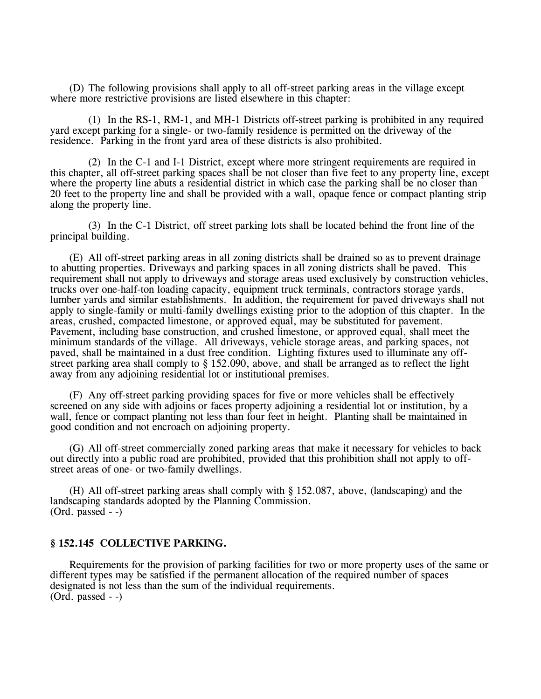(D) The following provisions shall apply to all off-street parking areas in the village except where more restrictive provisions are listed elsewhere in this chapter:

(1) In the RS-1, RM-1, and MH-1 Districts off-street parking is prohibited in any required yard except parking for a single- or two-family residence is permitted on the driveway of the residence. Parking in the front yard area of these districts is also prohibited.

(2) In the C-1 and I-1 District, except where more stringent requirements are required in this chapter, all off-street parking spaces shall be not closer than five feet to any property line, except where the property line abuts a residential district in which case the parking shall be no closer than 20 feet to the property line and shall be provided with a wall, opaque fence or compact planting strip along the property line.

(3) In the C-1 District, off street parking lots shall be located behind the front line of the principal building.

(E) All off-street parking areas in all zoning districts shall be drained so as to prevent drainage to abutting properties. Driveways and parking spaces in all zoning districts shall be paved. This requirement shall not apply to driveways and storage areas used exclusively by construction vehicles, trucks over one-half-ton loading capacity, equipment truck terminals, contractors storage yards, lumber yards and similar establishments. In addition, the requirement for paved driveways shall not apply to single-family or multi-family dwellings existing prior to the adoption of this chapter. In the areas, crushed, compacted limestone, or approved equal, may be substituted for pavement. Pavement, including base construction, and crushed limestone, or approved equal, shall meet the minimum standards of the village. All driveways, vehicle storage areas, and parking spaces, not paved, shall be maintained in a dust free condition. Lighting fixtures used to illuminate any offstreet parking area shall comply to § 152.090, above, and shall be arranged as to reflect the light away from any adjoining residential lot or institutional premises.

(F) Any off-street parking providing spaces for five or more vehicles shall be effectively screened on any side with adjoins or faces property adjoining a residential lot or institution, by a wall, fence or compact planting not less than four feet in height. Planting shall be maintained in good condition and not encroach on adjoining property.

(G) All off-street commercially zoned parking areas that make it necessary for vehicles to back out directly into a public road are prohibited, provided that this prohibition shall not apply to offstreet areas of one- or two-family dwellings.

(H) All off-street parking areas shall comply with § 152.087, above, (landscaping) and the landscaping standards adopted by the Planning Commission.  $(Ord. passed - )$ 

### **§ 152.145 COLLECTIVE PARKING.**

Requirements for the provision of parking facilities for two or more property uses of the same or different types may be satisfied if the permanent allocation of the required number of spaces designated is not less than the sum of the individual requirements.  $(Ord. passed - )$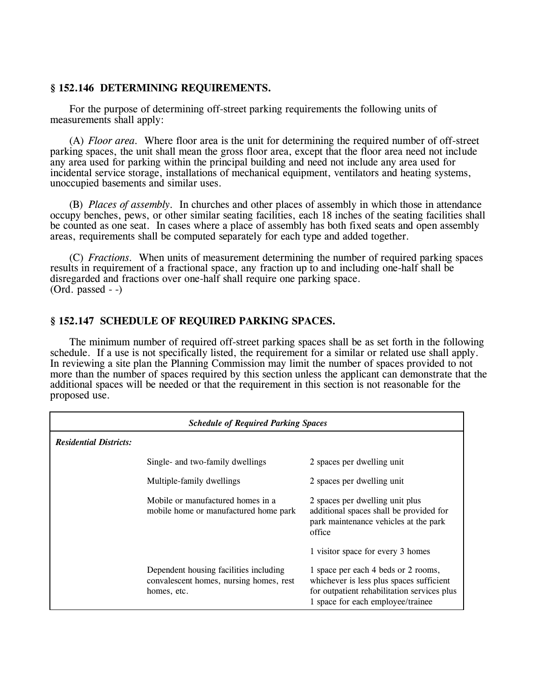# **§ 152.146 DETERMINING REQUIREMENTS.**

For the purpose of determining off-street parking requirements the following units of measurements shall apply:

(A) *Floor area.* Where floor area is the unit for determining the required number of off-street parking spaces, the unit shall mean the gross floor area, except that the floor area need not include any area used for parking within the principal building and need not include any area used for incidental service storage, installations of mechanical equipment, ventilators and heating systems, unoccupied basements and similar uses.

(B) *Places of assembly.* In churches and other places of assembly in which those in attendance occupy benches, pews, or other similar seating facilities, each 18 inches of the seating facilities shall be counted as one seat. In cases where a place of assembly has both fixed seats and open assembly areas, requirements shall be computed separately for each type and added together.

(C) *Fractions.* When units of measurement determining the number of required parking spaces results in requirement of a fractional space, any fraction up to and including one-half shall be disregarded and fractions over one-half shall require one parking space. (Ord. passed - -)

# **§ 152.147 SCHEDULE OF REQUIRED PARKING SPACES.**

The minimum number of required off-street parking spaces shall be as set forth in the following schedule. If a use is not specifically listed, the requirement for a similar or related use shall apply. In reviewing a site plan the Planning Commission may limit the number of spaces provided to not more than the number of spaces required by this section unless the applicant can demonstrate that the additional spaces will be needed or that the requirement in this section is not reasonable for the proposed use.

| <b>Schedule of Required Parking Spaces</b> |                                                                                                  |                                                                                                                                                                     |
|--------------------------------------------|--------------------------------------------------------------------------------------------------|---------------------------------------------------------------------------------------------------------------------------------------------------------------------|
| <b>Residential Districts:</b>              |                                                                                                  |                                                                                                                                                                     |
|                                            | Single- and two-family dwellings                                                                 | 2 spaces per dwelling unit                                                                                                                                          |
|                                            | Multiple-family dwellings                                                                        | 2 spaces per dwelling unit                                                                                                                                          |
|                                            | Mobile or manufactured homes in a<br>mobile home or manufactured home park                       | 2 spaces per dwelling unit plus<br>additional spaces shall be provided for<br>park maintenance vehicles at the park<br>office                                       |
|                                            |                                                                                                  | 1 visitor space for every 3 homes                                                                                                                                   |
|                                            | Dependent housing facilities including<br>convalescent homes, nursing homes, rest<br>homes, etc. | 1 space per each 4 beds or 2 rooms,<br>whichever is less plus spaces sufficient<br>for outpatient rehabilitation services plus<br>1 space for each employee/trainee |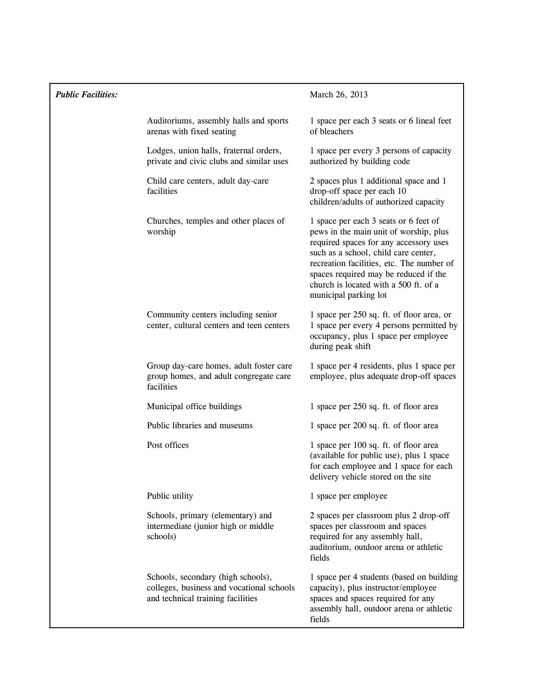| <b>Public Facilities:</b> |                                                                                                                      | March 26, 2013                                                                                                                                                                                                                                                                                                            |
|---------------------------|----------------------------------------------------------------------------------------------------------------------|---------------------------------------------------------------------------------------------------------------------------------------------------------------------------------------------------------------------------------------------------------------------------------------------------------------------------|
|                           | Auditoriums, assembly halls and sports<br>arenas with fixed seating                                                  | 1 space per each 3 seats or 6 lineal feet<br>of bleachers                                                                                                                                                                                                                                                                 |
|                           | Lodges, union halls, fraternal orders,<br>private and civic clubs and similar uses                                   | 1 space per every 3 persons of capacity<br>authorized by building code                                                                                                                                                                                                                                                    |
|                           | Child care centers, adult day-care<br>facilities                                                                     | 2 spaces plus 1 additional space and 1<br>drop-off space per each 10<br>children/adults of authorized capacity                                                                                                                                                                                                            |
|                           | Churches, temples and other places of<br>worship                                                                     | 1 space per each 3 seats or 6 feet of<br>pews in the main unit of worship, plus<br>required spaces for any accessory uses<br>such as a school, child care center,<br>recreation facilities, etc. The number of<br>spaces required may be reduced if the<br>church is located with a 500 ft. of a<br>municipal parking lot |
|                           | Community centers including senior<br>center, cultural centers and teen centers                                      | 1 space per 250 sq. ft. of floor area, or<br>1 space per every 4 persons permitted by<br>occupancy, plus 1 space per employee<br>during peak shift                                                                                                                                                                        |
|                           | Group day-care homes, adult foster care<br>group homes, and adult congregate care<br>facilities                      | 1 space per 4 residents, plus 1 space per<br>employee, plus adequate drop-off spaces                                                                                                                                                                                                                                      |
|                           | Municipal office buildings                                                                                           | 1 space per 250 sq. ft. of floor area                                                                                                                                                                                                                                                                                     |
|                           | Public libraries and museums                                                                                         | 1 space per 200 sq. ft. of floor area                                                                                                                                                                                                                                                                                     |
|                           | Post offices                                                                                                         | 1 space per 100 sq. ft. of floor area<br>(available for public use), plus 1 space<br>for each employee and 1 space for each<br>delivery vehicle stored on the site                                                                                                                                                        |
|                           | Public utility                                                                                                       | 1 space per employee                                                                                                                                                                                                                                                                                                      |
|                           | Schools, primary (elementary) and<br>intermediate (junior high or middle<br>schools)                                 | 2 spaces per classroom plus 2 drop-off<br>spaces per classroom and spaces<br>required for any assembly hall,<br>auditorium, outdoor arena or athletic<br>fields                                                                                                                                                           |
|                           | Schools, secondary (high schools),<br>colleges, business and vocational schools<br>and technical training facilities | 1 space per 4 students (based on building<br>capacity), plus instructor/employee<br>spaces and spaces required for any<br>assembly hall, outdoor arena or athletic<br>fields                                                                                                                                              |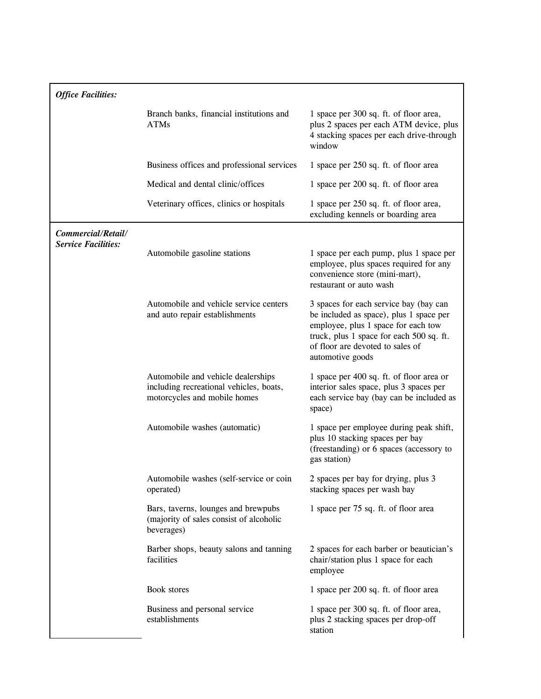| <b>Office Facilities:</b>                        |                                                                                                               |                                                                                                                                                                                                                              |
|--------------------------------------------------|---------------------------------------------------------------------------------------------------------------|------------------------------------------------------------------------------------------------------------------------------------------------------------------------------------------------------------------------------|
|                                                  | Branch banks, financial institutions and<br><b>ATMs</b>                                                       | 1 space per 300 sq. ft. of floor area,<br>plus 2 spaces per each ATM device, plus<br>4 stacking spaces per each drive-through<br>window                                                                                      |
|                                                  | Business offices and professional services                                                                    | 1 space per 250 sq. ft. of floor area                                                                                                                                                                                        |
|                                                  | Medical and dental clinic/offices                                                                             | 1 space per 200 sq. ft. of floor area                                                                                                                                                                                        |
|                                                  | Veterinary offices, clinics or hospitals                                                                      | 1 space per 250 sq. ft. of floor area,<br>excluding kennels or boarding area                                                                                                                                                 |
| Commercial/Retail/<br><b>Service Facilities:</b> |                                                                                                               |                                                                                                                                                                                                                              |
|                                                  | Automobile gasoline stations                                                                                  | 1 space per each pump, plus 1 space per<br>employee, plus spaces required for any<br>convenience store (mini-mart),<br>restaurant or auto wash                                                                               |
|                                                  | Automobile and vehicle service centers<br>and auto repair establishments                                      | 3 spaces for each service bay (bay can<br>be included as space), plus 1 space per<br>employee, plus 1 space for each tow<br>truck, plus 1 space for each 500 sq. ft.<br>of floor are devoted to sales of<br>automotive goods |
|                                                  | Automobile and vehicle dealerships<br>including recreational vehicles, boats,<br>motorcycles and mobile homes | 1 space per 400 sq. ft. of floor area or<br>interior sales space, plus 3 spaces per<br>each service bay (bay can be included as<br>space)                                                                                    |
|                                                  | Automobile washes (automatic)                                                                                 | 1 space per employee during peak shift,<br>plus 10 stacking spaces per bay<br>(freestanding) or 6 spaces (accessory to<br>gas station)                                                                                       |
|                                                  | Automobile washes (self-service or coin<br>operated)                                                          | 2 spaces per bay for drying, plus 3<br>stacking spaces per wash bay                                                                                                                                                          |
|                                                  | Bars, taverns, lounges and brewpubs<br>(majority of sales consist of alcoholic<br>beverages)                  | 1 space per 75 sq. ft. of floor area                                                                                                                                                                                         |
|                                                  | Barber shops, beauty salons and tanning<br>facilities                                                         | 2 spaces for each barber or beautician's<br>chair/station plus 1 space for each<br>employee                                                                                                                                  |
|                                                  | Book stores                                                                                                   | 1 space per 200 sq. ft. of floor area                                                                                                                                                                                        |
|                                                  | Business and personal service<br>establishments                                                               | 1 space per 300 sq. ft. of floor area,<br>plus 2 stacking spaces per drop-off<br>station                                                                                                                                     |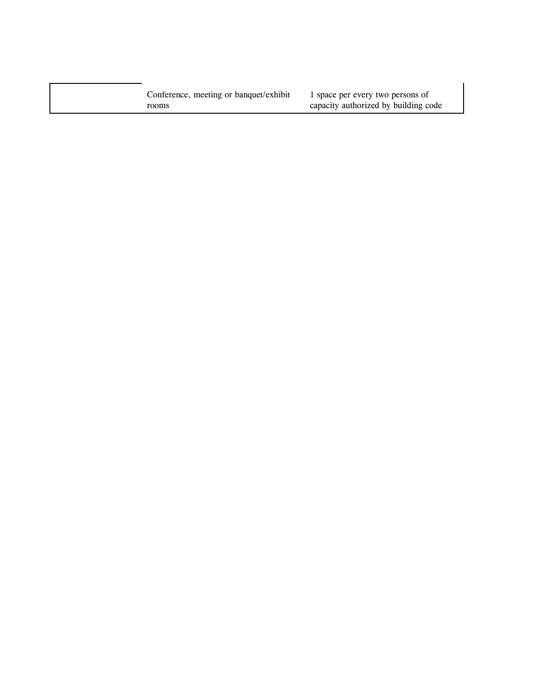Conference, meeting or banquet/exhibit rooms

1 space per every two persons of capacity authorized by building code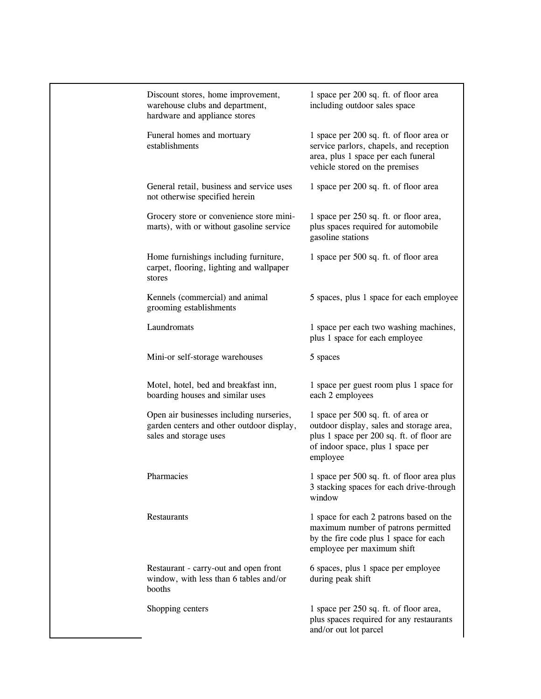| Discount stores, home improvement,<br>warehouse clubs and department,<br>hardware and appliance stores          | 1 space per 200 sq. ft. of floor area<br>including outdoor sales space                                                                                                       |
|-----------------------------------------------------------------------------------------------------------------|------------------------------------------------------------------------------------------------------------------------------------------------------------------------------|
| Funeral homes and mortuary<br>establishments                                                                    | 1 space per 200 sq. ft. of floor area or<br>service parlors, chapels, and reception<br>area, plus 1 space per each funeral<br>vehicle stored on the premises                 |
| General retail, business and service uses<br>not otherwise specified herein                                     | 1 space per 200 sq. ft. of floor area                                                                                                                                        |
| Grocery store or convenience store mini-<br>marts), with or without gasoline service                            | 1 space per 250 sq. ft. or floor area,<br>plus spaces required for automobile<br>gasoline stations                                                                           |
| Home furnishings including furniture,<br>carpet, flooring, lighting and wallpaper<br>stores                     | 1 space per 500 sq. ft. of floor area                                                                                                                                        |
| Kennels (commercial) and animal<br>grooming establishments                                                      | 5 spaces, plus 1 space for each employee                                                                                                                                     |
| Laundromats                                                                                                     | 1 space per each two washing machines,<br>plus 1 space for each employee                                                                                                     |
| Mini-or self-storage warehouses                                                                                 | 5 spaces                                                                                                                                                                     |
| Motel, hotel, bed and breakfast inn,<br>boarding houses and similar uses                                        | 1 space per guest room plus 1 space for<br>each 2 employees                                                                                                                  |
| Open air businesses including nurseries,<br>garden centers and other outdoor display,<br>sales and storage uses | 1 space per 500 sq. ft. of area or<br>outdoor display, sales and storage area,<br>plus 1 space per 200 sq. ft. of floor are<br>of indoor space, plus 1 space per<br>employee |
| Pharmacies                                                                                                      | 1 space per 500 sq. ft. of floor area plus<br>3 stacking spaces for each drive-through<br>window                                                                             |
| Restaurants                                                                                                     | 1 space for each 2 patrons based on the<br>maximum number of patrons permitted<br>by the fire code plus 1 space for each<br>employee per maximum shift                       |
| Restaurant - carry-out and open front<br>window, with less than 6 tables and/or<br>booths                       | 6 spaces, plus 1 space per employee<br>during peak shift                                                                                                                     |
| Shopping centers                                                                                                | 1 space per 250 sq. ft. of floor area,<br>plus spaces required for any restaurants<br>and/or out lot parcel                                                                  |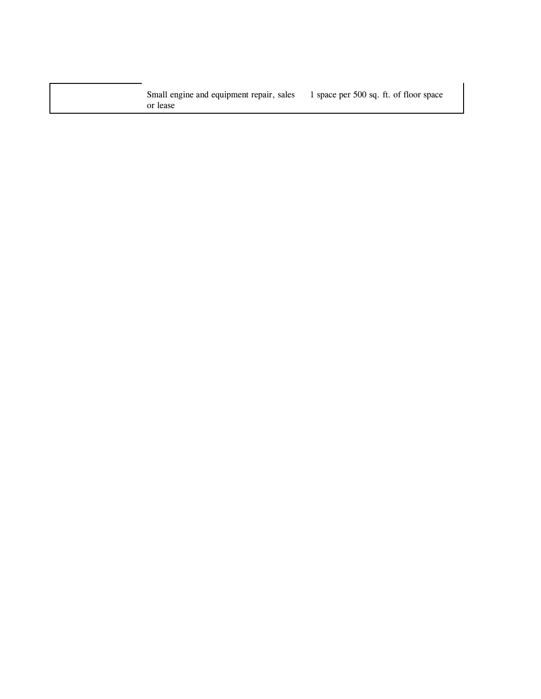Small engine and equipment repair, sales or lease 1 space per 500 sq. ft. of floor space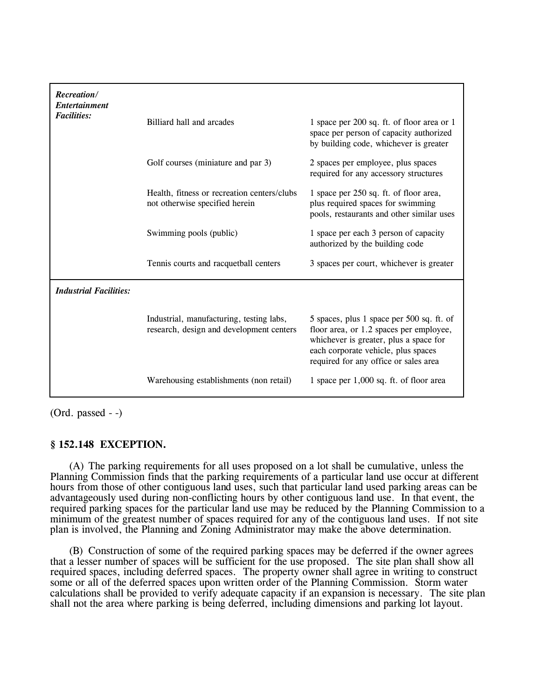| Recreation/<br><b>Entertainment</b><br><b>Facilities:</b> | Billiard hall and arcades                                                            | 1 space per 200 sq. ft. of floor area or 1<br>space per person of capacity authorized<br>by building code, whichever is greater                                                                                |
|-----------------------------------------------------------|--------------------------------------------------------------------------------------|----------------------------------------------------------------------------------------------------------------------------------------------------------------------------------------------------------------|
|                                                           | Golf courses (miniature and par 3)                                                   | 2 spaces per employee, plus spaces<br>required for any accessory structures                                                                                                                                    |
|                                                           | Health, fitness or recreation centers/clubs<br>not otherwise specified herein        | 1 space per 250 sq. ft. of floor area,<br>plus required spaces for swimming<br>pools, restaurants and other similar uses                                                                                       |
|                                                           | Swimming pools (public)                                                              | 1 space per each 3 person of capacity<br>authorized by the building code                                                                                                                                       |
|                                                           | Tennis courts and racquetball centers                                                | 3 spaces per court, whichever is greater                                                                                                                                                                       |
| <b>Industrial Facilities:</b>                             |                                                                                      |                                                                                                                                                                                                                |
|                                                           | Industrial, manufacturing, testing labs,<br>research, design and development centers | 5 spaces, plus 1 space per 500 sq. ft. of<br>floor area, or 1.2 spaces per employee,<br>whichever is greater, plus a space for<br>each corporate vehicle, plus spaces<br>required for any office or sales area |
|                                                           | Warehousing establishments (non retail)                                              | 1 space per 1,000 sq. ft. of floor area                                                                                                                                                                        |

(Ord. passed - -)

# **§ 152.148 EXCEPTION.**

(A) The parking requirements for all uses proposed on a lot shall be cumulative, unless the Planning Commission finds that the parking requirements of a particular land use occur at different hours from those of other contiguous land uses, such that particular land used parking areas can be advantageously used during non-conflicting hours by other contiguous land use. In that event, the required parking spaces for the particular land use may be reduced by the Planning Commission to a minimum of the greatest number of spaces required for any of the contiguous land uses. If not site plan is involved, the Planning and Zoning Administrator may make the above determination.

(B) Construction of some of the required parking spaces may be deferred if the owner agrees that a lesser number of spaces will be sufficient for the use proposed. The site plan shall show all required spaces, including deferred spaces. The property owner shall agree in writing to construct some or all of the deferred spaces upon written order of the Planning Commission. Storm water calculations shall be provided to verify adequate capacity if an expansion is necessary. The site plan shall not the area where parking is being deferred, including dimensions and parking lot layout.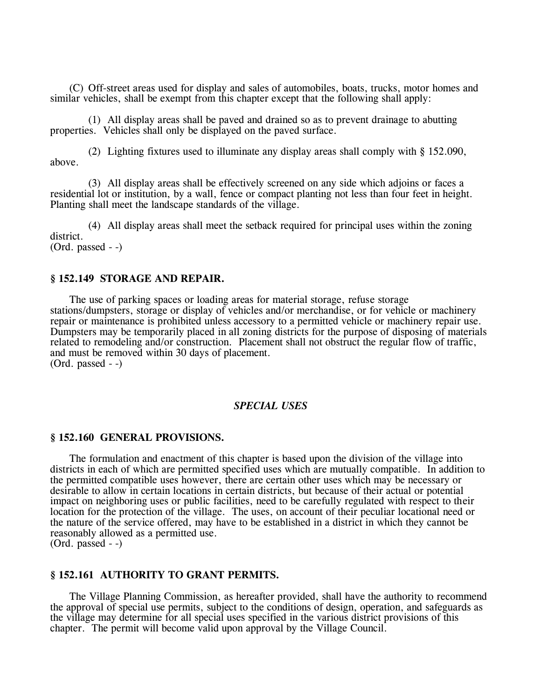(C) Off-street areas used for display and sales of automobiles, boats, trucks, motor homes and similar vehicles, shall be exempt from this chapter except that the following shall apply:

(1) All display areas shall be paved and drained so as to prevent drainage to abutting properties. Vehicles shall only be displayed on the paved surface.

(2) Lighting fixtures used to illuminate any display areas shall comply with § 152.090, above.

(3) All display areas shall be effectively screened on any side which adjoins or faces a residential lot or institution, by a wall, fence or compact planting not less than four feet in height. Planting shall meet the landscape standards of the village.

(4) All display areas shall meet the setback required for principal uses within the zoning district. (Ord. passed - -)

# **§ 152.149 STORAGE AND REPAIR.**

The use of parking spaces or loading areas for material storage, refuse storage stations/dumpsters, storage or display of vehicles and/or merchandise, or for vehicle or machinery repair or maintenance is prohibited unless accessory to a permitted vehicle or machinery repair use. Dumpsters may be temporarily placed in all zoning districts for the purpose of disposing of materials related to remodeling and/or construction. Placement shall not obstruct the regular flow of traffic, and must be removed within 30 days of placement. (Ord. passed - -)

### *SPECIAL USES*

### **§ 152.160 GENERAL PROVISIONS.**

The formulation and enactment of this chapter is based upon the division of the village into districts in each of which are permitted specified uses which are mutually compatible. In addition to the permitted compatible uses however, there are certain other uses which may be necessary or desirable to allow in certain locations in certain districts, but because of their actual or potential impact on neighboring uses or public facilities, need to be carefully regulated with respect to their location for the protection of the village. The uses, on account of their peculiar locational need or the nature of the service offered, may have to be established in a district in which they cannot be reasonably allowed as a permitted use.

(Ord. passed - -)

# **§ 152.161 AUTHORITY TO GRANT PERMITS.**

The Village Planning Commission, as hereafter provided, shall have the authority to recommend the approval of special use permits, subject to the conditions of design, operation, and safeguards as the village may determine for all special uses specified in the various district provisions of this chapter. The permit will become valid upon approval by the Village Council.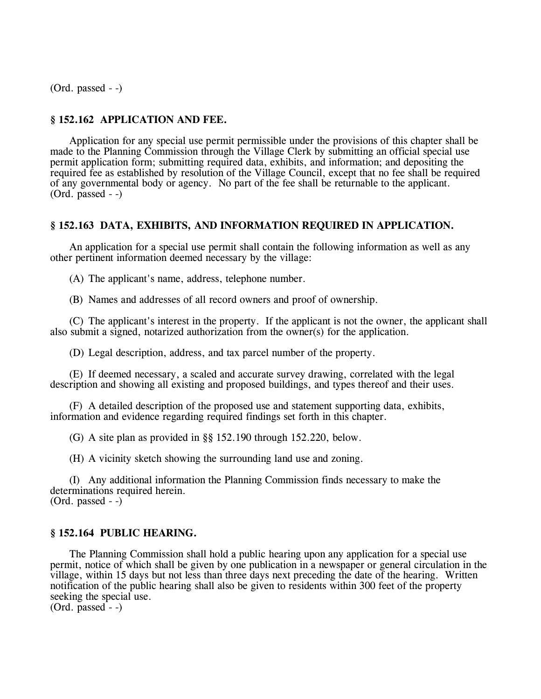(Ord. passed - -)

# **§ 152.162 APPLICATION AND FEE.**

Application for any special use permit permissible under the provisions of this chapter shall be made to the Planning Commission through the Village Clerk by submitting an official special use permit application form; submitting required data, exhibits, and information; and depositing the required fee as established by resolution of the Village Council, except that no fee shall be required of any governmental body or agency. No part of the fee shall be returnable to the applicant. (Ord. passed - -)

### **§ 152.163 DATA, EXHIBITS, AND INFORMATION REQUIRED IN APPLICATION.**

An application for a special use permit shall contain the following information as well as any other pertinent information deemed necessary by the village:

(A) The applicant's name, address, telephone number.

(B) Names and addresses of all record owners and proof of ownership.

(C) The applicant's interest in the property. If the applicant is not the owner, the applicant shall also submit a signed, notarized authorization from the owner(s) for the application.

(D) Legal description, address, and tax parcel number of the property.

(E) If deemed necessary, a scaled and accurate survey drawing, correlated with the legal description and showing all existing and proposed buildings, and types thereof and their uses.

(F) A detailed description of the proposed use and statement supporting data, exhibits, information and evidence regarding required findings set forth in this chapter.

(G) A site plan as provided in §§ 152.190 through 152.220, below.

(H) A vicinity sketch showing the surrounding land use and zoning.

(I) Any additional information the Planning Commission finds necessary to make the determinations required herein. (Ord. passed - -)

### **§ 152.164 PUBLIC HEARING.**

The Planning Commission shall hold a public hearing upon any application for a special use permit, notice of which shall be given by one publication in a newspaper or general circulation in the village, within 15 days but not less than three days next preceding the date of the hearing. Written notification of the public hearing shall also be given to residents within 300 feet of the property seeking the special use.

 $(Ord.  $pasesd - )$$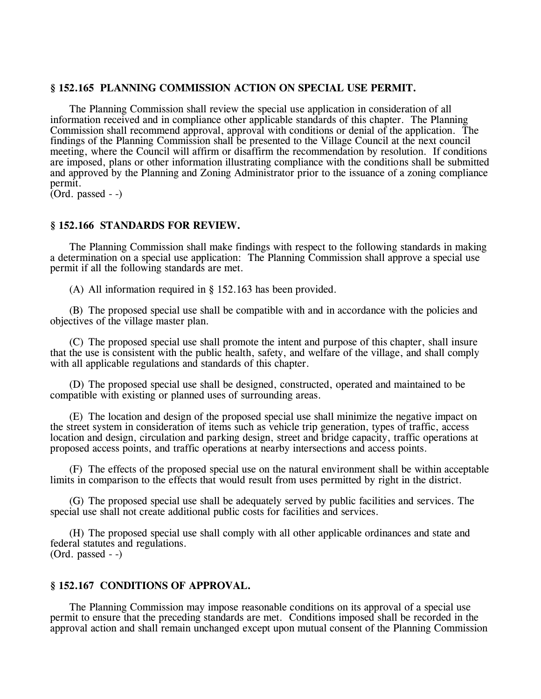# **§ 152.165 PLANNING COMMISSION ACTION ON SPECIAL USE PERMIT.**

The Planning Commission shall review the special use application in consideration of all information received and in compliance other applicable standards of this chapter. The Planning Commission shall recommend approval, approval with conditions or denial of the application. The findings of the Planning Commission shall be presented to the Village Council at the next council meeting, where the Council will affirm or disaffirm the recommendation by resolution. If conditions are imposed, plans or other information illustrating compliance with the conditions shall be submitted and approved by the Planning and Zoning Administrator prior to the issuance of a zoning compliance permit.

 $(Ord. passed - )$ 

# **§ 152.166 STANDARDS FOR REVIEW.**

The Planning Commission shall make findings with respect to the following standards in making a determination on a special use application: The Planning Commission shall approve a special use permit if all the following standards are met.

(A) All information required in § 152.163 has been provided.

(B) The proposed special use shall be compatible with and in accordance with the policies and objectives of the village master plan.

(C) The proposed special use shall promote the intent and purpose of this chapter, shall insure that the use is consistent with the public health, safety, and welfare of the village, and shall comply with all applicable regulations and standards of this chapter.

(D) The proposed special use shall be designed, constructed, operated and maintained to be compatible with existing or planned uses of surrounding areas.

(E) The location and design of the proposed special use shall minimize the negative impact on the street system in consideration of items such as vehicle trip generation, types of traffic, access location and design, circulation and parking design, street and bridge capacity, traffic operations at proposed access points, and traffic operations at nearby intersections and access points.

(F) The effects of the proposed special use on the natural environment shall be within acceptable limits in comparison to the effects that would result from uses permitted by right in the district.

(G) The proposed special use shall be adequately served by public facilities and services. The special use shall not create additional public costs for facilities and services.

(H) The proposed special use shall comply with all other applicable ordinances and state and federal statutes and regulations. (Ord. passed - -)

### **§ 152.167 CONDITIONS OF APPROVAL.**

The Planning Commission may impose reasonable conditions on its approval of a special use permit to ensure that the preceding standards are met. Conditions imposed shall be recorded in the approval action and shall remain unchanged except upon mutual consent of the Planning Commission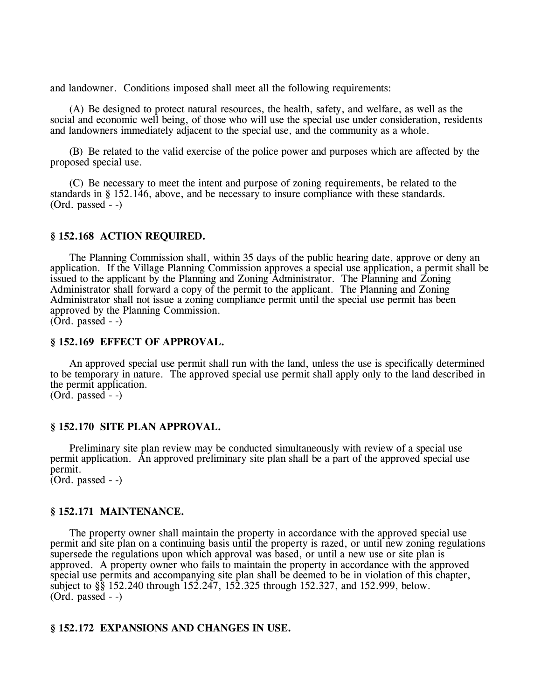and landowner. Conditions imposed shall meet all the following requirements:

(A) Be designed to protect natural resources, the health, safety, and welfare, as well as the social and economic well being, of those who will use the special use under consideration, residents and landowners immediately adjacent to the special use, and the community as a whole.

(B) Be related to the valid exercise of the police power and purposes which are affected by the proposed special use.

(C) Be necessary to meet the intent and purpose of zoning requirements, be related to the standards in § 152.146, above, and be necessary to insure compliance with these standards. (Ord. passed - -)

### **§ 152.168 ACTION REQUIRED.**

The Planning Commission shall, within 35 days of the public hearing date, approve or deny an application. If the Village Planning Commission approves a special use application, a permit shall be issued to the applicant by the Planning and Zoning Administrator. The Planning and Zoning Administrator shall forward a copy of the permit to the applicant. The Planning and Zoning Administrator shall not issue a zoning compliance permit until the special use permit has been approved by the Planning Commission. (Ord. passed - -)

# **§ 152.169 EFFECT OF APPROVAL.**

An approved special use permit shall run with the land, unless the use is specifically determined to be temporary in nature. The approved special use permit shall apply only to the land described in the permit application.

 $(Ord. passed - )$ 

# **§ 152.170 SITE PLAN APPROVAL.**

Preliminary site plan review may be conducted simultaneously with review of a special use permit application. An approved preliminary site plan shall be a part of the approved special use permit.

 $\overline{(Ord. passed -)}$ 

# **§ 152.171 MAINTENANCE.**

The property owner shall maintain the property in accordance with the approved special use permit and site plan on a continuing basis until the property is razed, or until new zoning regulations supersede the regulations upon which approval was based, or until a new use or site plan is approved. A property owner who fails to maintain the property in accordance with the approved special use permits and accompanying site plan shall be deemed to be in violation of this chapter, subject to §§ 152.240 through 152.247, 152.325 through 152.327, and 152.999, below.  $(Ord. passed - )$ 

# **§ 152.172 EXPANSIONS AND CHANGES IN USE.**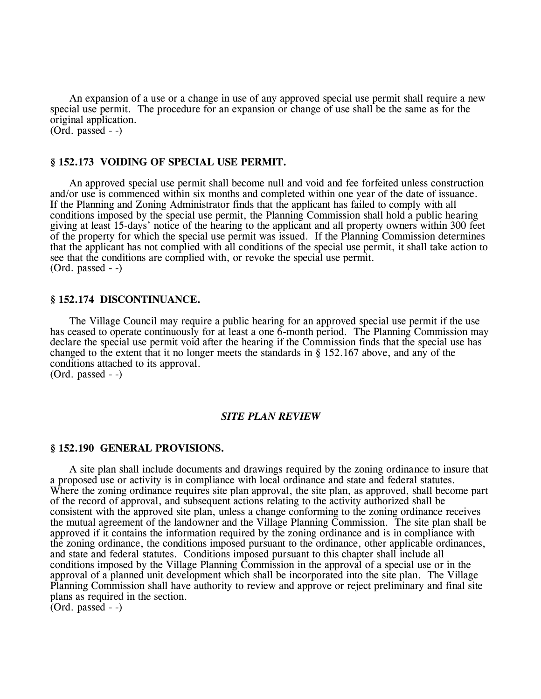An expansion of a use or a change in use of any approved special use permit shall require a new special use permit. The procedure for an expansion or change of use shall be the same as for the original application. (Ord. passed - -)

### **§ 152.173 VOIDING OF SPECIAL USE PERMIT.**

An approved special use permit shall become null and void and fee forfeited unless construction and/or use is commenced within six months and completed within one year of the date of issuance. If the Planning and Zoning Administrator finds that the applicant has failed to comply with all conditions imposed by the special use permit, the Planning Commission shall hold a public hearing giving at least 15-days' notice of the hearing to the applicant and all property owners within 300 feet of the property for which the special use permit was issued. If the Planning Commission determines that the applicant has not complied with all conditions of the special use permit, it shall take action to see that the conditions are complied with, or revoke the special use permit. (Ord. passed - -)

### **§ 152.174 DISCONTINUANCE.**

The Village Council may require a public hearing for an approved special use permit if the use has ceased to operate continuously for at least a one 6-month period. The Planning Commission may declare the special use permit void after the hearing if the Commission finds that the special use has changed to the extent that it no longer meets the standards in § 152.167 above, and any of the conditions attached to its approval. (Ord. passed - -)

#### *SITE PLAN REVIEW*

### **§ 152.190 GENERAL PROVISIONS.**

A site plan shall include documents and drawings required by the zoning ordinance to insure that a proposed use or activity is in compliance with local ordinance and state and federal statutes. Where the zoning ordinance requires site plan approval, the site plan, as approved, shall become part of the record of approval, and subsequent actions relating to the activity authorized shall be consistent with the approved site plan, unless a change conforming to the zoning ordinance receives the mutual agreement of the landowner and the Village Planning Commission. The site plan shall be approved if it contains the information required by the zoning ordinance and is in compliance with the zoning ordinance, the conditions imposed pursuant to the ordinance, other applicable ordinances, and state and federal statutes. Conditions imposed pursuant to this chapter shall include all conditions imposed by the Village Planning Commission in the approval of a special use or in the approval of a planned unit development which shall be incorporated into the site plan. The Village Planning Commission shall have authority to review and approve or reject preliminary and final site plans as required in the section.

 $\overline{(Ord. passed -)}$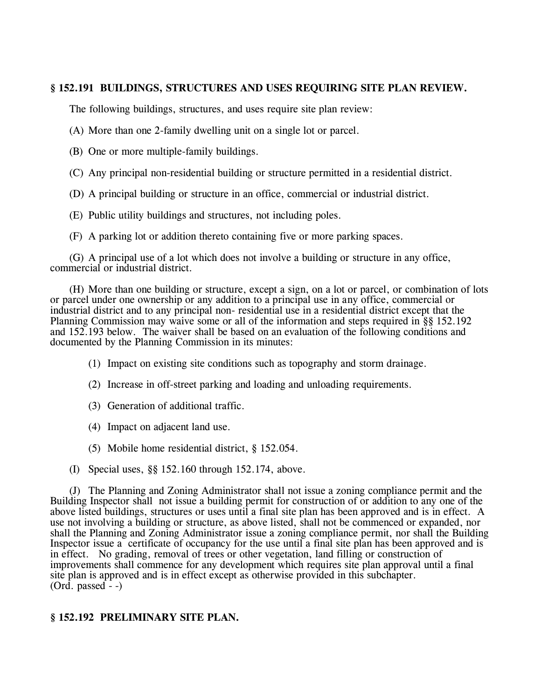# **§ 152.191 BUILDINGS, STRUCTURES AND USES REQUIRING SITE PLAN REVIEW.**

The following buildings, structures, and uses require site plan review:

- (A) More than one 2-family dwelling unit on a single lot or parcel.
- (B) One or more multiple-family buildings.
- (C) Any principal non-residential building or structure permitted in a residential district.
- (D) A principal building or structure in an office, commercial or industrial district.
- (E) Public utility buildings and structures, not including poles.
- (F) A parking lot or addition thereto containing five or more parking spaces.

(G) A principal use of a lot which does not involve a building or structure in any office, commercial or industrial district.

(H) More than one building or structure, except a sign, on a lot or parcel, or combination of lots or parcel under one ownership or any addition to a principal use in any office, commercial or industrial district and to any principal non- residential use in a residential district except that the Planning Commission may waive some or all of the information and steps required in §§ 152.192 and 152.193 below. The waiver shall be based on an evaluation of the following conditions and documented by the Planning Commission in its minutes:

- (1) Impact on existing site conditions such as topography and storm drainage.
- (2) Increase in off-street parking and loading and unloading requirements.
- (3) Generation of additional traffic.
- (4) Impact on adjacent land use.
- (5) Mobile home residential district, § 152.054.
- (I) Special uses, §§ 152.160 through 152.174, above.

(J) The Planning and Zoning Administrator shall not issue a zoning compliance permit and the Building Inspector shall not issue a building permit for construction of or addition to any one of the above listed buildings, structures or uses until a final site plan has been approved and is in effect. A use not involving a building or structure, as above listed, shall not be commenced or expanded, nor shall the Planning and Zoning Administrator issue a zoning compliance permit, nor shall the Building Inspector issue a certificate of occupancy for the use until a final site plan has been approved and is in effect. No grading, removal of trees or other vegetation, land filling or construction of improvements shall commence for any development which requires site plan approval until a final site plan is approved and is in effect except as otherwise provided in this subchapter. (Ord. passed - -)

# **§ 152.192 PRELIMINARY SITE PLAN.**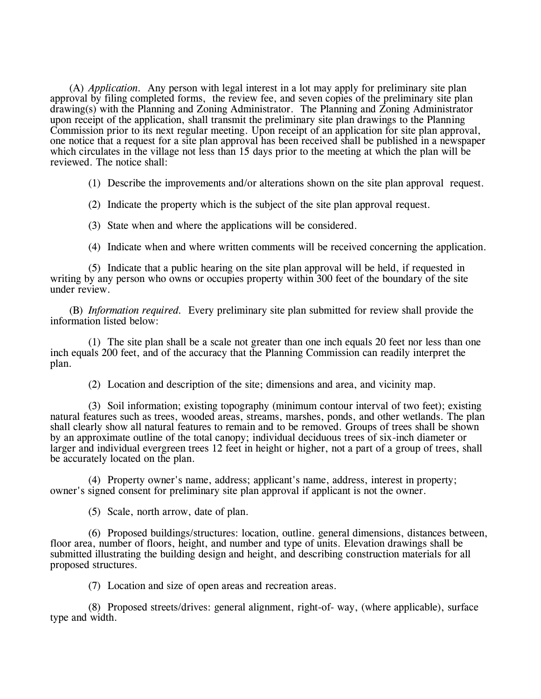(A) *Application.* Any person with legal interest in a lot may apply for preliminary site plan approval by filing completed forms, the review fee, and seven copies of the preliminary site plan drawing(s) with the Planning and Zoning Administrator. The Planning and Zoning Administrator upon receipt of the application, shall transmit the preliminary site plan drawings to the Planning Commission prior to its next regular meeting. Upon receipt of an application for site plan approval, one notice that a request for a site plan approval has been received shall be published in a newspaper which circulates in the village not less than 15 days prior to the meeting at which the plan will be reviewed. The notice shall:

(1) Describe the improvements and/or alterations shown on the site plan approval request.

(2) Indicate the property which is the subject of the site plan approval request.

(3) State when and where the applications will be considered.

(4) Indicate when and where written comments will be received concerning the application.

(5) Indicate that a public hearing on the site plan approval will be held, if requested in writing by any person who owns or occupies property within 300 feet of the boundary of the site under review.

(B) *Information required.* Every preliminary site plan submitted for review shall provide the information listed below:

(1) The site plan shall be a scale not greater than one inch equals 20 feet nor less than one inch equals 200 feet, and of the accuracy that the Planning Commission can readily interpret the plan.

(2) Location and description of the site; dimensions and area, and vicinity map.

(3) Soil information; existing topography (minimum contour interval of two feet); existing natural features such as trees, wooded areas, streams, marshes, ponds, and other wetlands. The plan shall clearly show all natural features to remain and to be removed. Groups of trees shall be shown by an approximate outline of the total canopy; individual deciduous trees of six-inch diameter or larger and individual evergreen trees 12 feet in height or higher, not a part of a group of trees, shall be accurately located on the plan.

(4) Property owner's name, address; applicant's name, address, interest in property; owner's signed consent for preliminary site plan approval if applicant is not the owner.

(5) Scale, north arrow, date of plan.

(6) Proposed buildings/structures: location, outline. general dimensions, distances between, floor area, number of floors, height, and number and type of units. Elevation drawings shall be submitted illustrating the building design and height, and describing construction materials for all proposed structures.

(7) Location and size of open areas and recreation areas.

(8) Proposed streets/drives: general alignment, right-of- way, (where applicable), surface type and width.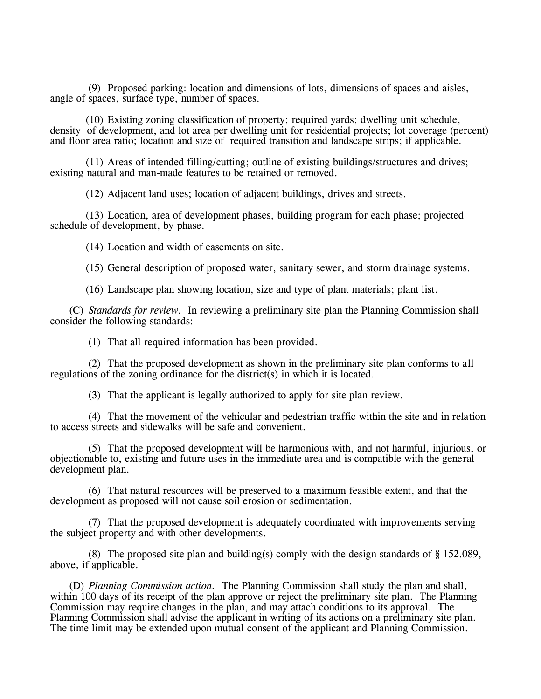(9) Proposed parking: location and dimensions of lots, dimensions of spaces and aisles, angle of spaces, surface type, number of spaces.

(10) Existing zoning classification of property; required yards; dwelling unit schedule, density of development, and lot area per dwelling unit for residential projects; lot coverage (percent) and floor area ratio; location and size of required transition and landscape strips; if applicable.

(11) Areas of intended filling/cutting; outline of existing buildings/structures and drives; existing natural and man-made features to be retained or removed.

(12) Adjacent land uses; location of adjacent buildings, drives and streets.

(13) Location, area of development phases, building program for each phase; projected schedule of development, by phase.

(14) Location and width of easements on site.

(15) General description of proposed water, sanitary sewer, and storm drainage systems.

(16) Landscape plan showing location, size and type of plant materials; plant list.

(C) *Standards for review.* In reviewing a preliminary site plan the Planning Commission shall consider the following standards:

(1) That all required information has been provided.

(2) That the proposed development as shown in the preliminary site plan conforms to all regulations of the zoning ordinance for the district(s) in which it is located.

(3) That the applicant is legally authorized to apply for site plan review.

(4) That the movement of the vehicular and pedestrian traffic within the site and in relation to access streets and sidewalks will be safe and convenient.

(5) That the proposed development will be harmonious with, and not harmful, injurious, or objectionable to, existing and future uses in the immediate area and is compatible with the general development plan.

(6) That natural resources will be preserved to a maximum feasible extent, and that the development as proposed will not cause soil erosion or sedimentation.

(7) That the proposed development is adequately coordinated with improvements serving the subject property and with other developments.

(8) The proposed site plan and building(s) comply with the design standards of § 152.089, above, if applicable.

(D) *Planning Commission action.* The Planning Commission shall study the plan and shall, within 100 days of its receipt of the plan approve or reject the preliminary site plan. The Planning Commission may require changes in the plan, and may attach conditions to its approval. The Planning Commission shall advise the applicant in writing of its actions on a preliminary site plan. The time limit may be extended upon mutual consent of the applicant and Planning Commission.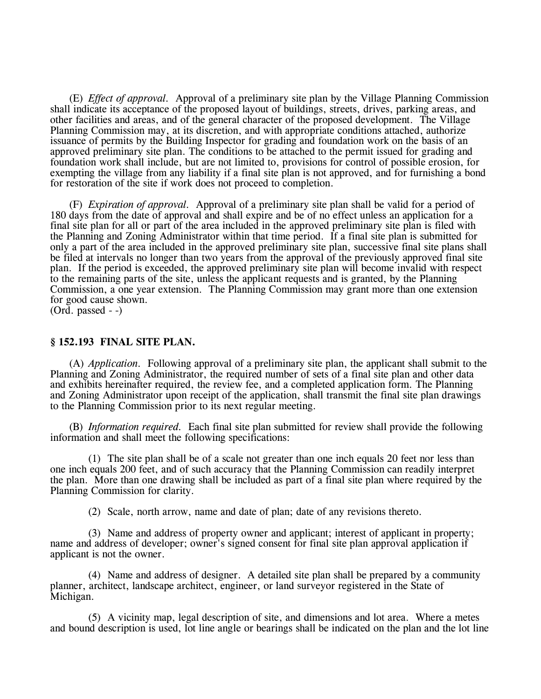(E) *Effect of approval.* Approval of a preliminary site plan by the Village Planning Commission shall indicate its acceptance of the proposed layout of buildings, streets, drives, parking areas, and other facilities and areas, and of the general character of the proposed development. The Village Planning Commission may, at its discretion, and with appropriate conditions attached, authorize issuance of permits by the Building Inspector for grading and foundation work on the basis of an approved preliminary site plan. The conditions to be attached to the permit issued for grading and foundation work shall include, but are not limited to, provisions for control of possible erosion, for exempting the village from any liability if a final site plan is not approved, and for furnishing a bond for restoration of the site if work does not proceed to completion.

(F) *Expiration of approval.* Approval of a preliminary site plan shall be valid for a period of 180 days from the date of approval and shall expire and be of no effect unless an application for a final site plan for all or part of the area included in the approved preliminary site plan is filed with the Planning and Zoning Administrator within that time period. If a final site plan is submitted for only a part of the area included in the approved preliminary site plan, successive final site plans shall be filed at intervals no longer than two years from the approval of the previously approved final site plan. If the period is exceeded, the approved preliminary site plan will become invalid with respect to the remaining parts of the site, unless the applicant requests and is granted, by the Planning Commission, a one year extension. The Planning Commission may grant more than one extension for good cause shown.

(Ord. passed - -)

### **§ 152.193 FINAL SITE PLAN.**

(A) *Application.* Following approval of a preliminary site plan, the applicant shall submit to the Planning and Zoning Administrator, the required number of sets of a final site plan and other data and exhibits hereinafter required, the review fee, and a completed application form. The Planning and Zoning Administrator upon receipt of the application, shall transmit the final site plan drawings to the Planning Commission prior to its next regular meeting.

(B) *Information required.* Each final site plan submitted for review shall provide the following information and shall meet the following specifications:

(1) The site plan shall be of a scale not greater than one inch equals 20 feet nor less than one inch equals 200 feet, and of such accuracy that the Planning Commission can readily interpret the plan. More than one drawing shall be included as part of a final site plan where required by the Planning Commission for clarity.

(2) Scale, north arrow, name and date of plan; date of any revisions thereto.

(3) Name and address of property owner and applicant; interest of applicant in property; name and address of developer; owner's signed consent for final site plan approval application if applicant is not the owner.

(4) Name and address of designer. A detailed site plan shall be prepared by a community planner, architect, landscape architect, engineer, or land surveyor registered in the State of Michigan.

(5) A vicinity map, legal description of site, and dimensions and lot area. Where a metes and bound description is used, lot line angle or bearings shall be indicated on the plan and the lot line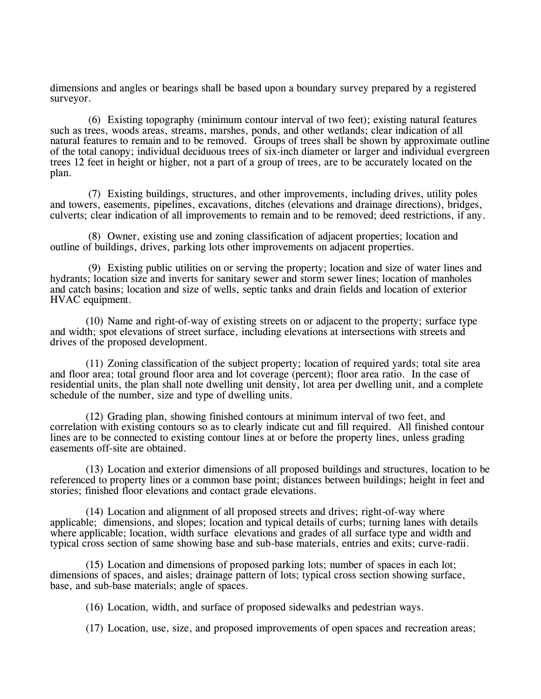dimensions and angles or bearings shall be based upon a boundary survey prepared by a registered surveyor.

(6) Existing topography (minimum contour interval of two feet); existing natural features such as trees, woods areas, streams, marshes, ponds, and other wetlands; clear indication of all natural features to remain and to be removed. Groups of trees shall be shown by approximate outline of the total canopy; individual deciduous trees of six-inch diameter or larger and individual evergreen trees 12 feet in height or higher, not a part of a group of trees, are to be accurately located on the plan.

(7) Existing buildings, structures, and other improvements, including drives, utility poles and towers, easements, pipelines, excavations, ditches (elevations and drainage directions), bridges, culverts; clear indication of all improvements to remain and to be removed; deed restrictions, if any.

(8) Owner, existing use and zoning classification of adjacent properties; location and outline of buildings, drives, parking lots other improvements on adjacent properties.

(9) Existing public utilities on or serving the property; location and size of water lines and hydrants; location size and inverts for sanitary sewer and storm sewer lines; location of manholes and catch basins; location and size of wells, septic tanks and drain fields and location of exterior HVAC equipment.

(10) Name and right-of-way of existing streets on or adjacent to the property; surface type and width; spot elevations of street surface, including elevations at intersections with streets and drives of the proposed development.

(11) Zoning classification of the subject property; location of required yards; total site area and floor area; total ground floor area and lot coverage (percent); floor area ratio. In the case of residential units, the plan shall note dwelling unit density, lot area per dwelling unit, and a complete schedule of the number, size and type of dwelling units.

(12) Grading plan, showing finished contours at minimum interval of two feet, and correlation with existing contours so as to clearly indicate cut and fill required. All finished contour lines are to be connected to existing contour lines at or before the property lines, unless grading easements off-site are obtained.

(13) Location and exterior dimensions of all proposed buildings and structures, location to be referenced to property lines or a common base point; distances between buildings; height in feet and stories; finished floor elevations and contact grade elevations.

(14) Location and alignment of all proposed streets and drives; right-of-way where applicable; dimensions, and slopes; location and typical details of curbs; turning lanes with details where applicable; location, width surface elevations and grades of all surface type and width and typical cross section of same showing base and sub-base materials, entries and exits; curve-radii.

(15) Location and dimensions of proposed parking lots; number of spaces in each lot; dimensions of spaces, and aisles; drainage pattern of lots; typical cross section showing surface, base, and sub-base materials; angle of spaces.

(16) Location, width, and surface of proposed sidewalks and pedestrian ways.

(17) Location, use, size, and proposed improvements of open spaces and recreation areas;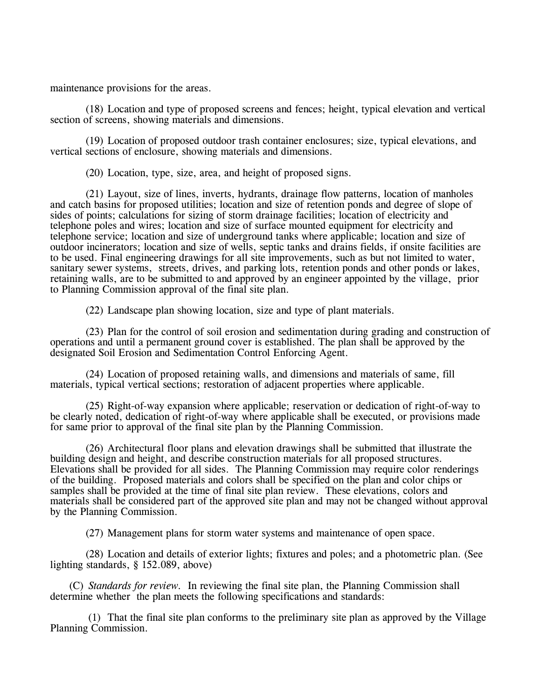maintenance provisions for the areas.

(18) Location and type of proposed screens and fences; height, typical elevation and vertical section of screens, showing materials and dimensions.

(19) Location of proposed outdoor trash container enclosures; size, typical elevations, and vertical sections of enclosure, showing materials and dimensions.

(20) Location, type, size, area, and height of proposed signs.

(21) Layout, size of lines, inverts, hydrants, drainage flow patterns, location of manholes and catch basins for proposed utilities; location and size of retention ponds and degree of slope of sides of points; calculations for sizing of storm drainage facilities; location of electricity and telephone poles and wires; location and size of surface mounted equipment for electricity and telephone service; location and size of underground tanks where applicable; location and size of outdoor incinerators; location and size of wells, septic tanks and drains fields, if onsite facilities are to be used. Final engineering drawings for all site improvements, such as but not limited to water, sanitary sewer systems, streets, drives, and parking lots, retention ponds and other ponds or lakes, retaining walls, are to be submitted to and approved by an engineer appointed by the village, prior to Planning Commission approval of the final site plan.

(22) Landscape plan showing location, size and type of plant materials.

(23) Plan for the control of soil erosion and sedimentation during grading and construction of operations and until a permanent ground cover is established. The plan shall be approved by the designated Soil Erosion and Sedimentation Control Enforcing Agent.

(24) Location of proposed retaining walls, and dimensions and materials of same, fill materials, typical vertical sections; restoration of adjacent properties where applicable.

(25) Right-of-way expansion where applicable; reservation or dedication of right-of-way to be clearly noted, dedication of right-of-way where applicable shall be executed, or provisions made for same prior to approval of the final site plan by the Planning Commission.

(26) Architectural floor plans and elevation drawings shall be submitted that illustrate the building design and height, and describe construction materials for all proposed structures. Elevations shall be provided for all sides. The Planning Commission may require color renderings of the building. Proposed materials and colors shall be specified on the plan and color chips or samples shall be provided at the time of final site plan review. These elevations, colors and materials shall be considered part of the approved site plan and may not be changed without approval by the Planning Commission.

(27) Management plans for storm water systems and maintenance of open space.

(28) Location and details of exterior lights; fixtures and poles; and a photometric plan. (See lighting standards, § 152.089, above)

(C) *Standards for review.* In reviewing the final site plan, the Planning Commission shall determine whether the plan meets the following specifications and standards:

(1) That the final site plan conforms to the preliminary site plan as approved by the Village Planning Commission.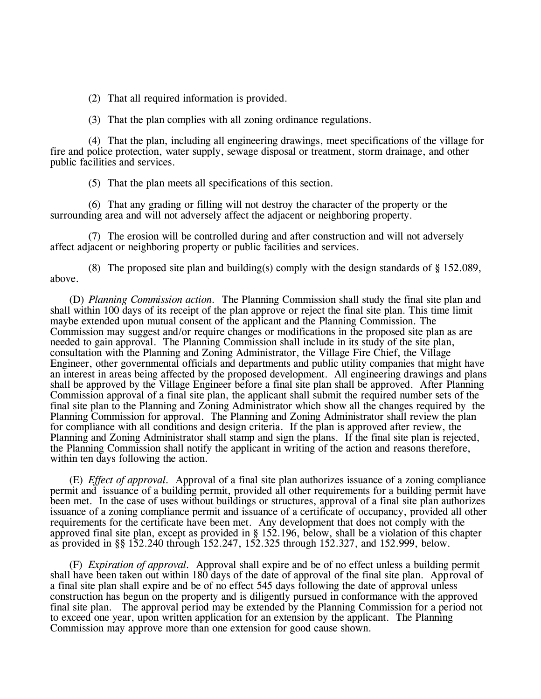(2) That all required information is provided.

(3) That the plan complies with all zoning ordinance regulations.

(4) That the plan, including all engineering drawings, meet specifications of the village for fire and police protection, water supply, sewage disposal or treatment, storm drainage, and other public facilities and services.

(5) That the plan meets all specifications of this section.

(6) That any grading or filling will not destroy the character of the property or the surrounding area and will not adversely affect the adjacent or neighboring property.

(7) The erosion will be controlled during and after construction and will not adversely affect adjacent or neighboring property or public facilities and services.

(8) The proposed site plan and building(s) comply with the design standards of § 152.089, above.

(D) *Planning Commission action.* The Planning Commission shall study the final site plan and shall within 100 days of its receipt of the plan approve or reject the final site plan. This time limit maybe extended upon mutual consent of the applicant and the Planning Commission. The Commission may suggest and/or require changes or modifications in the proposed site plan as are needed to gain approval. The Planning Commission shall include in its study of the site plan, consultation with the Planning and Zoning Administrator, the Village Fire Chief, the Village Engineer, other governmental officials and departments and public utility companies that might have an interest in areas being affected by the proposed development. All engineering drawings and plans shall be approved by the Village Engineer before a final site plan shall be approved. After Planning Commission approval of a final site plan, the applicant shall submit the required number sets of the final site plan to the Planning and Zoning Administrator which show all the changes required by the Planning Commission for approval. The Planning and Zoning Administrator shall review the plan for compliance with all conditions and design criteria. If the plan is approved after review, the Planning and Zoning Administrator shall stamp and sign the plans. If the final site plan is rejected, the Planning Commission shall notify the applicant in writing of the action and reasons therefore, within ten days following the action.

(E) *Effect of approval.* Approval of a final site plan authorizes issuance of a zoning compliance permit and issuance of a building permit, provided all other requirements for a building permit have been met. In the case of uses without buildings or structures, approval of a final site plan authorizes issuance of a zoning compliance permit and issuance of a certificate of occupancy, provided all other requirements for the certificate have been met. Any development that does not comply with the approved final site plan, except as provided in § 152.196, below, shall be a violation of this chapter as provided in §§ 152.240 through 152.247, 152.325 through 152.327, and 152.999, below.

(F) *Expiration of approval.* Approval shall expire and be of no effect unless a building permit shall have been taken out within 180 days of the date of approval of the final site plan. Approval of a final site plan shall expire and be of no effect 545 days following the date of approval unless construction has begun on the property and is diligently pursued in conformance with the approved final site plan. The approval period may be extended by the Planning Commission for a period not to exceed one year, upon written application for an extension by the applicant. The Planning Commission may approve more than one extension for good cause shown.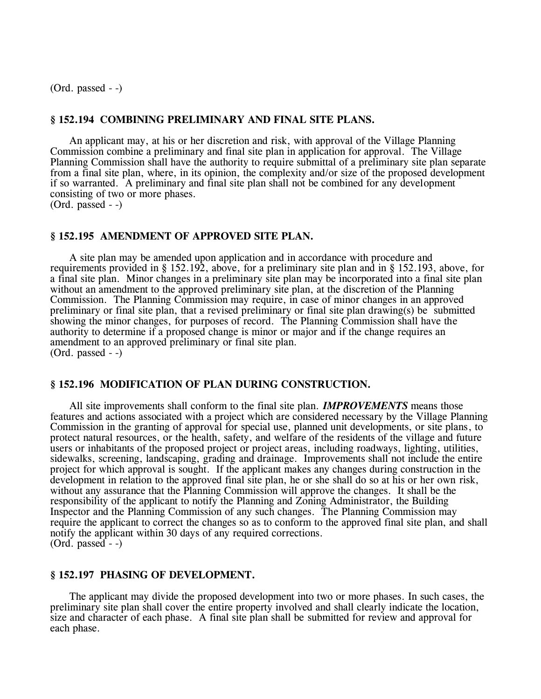(Ord. passed - -)

### **§ 152.194 COMBINING PRELIMINARY AND FINAL SITE PLANS.**

An applicant may, at his or her discretion and risk, with approval of the Village Planning Commission combine a preliminary and final site plan in application for approval. The Village Planning Commission shall have the authority to require submittal of a preliminary site plan separate from a final site plan, where, in its opinion, the complexity and/or size of the proposed development if so warranted. A preliminary and final site plan shall not be combined for any development consisting of two or more phases.

(Ord. passed - -)

### **§ 152.195 AMENDMENT OF APPROVED SITE PLAN.**

A site plan may be amended upon application and in accordance with procedure and requirements provided in § 152.192, above, for a preliminary site plan and in § 152.193, above, for a final site plan. Minor changes in a preliminary site plan may be incorporated into a final site plan without an amendment to the approved preliminary site plan, at the discretion of the Planning Commission. The Planning Commission may require, in case of minor changes in an approved preliminary or final site plan, that a revised preliminary or final site plan drawing(s) be submitted showing the minor changes, for purposes of record. The Planning Commission shall have the authority to determine if a proposed change is minor or major and if the change requires an amendment to an approved preliminary or final site plan. (Ord. passed - -)

### **§ 152.196 MODIFICATION OF PLAN DURING CONSTRUCTION.**

All site improvements shall conform to the final site plan. *IMPROVEMENTS* means those features and actions associated with a project which are considered necessary by the Village Planning Commission in the granting of approval for special use, planned unit developments, or site plans, to protect natural resources, or the health, safety, and welfare of the residents of the village and future users or inhabitants of the proposed project or project areas, including roadways, lighting, utilities, sidewalks, screening, landscaping, grading and drainage. Improvements shall not include the entire project for which approval is sought. If the applicant makes any changes during construction in the development in relation to the approved final site plan, he or she shall do so at his or her own risk. without any assurance that the Planning Commission will approve the changes. It shall be the responsibility of the applicant to notify the Planning and Zoning Administrator, the Building Inspector and the Planning Commission of any such changes. The Planning Commission may require the applicant to correct the changes so as to conform to the approved final site plan, and shall notify the applicant within 30 days of any required corrections. (Ord. passed - -)

# **§ 152.197 PHASING OF DEVELOPMENT.**

The applicant may divide the proposed development into two or more phases. In such cases, the preliminary site plan shall cover the entire property involved and shall clearly indicate the location, size and character of each phase. A final site plan shall be submitted for review and approval for each phase.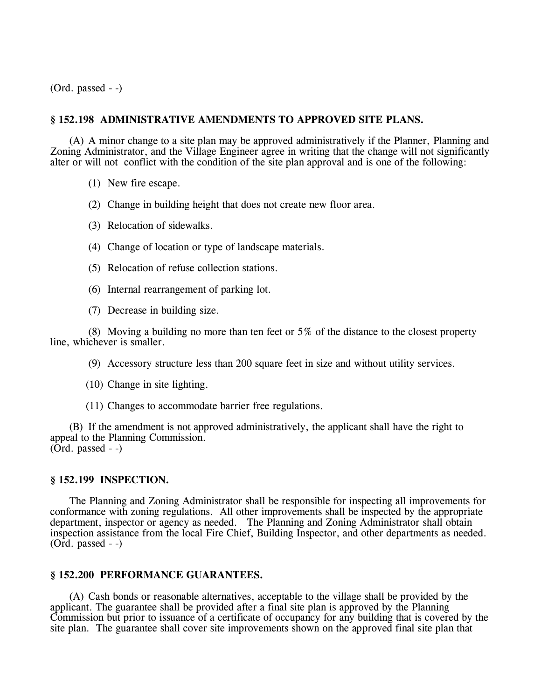(Ord. passed - -)

# **§ 152.198 ADMINISTRATIVE AMENDMENTS TO APPROVED SITE PLANS.**

(A) A minor change to a site plan may be approved administratively if the Planner, Planning and Zoning Administrator, and the Village Engineer agree in writing that the change will not significantly alter or will not conflict with the condition of the site plan approval and is one of the following:

- (1) New fire escape.
- (2) Change in building height that does not create new floor area.
- (3) Relocation of sidewalks.
- (4) Change of location or type of landscape materials.
- (5) Relocation of refuse collection stations.
- (6) Internal rearrangement of parking lot.
- (7) Decrease in building size.

(8) Moving a building no more than ten feet or 5% of the distance to the closest property line, whichever is smaller.

- (9) Accessory structure less than 200 square feet in size and without utility services.
- (10) Change in site lighting.
- (11) Changes to accommodate barrier free regulations.

(B) If the amendment is not approved administratively, the applicant shall have the right to appeal to the Planning Commission.  $(Ord. passed - )$ 

# **§ 152.199 INSPECTION.**

The Planning and Zoning Administrator shall be responsible for inspecting all improvements for conformance with zoning regulations. All other improvements shall be inspected by the appropriate department, inspector or agency as needed. The Planning and Zoning Administrator shall obtain inspection assistance from the local Fire Chief, Building Inspector, and other departments as needed. (Ord. passed - -)

# **§ 152.200 PERFORMANCE GUARANTEES.**

(A) Cash bonds or reasonable alternatives, acceptable to the village shall be provided by the applicant. The guarantee shall be provided after a final site plan is approved by the Planning Commission but prior to issuance of a certificate of occupancy for any building that is covered by the site plan. The guarantee shall cover site improvements shown on the approved final site plan that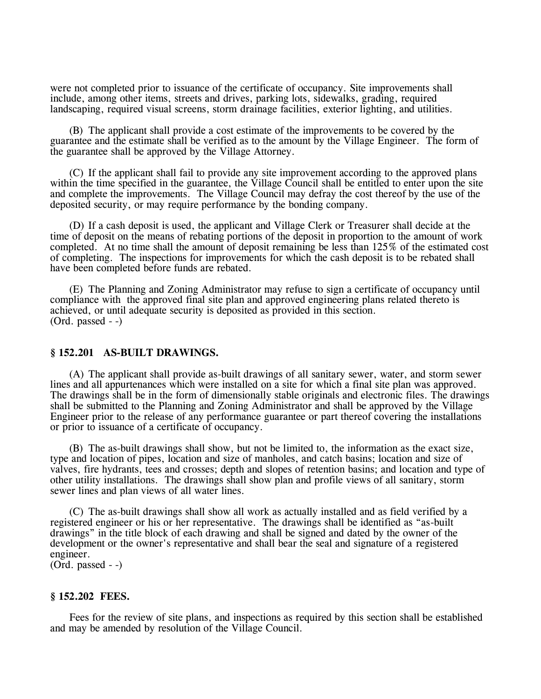were not completed prior to issuance of the certificate of occupancy. Site improvements shall include, among other items, streets and drives, parking lots, sidewalks, grading, required landscaping, required visual screens, storm drainage facilities, exterior lighting, and utilities.

(B) The applicant shall provide a cost estimate of the improvements to be covered by the guarantee and the estimate shall be verified as to the amount by the Village Engineer. The form of the guarantee shall be approved by the Village Attorney.

(C) If the applicant shall fail to provide any site improvement according to the approved plans within the time specified in the guarantee, the Village Council shall be entitled to enter upon the site and complete the improvements. The Village Council may defray the cost thereof by the use of the deposited security, or may require performance by the bonding company.

(D) If a cash deposit is used, the applicant and Village Clerk or Treasurer shall decide at the time of deposit on the means of rebating portions of the deposit in proportion to the amount of work completed. At no time shall the amount of deposit remaining be less than 125% of the estimated cost of completing. The inspections for improvements for which the cash deposit is to be rebated shall have been completed before funds are rebated.

(E) The Planning and Zoning Administrator may refuse to sign a certificate of occupancy until compliance with the approved final site plan and approved engineering plans related thereto is achieved, or until adequate security is deposited as provided in this section. (Ord. passed - -)

### **§ 152.201 AS-BUILT DRAWINGS.**

(A) The applicant shall provide as-built drawings of all sanitary sewer, water, and storm sewer lines and all appurtenances which were installed on a site for which a final site plan was approved. The drawings shall be in the form of dimensionally stable originals and electronic files. The drawings shall be submitted to the Planning and Zoning Administrator and shall be approved by the Village Engineer prior to the release of any performance guarantee or part thereof covering the installations or prior to issuance of a certificate of occupancy.

(B) The as-built drawings shall show, but not be limited to, the information as the exact size, type and location of pipes, location and size of manholes, and catch basins; location and size of valves, fire hydrants, tees and crosses; depth and slopes of retention basins; and location and type of other utility installations. The drawings shall show plan and profile views of all sanitary, storm sewer lines and plan views of all water lines.

(C) The as-built drawings shall show all work as actually installed and as field verified by a registered engineer or his or her representative. The drawings shall be identified as "as-built drawings" in the title block of each drawing and shall be signed and dated by the owner of the development or the owner's representative and shall bear the seal and signature of a registered engineer.

(Ord. passed - -)

# **§ 152.202 FEES.**

Fees for the review of site plans, and inspections as required by this section shall be established and may be amended by resolution of the Village Council.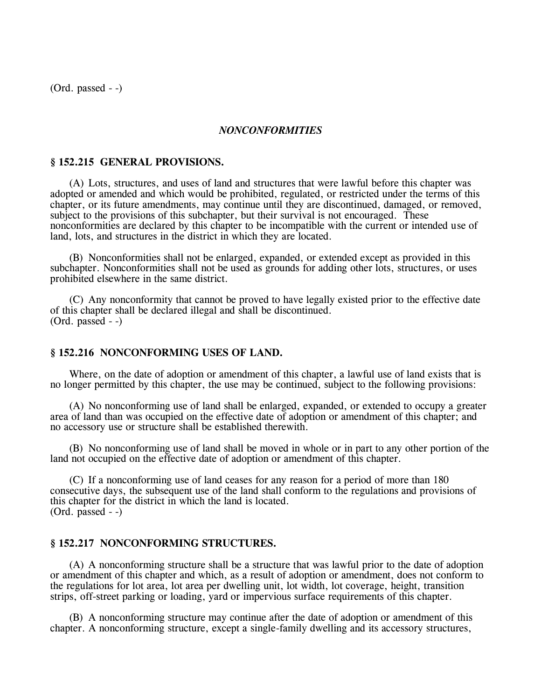(Ord. passed - -)

### *NONCONFORMITIES*

### **§ 152.215 GENERAL PROVISIONS.**

(A) Lots, structures, and uses of land and structures that were lawful before this chapter was adopted or amended and which would be prohibited, regulated, or restricted under the terms of this chapter, or its future amendments, may continue until they are discontinued, damaged, or removed, subject to the provisions of this subchapter, but their survival is not encouraged. These nonconformities are declared by this chapter to be incompatible with the current or intended use of land, lots, and structures in the district in which they are located.

(B) Nonconformities shall not be enlarged, expanded, or extended except as provided in this subchapter. Nonconformities shall not be used as grounds for adding other lots, structures, or uses prohibited elsewhere in the same district.

(C) Any nonconformity that cannot be proved to have legally existed prior to the effective date of this chapter shall be declared illegal and shall be discontinued. (Ord. passed - -)

### **§ 152.216 NONCONFORMING USES OF LAND.**

Where, on the date of adoption or amendment of this chapter, a lawful use of land exists that is no longer permitted by this chapter, the use may be continued, subject to the following provisions:

(A) No nonconforming use of land shall be enlarged, expanded, or extended to occupy a greater area of land than was occupied on the effective date of adoption or amendment of this chapter; and no accessory use or structure shall be established therewith.

(B) No nonconforming use of land shall be moved in whole or in part to any other portion of the land not occupied on the effective date of adoption or amendment of this chapter.

(C) If a nonconforming use of land ceases for any reason for a period of more than 180 consecutive days, the subsequent use of the land shall conform to the regulations and provisions of this chapter for the district in which the land is located.  $(Ord. passed - )$ 

### **§ 152.217 NONCONFORMING STRUCTURES.**

(A) A nonconforming structure shall be a structure that was lawful prior to the date of adoption or amendment of this chapter and which, as a result of adoption or amendment, does not conform to the regulations for lot area, lot area per dwelling unit, lot width, lot coverage, height, transition strips, off-street parking or loading, yard or impervious surface requirements of this chapter.

(B) A nonconforming structure may continue after the date of adoption or amendment of this chapter. A nonconforming structure, except a single-family dwelling and its accessory structures,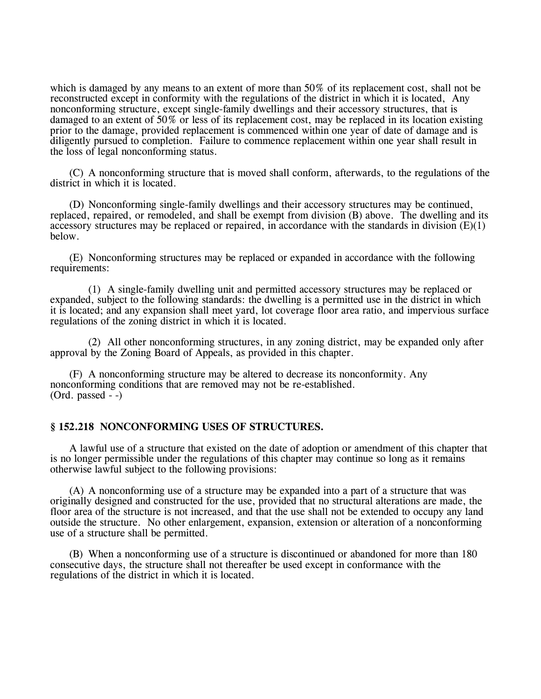which is damaged by any means to an extent of more than 50% of its replacement cost, shall not be reconstructed except in conformity with the regulations of the district in which it is located, Any nonconforming structure, except single-family dwellings and their accessory structures, that is damaged to an extent of 50% or less of its replacement cost, may be replaced in its location existing prior to the damage, provided replacement is commenced within one year of date of damage and is diligently pursued to completion. Failure to commence replacement within one year shall result in the loss of legal nonconforming status.

(C) A nonconforming structure that is moved shall conform, afterwards, to the regulations of the district in which it is located.

(D) Nonconforming single-family dwellings and their accessory structures may be continued, replaced, repaired, or remodeled, and shall be exempt from division (B) above. The dwelling and its accessory structures may be replaced or repaired, in accordance with the standards in division  $(E)(1)$ below.

(E) Nonconforming structures may be replaced or expanded in accordance with the following requirements:

(1) A single-family dwelling unit and permitted accessory structures may be replaced or expanded, subject to the following standards: the dwelling is a permitted use in the district in which it is located; and any expansion shall meet yard, lot coverage floor area ratio, and impervious surface regulations of the zoning district in which it is located.

(2) All other nonconforming structures, in any zoning district, may be expanded only after approval by the Zoning Board of Appeals, as provided in this chapter.

(F) A nonconforming structure may be altered to decrease its nonconformity. Any nonconforming conditions that are removed may not be re-established.  $(Ord. passed - )$ 

# **§ 152.218 NONCONFORMING USES OF STRUCTURES.**

A lawful use of a structure that existed on the date of adoption or amendment of this chapter that is no longer permissible under the regulations of this chapter may continue so long as it remains otherwise lawful subject to the following provisions:

(A) A nonconforming use of a structure may be expanded into a part of a structure that was originally designed and constructed for the use, provided that no structural alterations are made, the floor area of the structure is not increased, and that the use shall not be extended to occupy any land outside the structure. No other enlargement, expansion, extension or alteration of a nonconforming use of a structure shall be permitted.

(B) When a nonconforming use of a structure is discontinued or abandoned for more than 180 consecutive days, the structure shall not thereafter be used except in conformance with the regulations of the district in which it is located.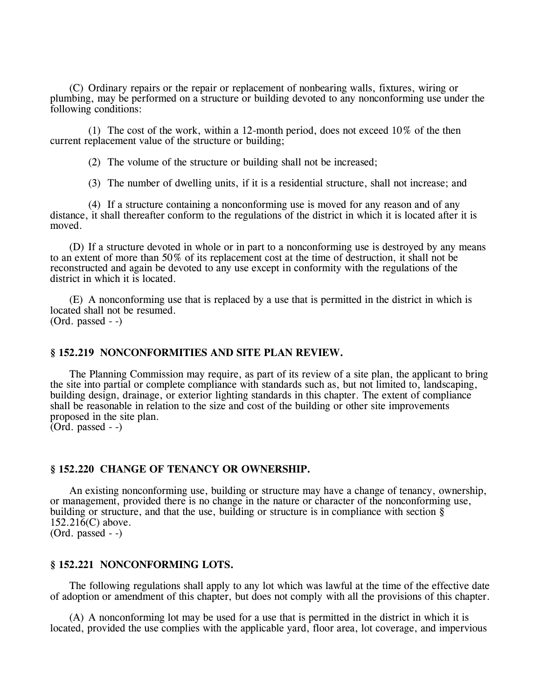(C) Ordinary repairs or the repair or replacement of nonbearing walls, fixtures, wiring or plumbing, may be performed on a structure or building devoted to any nonconforming use under the following conditions:

(1) The cost of the work, within a 12-month period, does not exceed 10% of the then current replacement value of the structure or building;

(2) The volume of the structure or building shall not be increased;

(3) The number of dwelling units, if it is a residential structure, shall not increase; and

(4) If a structure containing a nonconforming use is moved for any reason and of any distance, it shall thereafter conform to the regulations of the district in which it is located after it is moved.

(D) If a structure devoted in whole or in part to a nonconforming use is destroyed by any means to an extent of more than 50% of its replacement cost at the time of destruction, it shall not be reconstructed and again be devoted to any use except in conformity with the regulations of the district in which it is located.

(E) A nonconforming use that is replaced by a use that is permitted in the district in which is located shall not be resumed. (Ord. passed - -)

### **§ 152.219 NONCONFORMITIES AND SITE PLAN REVIEW.**

The Planning Commission may require, as part of its review of a site plan, the applicant to bring the site into partial or complete compliance with standards such as, but not limited to, landscaping, building design, drainage, or exterior lighting standards in this chapter. The extent of compliance shall be reasonable in relation to the size and cost of the building or other site improvements proposed in the site plan.

 $(Ord. passed - )$ 

### **§ 152.220 CHANGE OF TENANCY OR OWNERSHIP.**

An existing nonconforming use, building or structure may have a change of tenancy, ownership, or management, provided there is no change in the nature or character of the nonconforming use, building or structure, and that the use, building or structure is in compliance with section §  $152.21\bar{6}$ (C) above. (Ord. passed - -)

### **§ 152.221 NONCONFORMING LOTS.**

The following regulations shall apply to any lot which was lawful at the time of the effective date of adoption or amendment of this chapter, but does not comply with all the provisions of this chapter.

(A) A nonconforming lot may be used for a use that is permitted in the district in which it is located, provided the use complies with the applicable yard, floor area, lot coverage, and impervious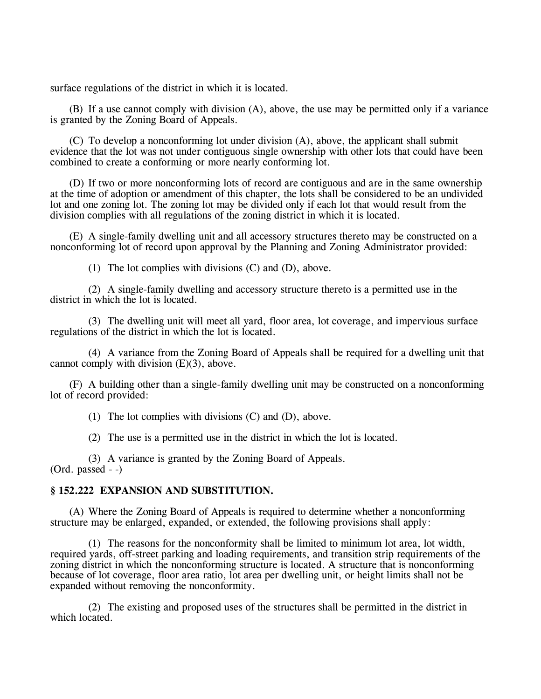surface regulations of the district in which it is located.

(B) If a use cannot comply with division (A), above, the use may be permitted only if a variance is granted by the Zoning Board of Appeals.

(C) To develop a nonconforming lot under division (A), above, the applicant shall submit evidence that the lot was not under contiguous single ownership with other lots that could have been combined to create a conforming or more nearly conforming lot.

(D) If two or more nonconforming lots of record are contiguous and are in the same ownership at the time of adoption or amendment of this chapter, the lots shall be considered to be an undivided lot and one zoning lot. The zoning lot may be divided only if each lot that would result from the division complies with all regulations of the zoning district in which it is located.

(E) A single-family dwelling unit and all accessory structures thereto may be constructed on a nonconforming lot of record upon approval by the Planning and Zoning Administrator provided:

(1) The lot complies with divisions (C) and (D), above.

(2) A single-family dwelling and accessory structure thereto is a permitted use in the district in which the lot is located.

(3) The dwelling unit will meet all yard, floor area, lot coverage, and impervious surface regulations of the district in which the lot is located.

(4) A variance from the Zoning Board of Appeals shall be required for a dwelling unit that cannot comply with division (E)(3), above.

(F) A building other than a single-family dwelling unit may be constructed on a nonconforming lot of record provided:

(1) The lot complies with divisions (C) and (D), above.

(2) The use is a permitted use in the district in which the lot is located.

(3) A variance is granted by the Zoning Board of Appeals. (Ord. passed - -)

# **§ 152.222 EXPANSION AND SUBSTITUTION.**

(A) Where the Zoning Board of Appeals is required to determine whether a nonconforming structure may be enlarged, expanded, or extended, the following provisions shall apply:

(1) The reasons for the nonconformity shall be limited to minimum lot area, lot width, required yards, off-street parking and loading requirements, and transition strip requirements of the zoning district in which the nonconforming structure is located. A structure that is nonconforming because of lot coverage, floor area ratio, lot area per dwelling unit, or height limits shall not be expanded without removing the nonconformity.

(2) The existing and proposed uses of the structures shall be permitted in the district in which located.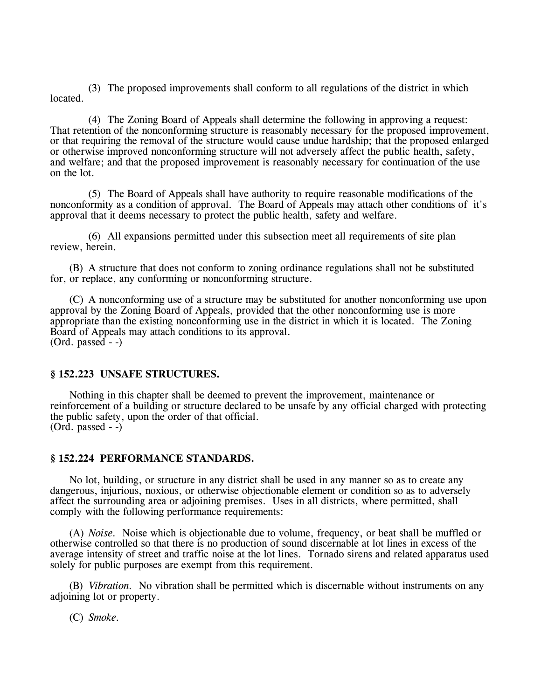(3) The proposed improvements shall conform to all regulations of the district in which located.

(4) The Zoning Board of Appeals shall determine the following in approving a request: That retention of the nonconforming structure is reasonably necessary for the proposed improvement, or that requiring the removal of the structure would cause undue hardship; that the proposed enlarged or otherwise improved nonconforming structure will not adversely affect the public health, safety, and welfare; and that the proposed improvement is reasonably necessary for continuation of the use on the lot.

(5) The Board of Appeals shall have authority to require reasonable modifications of the nonconformity as a condition of approval. The Board of Appeals may attach other conditions of it's approval that it deems necessary to protect the public health, safety and welfare.

(6) All expansions permitted under this subsection meet all requirements of site plan review, herein.

(B) A structure that does not conform to zoning ordinance regulations shall not be substituted for, or replace, any conforming or nonconforming structure.

(C) A nonconforming use of a structure may be substituted for another nonconforming use upon approval by the Zoning Board of Appeals, provided that the other nonconforming use is more appropriate than the existing nonconforming use in the district in which it is located. The Zoning Board of Appeals may attach conditions to its approval.  $(Ord. passed - )$ 

# **§ 152.223 UNSAFE STRUCTURES.**

Nothing in this chapter shall be deemed to prevent the improvement, maintenance or reinforcement of a building or structure declared to be unsafe by any official charged with protecting the public safety, upon the order of that official.  $(Ord. passed - )$ 

### **§ 152.224 PERFORMANCE STANDARDS.**

No lot, building, or structure in any district shall be used in any manner so as to create any dangerous, injurious, noxious, or otherwise objectionable element or condition so as to adversely affect the surrounding area or adjoining premises. Uses in all districts, where permitted, shall comply with the following performance requirements:

(A) *Noise.* Noise which is objectionable due to volume, frequency, or beat shall be muffled or otherwise controlled so that there is no production of sound discernable at lot lines in excess of the average intensity of street and traffic noise at the lot lines. Tornado sirens and related apparatus used solely for public purposes are exempt from this requirement.

(B) *Vibration.* No vibration shall be permitted which is discernable without instruments on any adjoining lot or property.

(C) *Smoke.*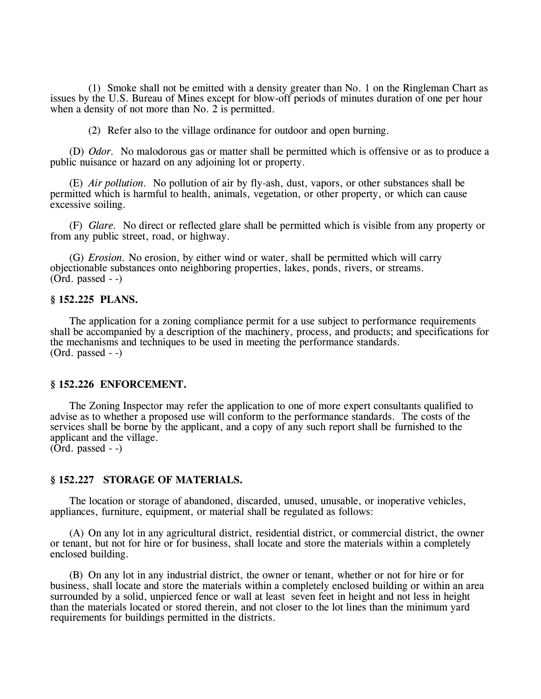(1) Smoke shall not be emitted with a density greater than No. 1 on the Ringleman Chart as issues by the U.S. Bureau of Mines except for blow-off periods of minutes duration of one per hour when a density of not more than No. 2 is permitted.

(2) Refer also to the village ordinance for outdoor and open burning.

(D) *Odor.* No malodorous gas or matter shall be permitted which is offensive or as to produce a public nuisance or hazard on any adjoining lot or property.

(E) *Air pollution.* No pollution of air by fly-ash, dust, vapors, or other substances shall be permitted which is harmful to health, animals, vegetation, or other property, or which can cause excessive soiling.

(F) *Glare.* No direct or reflected glare shall be permitted which is visible from any property or from any public street, road, or highway.

(G) *Erosion.* No erosion, by either wind or water, shall be permitted which will carry objectionable substances onto neighboring properties, lakes, ponds, rivers, or streams. (Ord. passed - -)

### **§ 152.225 PLANS.**

The application for a zoning compliance permit for a use subject to performance requirements shall be accompanied by a description of the machinery, process, and products; and specifications for the mechanisms and techniques to be used in meeting the performance standards. (Ord. passed - -)

### **§ 152.226 ENFORCEMENT.**

The Zoning Inspector may refer the application to one of more expert consultants qualified to advise as to whether a proposed use will conform to the performance standards. The costs of the services shall be borne by the applicant, and a copy of any such report shall be furnished to the applicant and the village.  $(Ord. passed - )$ 

# **§ 152.227 STORAGE OF MATERIALS.**

The location or storage of abandoned, discarded, unused, unusable, or inoperative vehicles, appliances, furniture, equipment, or material shall be regulated as follows:

(A) On any lot in any agricultural district, residential district, or commercial district, the owner or tenant, but not for hire or for business, shall locate and store the materials within a completely enclosed building.

(B) On any lot in any industrial district, the owner or tenant, whether or not for hire or for business, shall locate and store the materials within a completely enclosed building or within an area surrounded by a solid, unpierced fence or wall at least seven feet in height and not less in height than the materials located or stored therein, and not closer to the lot lines than the minimum yard requirements for buildings permitted in the districts.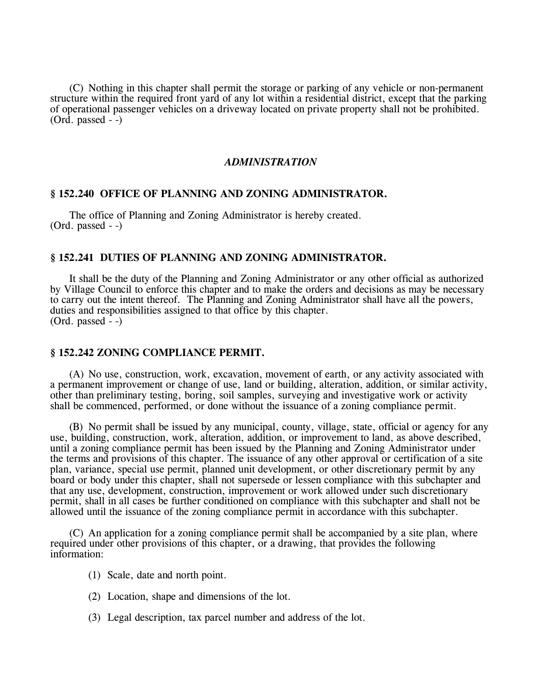(C) Nothing in this chapter shall permit the storage or parking of any vehicle or non-permanent structure within the required front yard of any lot within a residential district, except that the parking of operational passenger vehicles on a driveway located on private property shall not be prohibited. (Ord. passed - -)

# *ADMINISTRATION*

### **§ 152.240 OFFICE OF PLANNING AND ZONING ADMINISTRATOR.**

The office of Planning and Zoning Administrator is hereby created.  $(Ord. passed - )$ 

# **§ 152.241 DUTIES OF PLANNING AND ZONING ADMINISTRATOR.**

It shall be the duty of the Planning and Zoning Administrator or any other official as authorized by Village Council to enforce this chapter and to make the orders and decisions as may be necessary to carry out the intent thereof. The Planning and Zoning Administrator shall have all the powers, duties and responsibilities assigned to that office by this chapter.  $(Ord. passed - )$ 

### **§ 152.242 ZONING COMPLIANCE PERMIT.**

(A) No use, construction, work, excavation, movement of earth, or any activity associated with a permanent improvement or change of use, land or building, alteration, addition, or similar activity, other than preliminary testing, boring, soil samples, surveying and investigative work or activity shall be commenced, performed, or done without the issuance of a zoning compliance permit.

(B) No permit shall be issued by any municipal, county, village, state, official or agency for any use, building, construction, work, alteration, addition, or improvement to land, as above described, until a zoning compliance permit has been issued by the Planning and Zoning Administrator under the terms and provisions of this chapter. The issuance of any other approval or certification of a site plan, variance, special use permit, planned unit development, or other discretionary permit by any board or body under this chapter, shall not supersede or lessen compliance with this subchapter and that any use, development, construction, improvement or work allowed under such discretionary permit, shall in all cases be further conditioned on compliance with this subchapter and shall not be allowed until the issuance of the zoning compliance permit in accordance with this subchapter.

(C) An application for a zoning compliance permit shall be accompanied by a site plan, where required under other provisions of this chapter, or a drawing, that provides the following information:

- (1) Scale, date and north point.
- (2) Location, shape and dimensions of the lot.
- (3) Legal description, tax parcel number and address of the lot.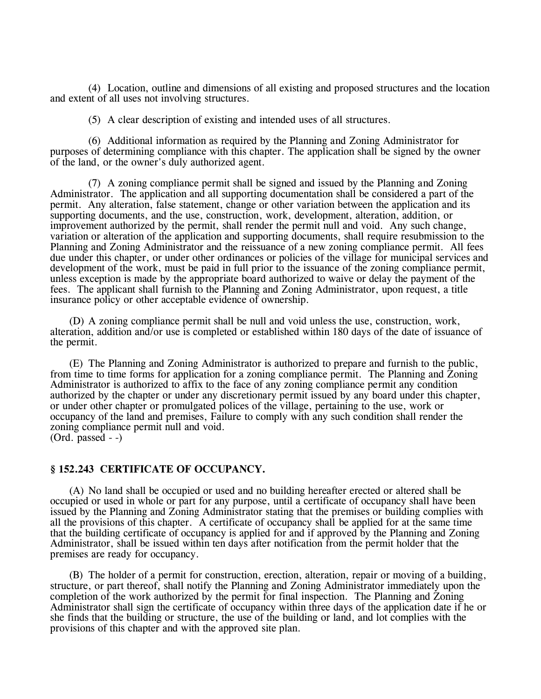(4) Location, outline and dimensions of all existing and proposed structures and the location and extent of all uses not involving structures.

(5) A clear description of existing and intended uses of all structures.

(6) Additional information as required by the Planning and Zoning Administrator for purposes of determining compliance with this chapter. The application shall be signed by the owner of the land, or the owner's duly authorized agent.

(7) A zoning compliance permit shall be signed and issued by the Planning and Zoning Administrator. The application and all supporting documentation shall be considered a part of the permit. Any alteration, false statement, change or other variation between the application and its supporting documents, and the use, construction, work, development, alteration, addition, or improvement authorized by the permit, shall render the permit null and void. Any such change, variation or alteration of the application and supporting documents, shall require resubmission to the Planning and Zoning Administrator and the reissuance of a new zoning compliance permit. All fees due under this chapter, or under other ordinances or policies of the village for municipal services and development of the work, must be paid in full prior to the issuance of the zoning compliance permit, unless exception is made by the appropriate board authorized to waive or delay the payment of the fees. The applicant shall furnish to the Planning and Zoning Administrator, upon request, a title insurance policy or other acceptable evidence of ownership.

(D) A zoning compliance permit shall be null and void unless the use, construction, work, alteration, addition and/or use is completed or established within 180 days of the date of issuance of the permit.

(E) The Planning and Zoning Administrator is authorized to prepare and furnish to the public, from time to time forms for application for a zoning compliance permit. The Planning and Zoning Administrator is authorized to affix to the face of any zoning compliance permit any condition authorized by the chapter or under any discretionary permit issued by any board under this chapter, or under other chapter or promulgated polices of the village, pertaining to the use, work or occupancy of the land and premises, Failure to comply with any such condition shall render the zoning compliance permit null and void. (Ord. passed - -)

#### **§ 152.243 CERTIFICATE OF OCCUPANCY.**

(A) No land shall be occupied or used and no building hereafter erected or altered shall be occupied or used in whole or part for any purpose, until a certificate of occupancy shall have been issued by the Planning and Zoning Administrator stating that the premises or building complies with all the provisions of this chapter. A certificate of occupancy shall be applied for at the same time that the building certificate of occupancy is applied for and if approved by the Planning and Zoning Administrator, shall be issued within ten days after notification from the permit holder that the premises are ready for occupancy.

(B) The holder of a permit for construction, erection, alteration, repair or moving of a building, structure, or part thereof, shall notify the Planning and Zoning Administrator immediately upon the completion of the work authorized by the permit for final inspection. The Planning and Zoning Administrator shall sign the certificate of occupancy within three days of the application date if he or she finds that the building or structure, the use of the building or land, and lot complies with the provisions of this chapter and with the approved site plan.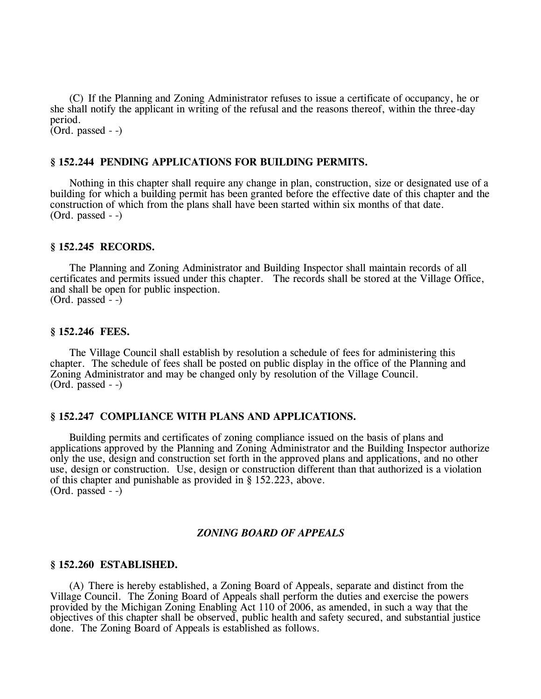(C) If the Planning and Zoning Administrator refuses to issue a certificate of occupancy, he or she shall notify the applicant in writing of the refusal and the reasons thereof, within the three-day period.  $(Ord. passed - )$ 

### **§ 152.244 PENDING APPLICATIONS FOR BUILDING PERMITS.**

Nothing in this chapter shall require any change in plan, construction, size or designated use of a building for which a building permit has been granted before the effective date of this chapter and the construction of which from the plans shall have been started within six months of that date. (Ord. passed - -)

### **§ 152.245 RECORDS.**

The Planning and Zoning Administrator and Building Inspector shall maintain records of all certificates and permits issued under this chapter. The records shall be stored at the Village Office, and shall be open for public inspection.  $(Ord. passed - )$ 

#### **§ 152.246 FEES.**

The Village Council shall establish by resolution a schedule of fees for administering this chapter. The schedule of fees shall be posted on public display in the office of the Planning and Zoning Administrator and may be changed only by resolution of the Village Council. (Ord. passed - -)

#### **§ 152.247 COMPLIANCE WITH PLANS AND APPLICATIONS.**

Building permits and certificates of zoning compliance issued on the basis of plans and applications approved by the Planning and Zoning Administrator and the Building Inspector authorize only the use, design and construction set forth in the approved plans and applications, and no other use, design or construction. Use, design or construction different than that authorized is a violation of this chapter and punishable as provided in § 152.223, above. (Ord. passed - -)

### *ZONING BOARD OF APPEALS*

#### **§ 152.260 ESTABLISHED.**

(A) There is hereby established, a Zoning Board of Appeals, separate and distinct from the Village Council. The Zoning Board of Appeals shall perform the duties and exercise the powers provided by the Michigan Zoning Enabling Act 110 of 2006, as amended, in such a way that the objectives of this chapter shall be observed, public health and safety secured, and substantial justice done. The Zoning Board of Appeals is established as follows.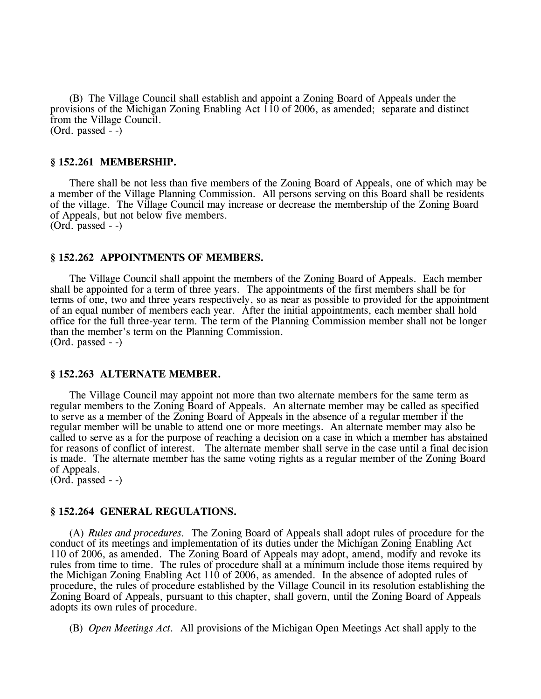(B) The Village Council shall establish and appoint a Zoning Board of Appeals under the provisions of the Michigan Zoning Enabling Act 110 of 2006, as amended; separate and distinct from the Village Council. (Ord. passed - -)

#### **§ 152.261 MEMBERSHIP.**

There shall be not less than five members of the Zoning Board of Appeals, one of which may be a member of the Village Planning Commission. All persons serving on this Board shall be residents of the village. The Village Council may increase or decrease the membership of the Zoning Board of Appeals, but not below five members. (Ord. passed - -)

#### **§ 152.262 APPOINTMENTS OF MEMBERS.**

The Village Council shall appoint the members of the Zoning Board of Appeals. Each member shall be appointed for a term of three years. The appointments of the first members shall be for terms of one, two and three years respectively, so as near as possible to provided for the appointment of an equal number of members each year. After the initial appointments, each member shall hold office for the full three-year term. The term of the Planning Commission member shall not be longer than the member's term on the Planning Commission. (Ord. passed - -)

#### **§ 152.263 ALTERNATE MEMBER.**

The Village Council may appoint not more than two alternate members for the same term as regular members to the Zoning Board of Appeals. An alternate member may be called as specified to serve as a member of the Zoning Board of Appeals in the absence of a regular member if the regular member will be unable to attend one or more meetings. An alternate member may also be called to serve as a for the purpose of reaching a decision on a case in which a member has abstained for reasons of conflict of interest. The alternate member shall serve in the case until a final decision is made. The alternate member has the same voting rights as a regular member of the Zoning Board of Appeals.

(Ord. passed - -)

### **§ 152.264 GENERAL REGULATIONS.**

(A) *Rules and procedures.* The Zoning Board of Appeals shall adopt rules of procedure for the conduct of its meetings and implementation of its duties under the Michigan Zoning Enabling Act 110 of 2006, as amended. The Zoning Board of Appeals may adopt, amend, modify and revoke its rules from time to time. The rules of procedure shall at a minimum include those items required by the Michigan Zoning Enabling Act 110 of 2006, as amended. In the absence of adopted rules of procedure, the rules of procedure established by the Village Council in its resolution establishing the Zoning Board of Appeals, pursuant to this chapter, shall govern, until the Zoning Board of Appeals adopts its own rules of procedure.

(B) *Open Meetings Act.* All provisions of the Michigan Open Meetings Act shall apply to the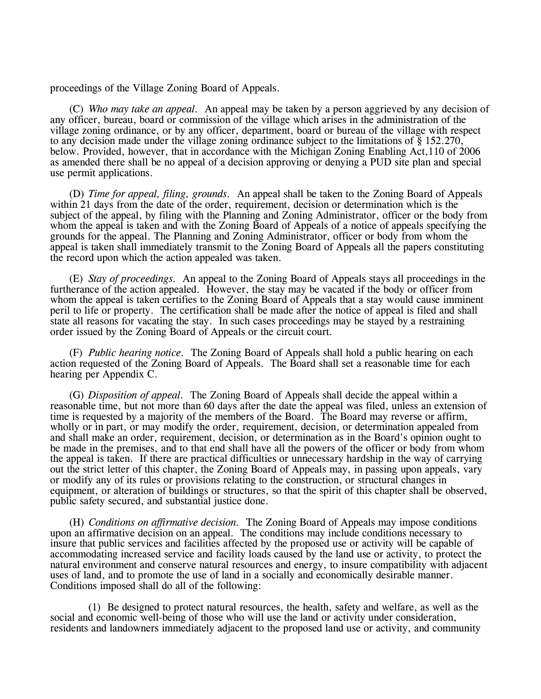proceedings of the Village Zoning Board of Appeals.

(C) *Who may take an appeal.* An appeal may be taken by a person aggrieved by any decision of any officer, bureau, board or commission of the village which arises in the administration of the village zoning ordinance, or by any officer, department, board or bureau of the village with respect to any decision made under the village zoning ordinance subject to the limitations of  $\S$  152.270, below. Provided, however, that in accordance with the Michigan Zoning Enabling Act,110 of 2006 as amended there shall be no appeal of a decision approving or denying a PUD site plan and special use permit applications.

(D) *Time for appeal, filing, grounds.* An appeal shall be taken to the Zoning Board of Appeals within 21 days from the date of the order, requirement, decision or determination which is the subject of the appeal, by filing with the Planning and Zoning Administrator, officer or the body from whom the appeal is taken and with the Zoning Board of Appeals of a notice of appeals specifying the grounds for the appeal. The Planning and Zoning Administrator, officer or body from whom the appeal is taken shall immediately transmit to the Zoning Board of Appeals all the papers constituting the record upon which the action appealed was taken.

(E) *Stay of proceedings.* An appeal to the Zoning Board of Appeals stays all proceedings in the furtherance of the action appealed. However, the stay may be vacated if the body or officer from whom the appeal is taken certifies to the Zoning Board of Appeals that a stay would cause imminent peril to life or property. The certification shall be made after the notice of appeal is filed and shall state all reasons for vacating the stay. In such cases proceedings may be stayed by a restraining order issued by the Zoning Board of Appeals or the circuit court.

(F) *Public hearing notice.* The Zoning Board of Appeals shall hold a public hearing on each action requested of the Zoning Board of Appeals. The Board shall set a reasonable time for each hearing per Appendix C.

(G) *Disposition of appeal.* The Zoning Board of Appeals shall decide the appeal within a reasonable time, but not more than 60 days after the date the appeal was filed, unless an extension of time is requested by a majority of the members of the Board. The Board may reverse or affirm, wholly or in part, or may modify the order, requirement, decision, or determination appealed from and shall make an order, requirement, decision, or determination as in the Board's opinion ought to be made in the premises, and to that end shall have all the powers of the officer or body from whom the appeal is taken. If there are practical difficulties or unnecessary hardship in the way of carrying out the strict letter of this chapter, the Zoning Board of Appeals may, in passing upon appeals, vary or modify any of its rules or provisions relating to the construction, or structural changes in equipment, or alteration of buildings or structures, so that the spirit of this chapter shall be observed, public safety secured, and substantial justice done.

(H) *Conditions on affirmative decision.* The Zoning Board of Appeals may impose conditions upon an affirmative decision on an appeal. The conditions may include conditions necessary to insure that public services and facilities affected by the proposed use or activity will be capable of accommodating increased service and facility loads caused by the land use or activity, to protect the natural environment and conserve natural resources and energy, to insure compatibility with adjacent uses of land, and to promote the use of land in a socially and economically desirable manner. Conditions imposed shall do all of the following:

(1) Be designed to protect natural resources, the health, safety and welfare, as well as the social and economic well-being of those who will use the land or activity under consideration, residents and landowners immediately adjacent to the proposed land use or activity, and community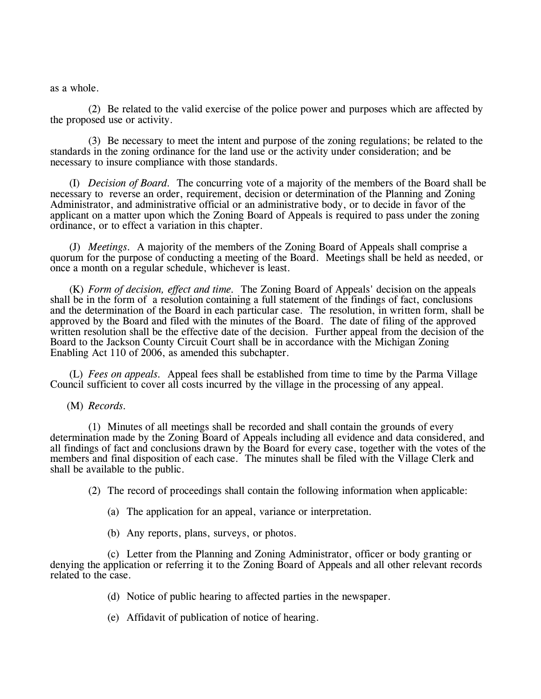as a whole.

(2) Be related to the valid exercise of the police power and purposes which are affected by the proposed use or activity.

(3) Be necessary to meet the intent and purpose of the zoning regulations; be related to the standards in the zoning ordinance for the land use or the activity under consideration; and be necessary to insure compliance with those standards.

(I) *Decision of Board.* The concurring vote of a majority of the members of the Board shall be necessary to reverse an order, requirement, decision or determination of the Planning and Zoning Administrator, and administrative official or an administrative body, or to decide in favor of the applicant on a matter upon which the Zoning Board of Appeals is required to pass under the zoning ordinance, or to effect a variation in this chapter.

(J) *Meetings.* A majority of the members of the Zoning Board of Appeals shall comprise a quorum for the purpose of conducting a meeting of the Board. Meetings shall be held as needed, or once a month on a regular schedule, whichever is least.

(K) *Form of decision, effect and time.* The Zoning Board of Appeals' decision on the appeals shall be in the form of a resolution containing a full statement of the findings of fact, conclusions and the determination of the Board in each particular case. The resolution, in written form, shall be approved by the Board and filed with the minutes of the Board. The date of filing of the approved written resolution shall be the effective date of the decision. Further appeal from the decision of the Board to the Jackson County Circuit Court shall be in accordance with the Michigan Zoning Enabling Act 110 of 2006, as amended this subchapter.

(L) *Fees on appeals.* Appeal fees shall be established from time to time by the Parma Village Council sufficient to cover all costs incurred by the village in the processing of any appeal.

(M) *Records.*

(1) Minutes of all meetings shall be recorded and shall contain the grounds of every determination made by the Zoning Board of Appeals including all evidence and data considered, and all findings of fact and conclusions drawn by the Board for every case, together with the votes of the members and final disposition of each case. The minutes shall be filed with the Village Clerk and shall be available to the public.

(2) The record of proceedings shall contain the following information when applicable:

- (a) The application for an appeal, variance or interpretation.
- (b) Any reports, plans, surveys, or photos.

(c) Letter from the Planning and Zoning Administrator, officer or body granting or denying the application or referring it to the Zoning Board of Appeals and all other relevant records related to the case.

- (d) Notice of public hearing to affected parties in the newspaper.
- (e) Affidavit of publication of notice of hearing.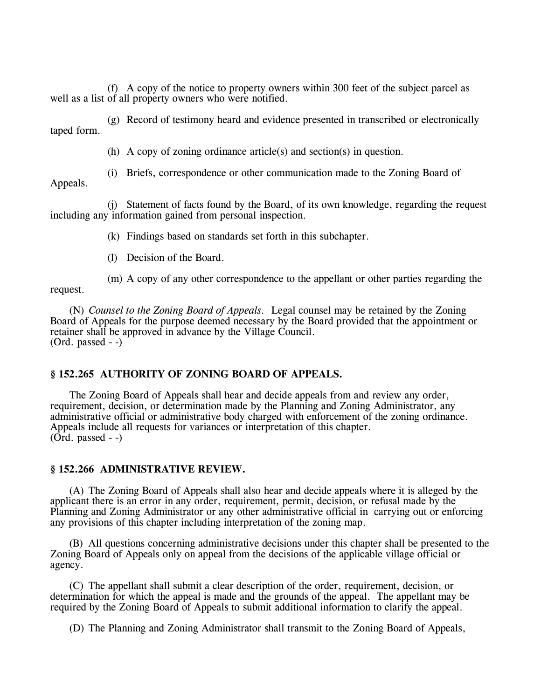(f) A copy of the notice to property owners within 300 feet of the subject parcel as well as a list of all property owners who were notified.

(g) Record of testimony heard and evidence presented in transcribed or electronically taped form.

(h) A copy of zoning ordinance article(s) and section(s) in question.

(i) Briefs, correspondence or other communication made to the Zoning Board of

Appeals.

(j) Statement of facts found by the Board, of its own knowledge, regarding the request including any information gained from personal inspection.

(k) Findings based on standards set forth in this subchapter.

(l) Decision of the Board.

(m) A copy of any other correspondence to the appellant or other parties regarding the request.

(N) *Counsel to the Zoning Board of Appeals.* Legal counsel may be retained by the Zoning Board of Appeals for the purpose deemed necessary by the Board provided that the appointment or retainer shall be approved in advance by the Village Council. (Ord. passed - -)

# **§ 152.265 AUTHORITY OF ZONING BOARD OF APPEALS.**

The Zoning Board of Appeals shall hear and decide appeals from and review any order, requirement, decision, or determination made by the Planning and Zoning Administrator, any administrative official or administrative body charged with enforcement of the zoning ordinance. Appeals include all requests for variances or interpretation of this chapter.  $($ Ord. passed  $-$ )

### **§ 152.266 ADMINISTRATIVE REVIEW.**

(A) The Zoning Board of Appeals shall also hear and decide appeals where it is alleged by the applicant there is an error in any order, requirement, permit, decision, or refusal made by the Planning and Zoning Administrator or any other administrative official in carrying out or enforcing any provisions of this chapter including interpretation of the zoning map.

(B) All questions concerning administrative decisions under this chapter shall be presented to the Zoning Board of Appeals only on appeal from the decisions of the applicable village official or agency.

(C) The appellant shall submit a clear description of the order, requirement, decision, or determination for which the appeal is made and the grounds of the appeal. The appellant may be required by the Zoning Board of Appeals to submit additional information to clarify the appeal.

(D) The Planning and Zoning Administrator shall transmit to the Zoning Board of Appeals,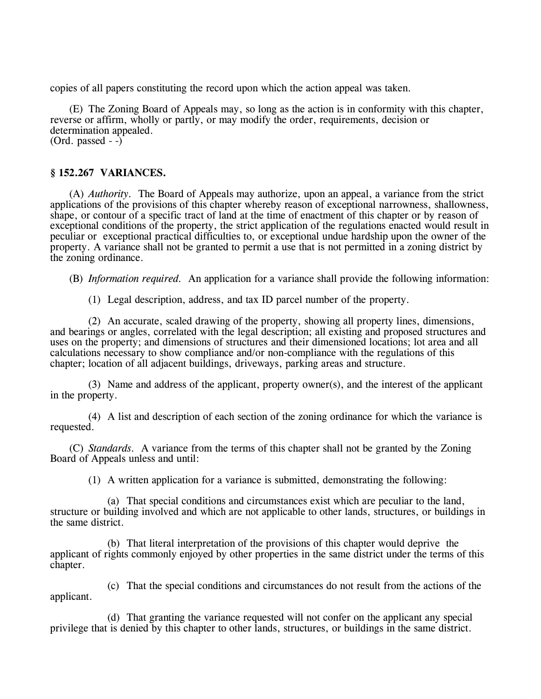copies of all papers constituting the record upon which the action appeal was taken.

(E) The Zoning Board of Appeals may, so long as the action is in conformity with this chapter, reverse or affirm, wholly or partly, or may modify the order, requirements, decision or determination appealed. (Ord. passed  $-$ )

### **§ 152.267 VARIANCES.**

(A) *Authority.* The Board of Appeals may authorize, upon an appeal, a variance from the strict applications of the provisions of this chapter whereby reason of exceptional narrowness, shallowness, shape, or contour of a specific tract of land at the time of enactment of this chapter or by reason of exceptional conditions of the property, the strict application of the regulations enacted would result in peculiar or exceptional practical difficulties to, or exceptional undue hardship upon the owner of the property. A variance shall not be granted to permit a use that is not permitted in a zoning district by the zoning ordinance.

(B) *Information required.* An application for a variance shall provide the following information:

(1) Legal description, address, and tax ID parcel number of the property.

(2) An accurate, scaled drawing of the property, showing all property lines, dimensions, and bearings or angles, correlated with the legal description; all existing and proposed structures and uses on the property; and dimensions of structures and their dimensioned locations; lot area and all calculations necessary to show compliance and/or non-compliance with the regulations of this chapter; location of all adjacent buildings, driveways, parking areas and structure.

(3) Name and address of the applicant, property owner(s), and the interest of the applicant in the property.

(4) A list and description of each section of the zoning ordinance for which the variance is requested.

(C) *Standards.* A variance from the terms of this chapter shall not be granted by the Zoning Board of Appeals unless and until:

(1) A written application for a variance is submitted, demonstrating the following:

(a) That special conditions and circumstances exist which are peculiar to the land, structure or building involved and which are not applicable to other lands, structures, or buildings in the same district.

(b) That literal interpretation of the provisions of this chapter would deprive the applicant of rights commonly enjoyed by other properties in the same district under the terms of this chapter.

(c) That the special conditions and circumstances do not result from the actions of the applicant.

(d) That granting the variance requested will not confer on the applicant any special privilege that is denied by this chapter to other lands, structures, or buildings in the same district.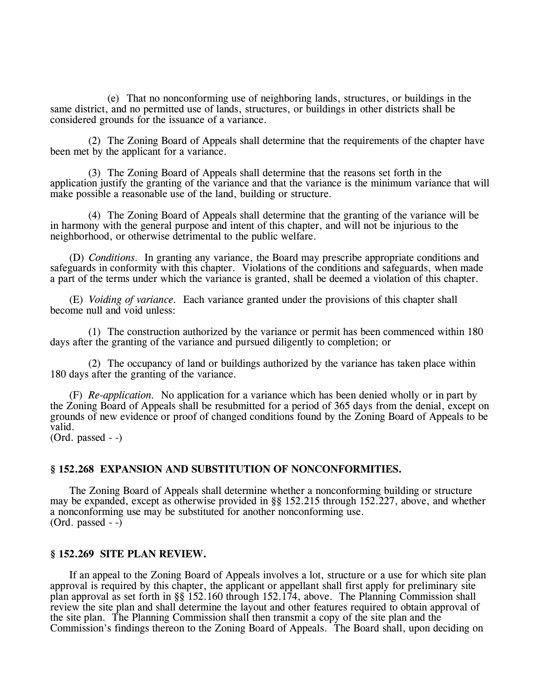(e) That no nonconforming use of neighboring lands, structures, or buildings in the same district, and no permitted use of lands, structures, or buildings in other districts shall be considered grounds for the issuance of a variance.

(2) The Zoning Board of Appeals shall determine that the requirements of the chapter have been met by the applicant for a variance.

(3) The Zoning Board of Appeals shall determine that the reasons set forth in the application justify the granting of the variance and that the variance is the minimum variance that will make possible a reasonable use of the land, building or structure.

(4) The Zoning Board of Appeals shall determine that the granting of the variance will be in harmony with the general purpose and intent of this chapter, and will not be injurious to the neighborhood, or otherwise detrimental to the public welfare.

(D) *Conditions.* In granting any variance, the Board may prescribe appropriate conditions and safeguards in conformity with this chapter. Violations of the conditions and safeguards, when made a part of the terms under which the variance is granted, shall be deemed a violation of this chapter.

(E) *Voiding of variance.* Each variance granted under the provisions of this chapter shall become null and void unless:

(1) The construction authorized by the variance or permit has been commenced within 180 days after the granting of the variance and pursued diligently to completion; or

(2) The occupancy of land or buildings authorized by the variance has taken place within 180 days after the granting of the variance.

(F) *Re-application.* No application for a variance which has been denied wholly or in part by the Zoning Board of Appeals shall be resubmitted for a period of 365 days from the denial, except on grounds of new evidence or proof of changed conditions found by the Zoning Board of Appeals to be valid.

(Ord. passed - -)

#### **§ 152.268 EXPANSION AND SUBSTITUTION OF NONCONFORMITIES.**

The Zoning Board of Appeals shall determine whether a nonconforming building or structure may be expanded, except as otherwise provided in §§ 152.215 through 152.227, above, and whether a nonconforming use may be substituted for another nonconforming use.  $(Ord. passed - )$ 

# **§ 152.269 SITE PLAN REVIEW.**

If an appeal to the Zoning Board of Appeals involves a lot, structure or a use for which site plan approval is required by this chapter, the applicant or appellant shall first apply for preliminary site plan approval as set forth in §§ 152.160 through 152.174, above. The Planning Commission shall review the site plan and shall determine the layout and other features required to obtain approval of the site plan. The Planning Commission shall then transmit a copy of the site plan and the Commission's findings thereon to the Zoning Board of Appeals. The Board shall, upon deciding on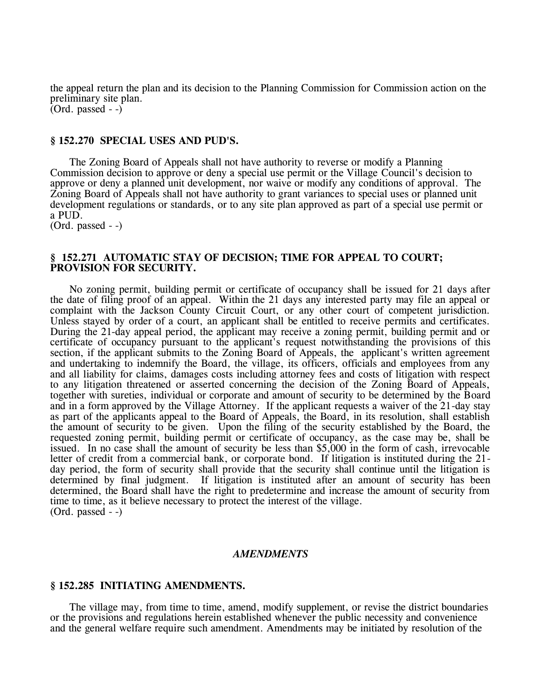the appeal return the plan and its decision to the Planning Commission for Commission action on the preliminary site plan. (Ord. passed - -)

#### **§ 152.270 SPECIAL USES AND PUD'S.**

The Zoning Board of Appeals shall not have authority to reverse or modify a Planning Commission decision to approve or deny a special use permit or the Village Council's decision to approve or deny a planned unit development, nor waive or modify any conditions of approval. The Zoning Board of Appeals shall not have authority to grant variances to special uses or planned unit development regulations or standards, or to any site plan approved as part of a special use permit or a PUD.

(Ord. passed - -)

### **§ 152.271 AUTOMATIC STAY OF DECISION; TIME FOR APPEAL TO COURT; PROVISION FOR SECURITY.**

No zoning permit, building permit or certificate of occupancy shall be issued for 21 days after the date of filing proof of an appeal. Within the 21 days any interested party may file an appeal or complaint with the Jackson County Circuit Court, or any other court of competent jurisdiction. Unless stayed by order of a court, an applicant shall be entitled to receive permits and certificates. During the 21-day appeal period, the applicant may receive a zoning permit, building permit and or certificate of occupancy pursuant to the applicant's request notwithstanding the provisions of this section, if the applicant submits to the Zoning Board of Appeals, the applicant's written agreement and undertaking to indemnify the Board, the village, its officers, officials and employees from any and all liability for claims, damages costs including attorney fees and costs of litigation with respect to any litigation threatened or asserted concerning the decision of the Zoning Board of Appeals, together with sureties, individual or corporate and amount of security to be determined by the Board and in a form approved by the Village Attorney. If the applicant requests a waiver of the 21-day stay as part of the applicants appeal to the Board of Appeals, the Board, in its resolution, shall establish the amount of security to be given. Upon the filing of the security established by the Board, the requested zoning permit, building permit or certificate of occupancy, as the case may be, shall be issued. In no case shall the amount of security be less than \$5,000 in the form of cash, irrevocable letter of credit from a commercial bank, or corporate bond. If litigation is instituted during the 21 day period, the form of security shall provide that the security shall continue until the litigation is determined by final judgment. If litigation is instituted after an amount of security has been determined, the Board shall have the right to predetermine and increase the amount of security from time to time, as it believe necessary to protect the interest of the village. (Ord. passed - -)

#### *AMENDMENTS*

#### **§ 152.285 INITIATING AMENDMENTS.**

The village may, from time to time, amend, modify supplement, or revise the district boundaries or the provisions and regulations herein established whenever the public necessity and convenience and the general welfare require such amendment. Amendments may be initiated by resolution of the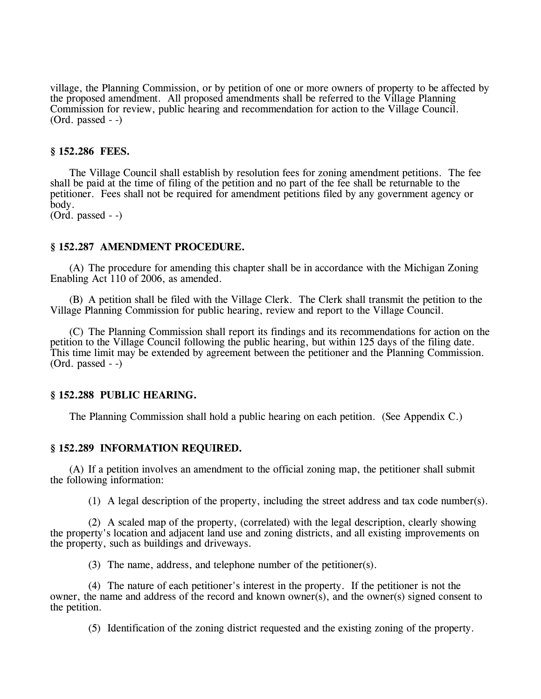village, the Planning Commission, or by petition of one or more owners of property to be affected by the proposed amendment. All proposed amendments shall be referred to the Village Planning Commission for review, public hearing and recommendation for action to the Village Council. (Ord. passed - -)

# **§ 152.286 FEES.**

The Village Council shall establish by resolution fees for zoning amendment petitions. The fee shall be paid at the time of filing of the petition and no part of the fee shall be returnable to the petitioner. Fees shall not be required for amendment petitions filed by any government agency or body.

(Ord. passed - -)

### **§ 152.287 AMENDMENT PROCEDURE.**

(A) The procedure for amending this chapter shall be in accordance with the Michigan Zoning Enabling Act 110 of 2006, as amended.

(B) A petition shall be filed with the Village Clerk. The Clerk shall transmit the petition to the Village Planning Commission for public hearing, review and report to the Village Council.

(C) The Planning Commission shall report its findings and its recommendations for action on the petition to the Village Council following the public hearing, but within 125 days of the filing date. This time limit may be extended by agreement between the petitioner and the Planning Commission. (Ord. passed - -)

### **§ 152.288 PUBLIC HEARING.**

The Planning Commission shall hold a public hearing on each petition. (See Appendix C.)

#### **§ 152.289 INFORMATION REQUIRED.**

(A) If a petition involves an amendment to the official zoning map, the petitioner shall submit the following information:

(1) A legal description of the property, including the street address and tax code number(s).

(2) A scaled map of the property, (correlated) with the legal description, clearly showing the property's location and adjacent land use and zoning districts, and all existing improvements on the property, such as buildings and driveways.

(3) The name, address, and telephone number of the petitioner(s).

(4) The nature of each petitioner's interest in the property. If the petitioner is not the owner, the name and address of the record and known owner(s), and the owner(s) signed consent to the petition.

(5) Identification of the zoning district requested and the existing zoning of the property.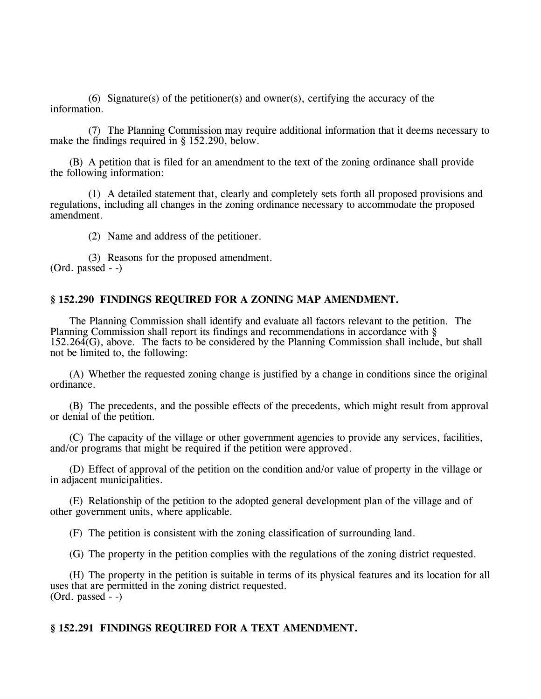(6) Signature(s) of the petitioner(s) and owner(s), certifying the accuracy of the information.

(7) The Planning Commission may require additional information that it deems necessary to make the findings required in § 152.290, below.

(B) A petition that is filed for an amendment to the text of the zoning ordinance shall provide the following information:

(1) A detailed statement that, clearly and completely sets forth all proposed provisions and regulations, including all changes in the zoning ordinance necessary to accommodate the proposed amendment.

(2) Name and address of the petitioner.

(3) Reasons for the proposed amendment.  $(Ord. passed - )$ 

# **§ 152.290 FINDINGS REQUIRED FOR A ZONING MAP AMENDMENT.**

The Planning Commission shall identify and evaluate all factors relevant to the petition. The Planning Commission shall report its findings and recommendations in accordance with § 152.264(G), above. The facts to be considered by the Planning Commission shall include, but shall not be limited to, the following:

(A) Whether the requested zoning change is justified by a change in conditions since the original ordinance.

(B) The precedents, and the possible effects of the precedents, which might result from approval or denial of the petition.

(C) The capacity of the village or other government agencies to provide any services, facilities, and/or programs that might be required if the petition were approved.

(D) Effect of approval of the petition on the condition and/or value of property in the village or in adjacent municipalities.

(E) Relationship of the petition to the adopted general development plan of the village and of other government units, where applicable.

(F) The petition is consistent with the zoning classification of surrounding land.

(G) The property in the petition complies with the regulations of the zoning district requested.

(H) The property in the petition is suitable in terms of its physical features and its location for all uses that are permitted in the zoning district requested.  $(Ord. passed - )$ 

# **§ 152.291 FINDINGS REQUIRED FOR A TEXT AMENDMENT.**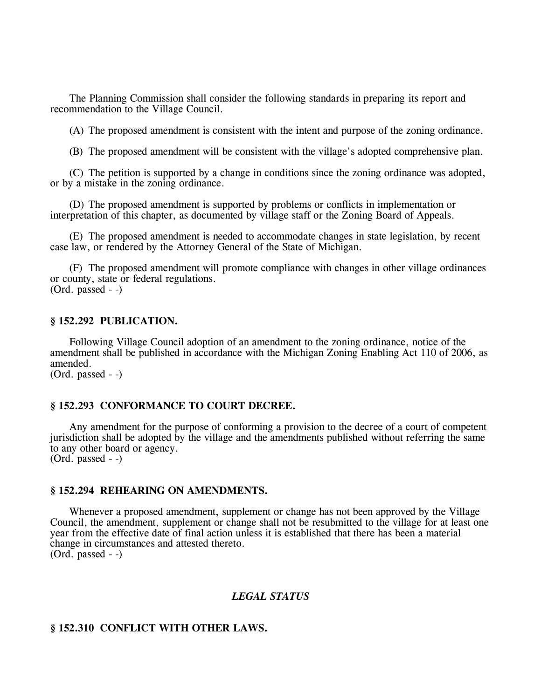The Planning Commission shall consider the following standards in preparing its report and recommendation to the Village Council.

(A) The proposed amendment is consistent with the intent and purpose of the zoning ordinance.

(B) The proposed amendment will be consistent with the village's adopted comprehensive plan.

(C) The petition is supported by a change in conditions since the zoning ordinance was adopted, or by a mistake in the zoning ordinance.

(D) The proposed amendment is supported by problems or conflicts in implementation or interpretation of this chapter, as documented by village staff or the Zoning Board of Appeals.

(E) The proposed amendment is needed to accommodate changes in state legislation, by recent case law, or rendered by the Attorney General of the State of Michigan.

(F) The proposed amendment will promote compliance with changes in other village ordinances or county, state or federal regulations. (Ord. passed - -)

# **§ 152.292 PUBLICATION.**

Following Village Council adoption of an amendment to the zoning ordinance, notice of the amendment shall be published in accordance with the Michigan Zoning Enabling Act 110 of 2006, as amended. (Ord. passed - -)

#### **§ 152.293 CONFORMANCE TO COURT DECREE.**

Any amendment for the purpose of conforming a provision to the decree of a court of competent jurisdiction shall be adopted by the village and the amendments published without referring the same to any other board or agency.  $(Ord. passed - )$ 

### **§ 152.294 REHEARING ON AMENDMENTS.**

Whenever a proposed amendment, supplement or change has not been approved by the Village Council, the amendment, supplement or change shall not be resubmitted to the village for at least one year from the effective date of final action unless it is established that there has been a material change in circumstances and attested thereto. (Ord. passed - -)

#### *LEGAL STATUS*

# **§ 152.310 CONFLICT WITH OTHER LAWS.**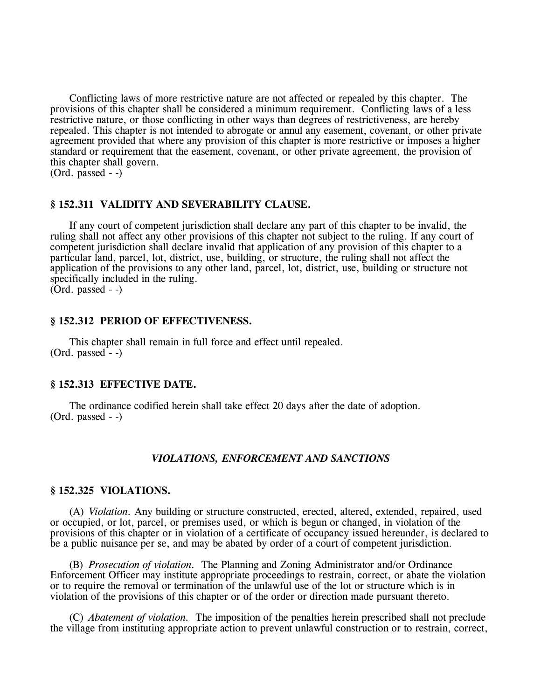Conflicting laws of more restrictive nature are not affected or repealed by this chapter. The provisions of this chapter shall be considered a minimum requirement. Conflicting laws of a less restrictive nature, or those conflicting in other ways than degrees of restrictiveness, are hereby repealed. This chapter is not intended to abrogate or annul any easement, covenant, or other private agreement provided that where any provision of this chapter is more restrictive or imposes a higher standard or requirement that the easement, covenant, or other private agreement, the provision of this chapter shall govern.

(Ord. passed - -)

# **§ 152.311 VALIDITY AND SEVERABILITY CLAUSE.**

If any court of competent jurisdiction shall declare any part of this chapter to be invalid, the ruling shall not affect any other provisions of this chapter not subject to the ruling. If any court of competent jurisdiction shall declare invalid that application of any provision of this chapter to a particular land, parcel, lot, district, use, building, or structure, the ruling shall not affect the application of the provisions to any other land, parcel, lot, district, use, building or structure not specifically included in the ruling. (Ord. passed - -)

# **§ 152.312 PERIOD OF EFFECTIVENESS.**

This chapter shall remain in full force and effect until repealed.  $(Ord. passed - )$ 

### **§ 152.313 EFFECTIVE DATE.**

The ordinance codified herein shall take effect 20 days after the date of adoption. (Ord. passed - -)

### *VIOLATIONS, ENFORCEMENT AND SANCTIONS*

#### **§ 152.325 VIOLATIONS.**

(A) *Violation.* Any building or structure constructed, erected, altered, extended, repaired, used or occupied, or lot, parcel, or premises used, or which is begun or changed, in violation of the provisions of this chapter or in violation of a certificate of occupancy issued hereunder, is declared to be a public nuisance per se, and may be abated by order of a court of competent jurisdiction.

(B) *Prosecution of violation.* The Planning and Zoning Administrator and/or Ordinance Enforcement Officer may institute appropriate proceedings to restrain, correct, or abate the violation or to require the removal or termination of the unlawful use of the lot or structure which is in violation of the provisions of this chapter or of the order or direction made pursuant thereto.

(C) *Abatement of violation.* The imposition of the penalties herein prescribed shall not preclude the village from instituting appropriate action to prevent unlawful construction or to restrain, correct,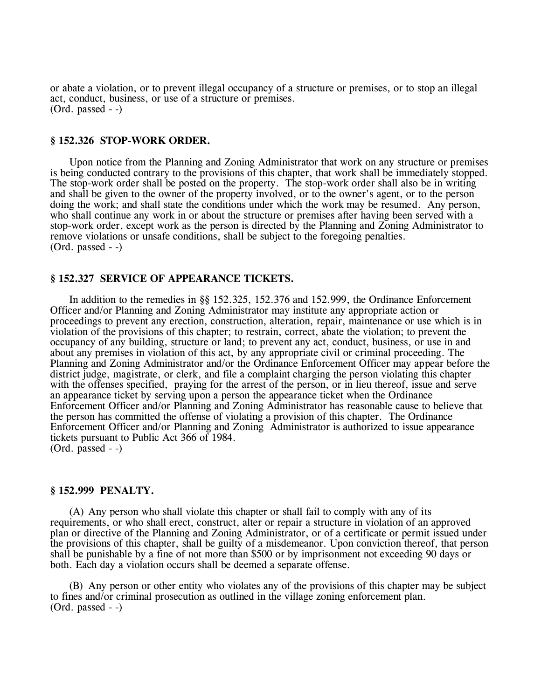or abate a violation, or to prevent illegal occupancy of a structure or premises, or to stop an illegal act, conduct, business, or use of a structure or premises. (Ord. passed - -)

### **§ 152.326 STOP-WORK ORDER.**

Upon notice from the Planning and Zoning Administrator that work on any structure or premises is being conducted contrary to the provisions of this chapter, that work shall be immediately stopped. The stop-work order shall be posted on the property. The stop-work order shall also be in writing and shall be given to the owner of the property involved, or to the owner's agent, or to the person doing the work; and shall state the conditions under which the work may be resumed. Any person, who shall continue any work in or about the structure or premises after having been served with a stop-work order, except work as the person is directed by the Planning and Zoning Administrator to remove violations or unsafe conditions, shall be subject to the foregoing penalties. (Ord. passed - -)

### **§ 152.327 SERVICE OF APPEARANCE TICKETS.**

In addition to the remedies in §§ 152.325, 152.376 and 152.999, the Ordinance Enforcement Officer and/or Planning and Zoning Administrator may institute any appropriate action or proceedings to prevent any erection, construction, alteration, repair, maintenance or use which is in violation of the provisions of this chapter; to restrain, correct, abate the violation; to prevent the occupancy of any building, structure or land; to prevent any act, conduct, business, or use in and about any premises in violation of this act, by any appropriate civil or criminal proceeding. The Planning and Zoning Administrator and/or the Ordinance Enforcement Officer may appear before the district judge, magistrate, or clerk, and file a complaint charging the person violating this chapter with the offenses specified, praying for the arrest of the person, or in lieu thereof, issue and serve an appearance ticket by serving upon a person the appearance ticket when the Ordinance Enforcement Officer and/or Planning and Zoning Administrator has reasonable cause to believe that the person has committed the offense of violating a provision of this chapter. The Ordinance Enforcement Officer and/or Planning and Zoning Administrator is authorized to issue appearance tickets pursuant to Public Act 366 of 1984. (Ord. passed - -)

### **§ 152.999 PENALTY.**

(A) Any person who shall violate this chapter or shall fail to comply with any of its requirements, or who shall erect, construct, alter or repair a structure in violation of an approved plan or directive of the Planning and Zoning Administrator, or of a certificate or permit issued under the provisions of this chapter, shall be guilty of a misdemeanor. Upon conviction thereof, that person shall be punishable by a fine of not more than \$500 or by imprisonment not exceeding 90 days or both. Each day a violation occurs shall be deemed a separate offense.

(B) Any person or other entity who violates any of the provisions of this chapter may be subject to fines and/or criminal prosecution as outlined in the village zoning enforcement plan. (Ord. passed - -)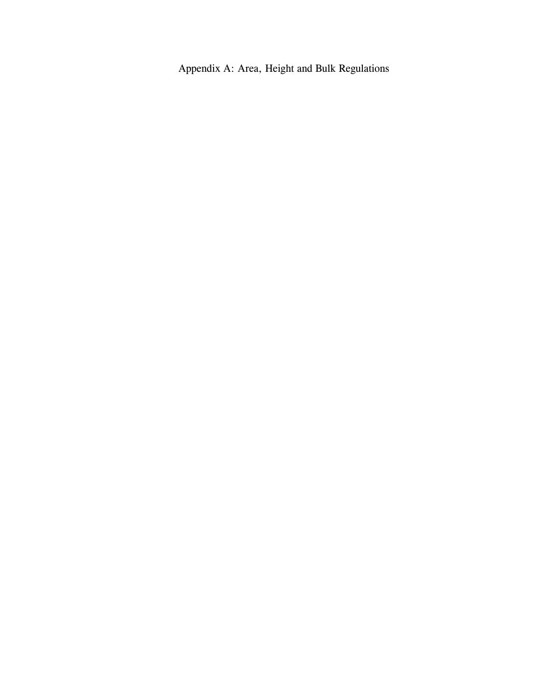Appendix A: Area, Height and Bulk Regulations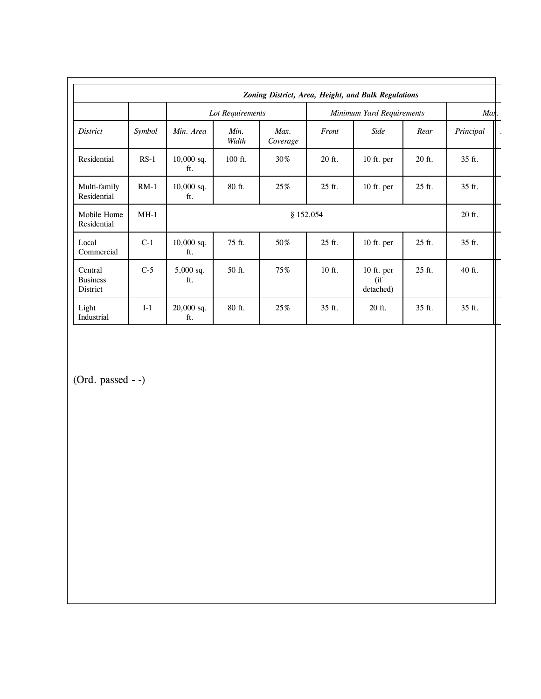|                                        |        |                     |               |                  |                           | Zoning District, Area, Height, and Bulk Regulations |        |           |
|----------------------------------------|--------|---------------------|---------------|------------------|---------------------------|-----------------------------------------------------|--------|-----------|
|                                        |        | Lot Requirements    |               |                  | Minimum Yard Requirements |                                                     |        | Max       |
| <i>District</i>                        | Symbol | Min. Area           | Min.<br>Width | Max.<br>Coverage | Front                     | Side                                                | Rear   | Principal |
| Residential                            | $RS-1$ | $10,000$ sq.<br>ft. | $100$ ft.     | 30%              | 20 ft.                    | 10 ft. per                                          | 20 ft. | 35 ft.    |
| Multi-family<br>Residential            | $RM-1$ | $10,000$ sq.<br>ft. | 80 ft.        | 25%              | 25 ft.                    | $10$ ft. per                                        | 25 ft. | 35 ft.    |
| Mobile Home<br>Residential             | $MH-1$ | \$152.054           |               |                  |                           |                                                     |        | 20 ft.    |
| Local<br>Commercial                    | $C-1$  | $10,000$ sq.<br>ft. | 75 ft.        | 50%              | 25 ft.                    | 10 ft. per                                          | 25 ft. | 35 ft.    |
| Central<br><b>Business</b><br>District | $C-5$  | 5,000 sq.<br>ft.    | 50 ft.        | 75%              | 10 ft.                    | 10 ft. per<br>$($ if<br>detached)                   | 25 ft. | 40 ft.    |
| Light<br>Industrial                    | $I-1$  | $20,000$ sq.<br>ft. | 80 ft.        | 25%              | 35 ft.                    | 20 ft.                                              | 35 ft. | 35 ft.    |

(Ord. passed - -)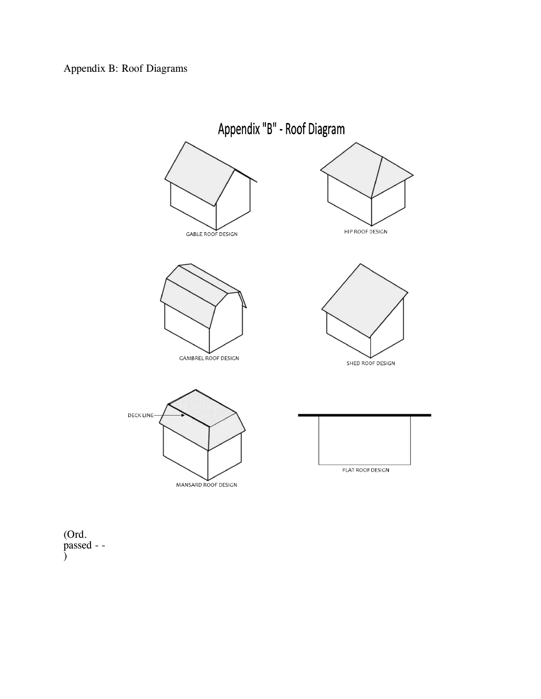

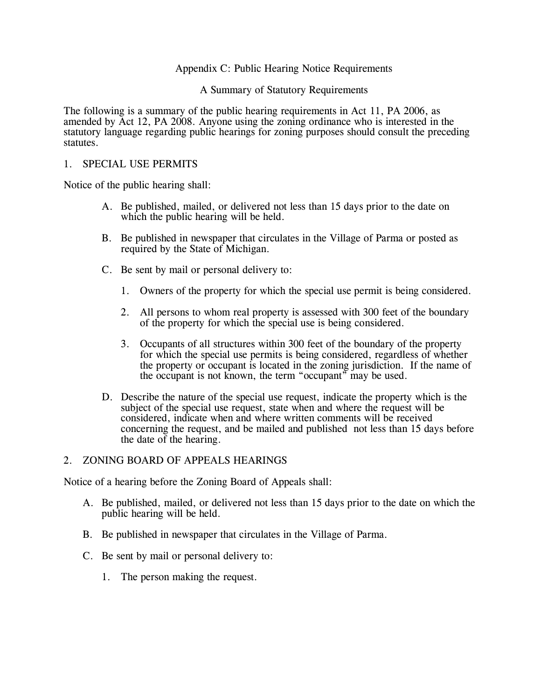# Appendix C: Public Hearing Notice Requirements

A Summary of Statutory Requirements

The following is a summary of the public hearing requirements in Act 11, PA 2006, as amended by Act 12, PA 2008. Anyone using the zoning ordinance who is interested in the statutory language regarding public hearings for zoning purposes should consult the preceding statutes.

### 1. SPECIAL USE PERMITS

Notice of the public hearing shall:

- A. Be published, mailed, or delivered not less than 15 days prior to the date on which the public hearing will be held.
- B. Be published in newspaper that circulates in the Village of Parma or posted as required by the State of Michigan.
- C. Be sent by mail or personal delivery to:
	- 1. Owners of the property for which the special use permit is being considered.
	- 2. All persons to whom real property is assessed with 300 feet of the boundary of the property for which the special use is being considered.
	- 3. Occupants of all structures within 300 feet of the boundary of the property for which the special use permits is being considered, regardless of whether the property or occupant is located in the zoning jurisdiction. If the name of the occupant is not known, the term "occupant" may be used.
- D. Describe the nature of the special use request, indicate the property which is the subject of the special use request, state when and where the request will be considered, indicate when and where written comments will be received concerning the request, and be mailed and published not less than 15 days before the date of the hearing.

### 2. ZONING BOARD OF APPEALS HEARINGS

Notice of a hearing before the Zoning Board of Appeals shall:

- A. Be published, mailed, or delivered not less than 15 days prior to the date on which the public hearing will be held.
- B. Be published in newspaper that circulates in the Village of Parma.
- C. Be sent by mail or personal delivery to:
	- 1. The person making the request.